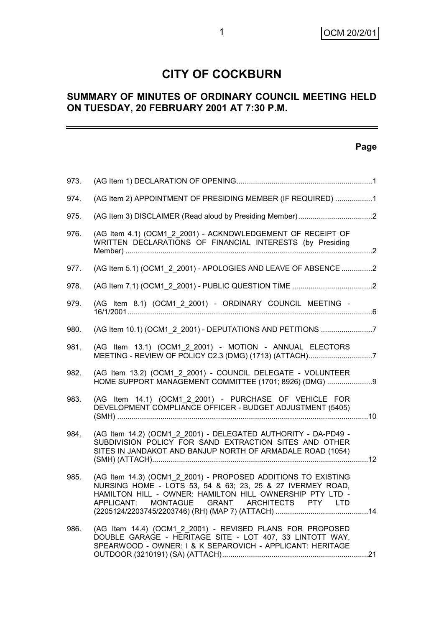# **CITY OF COCKBURN**

# **SUMMARY OF MINUTES OF ORDINARY COUNCIL MEETING HELD ON TUESDAY, 20 FEBRUARY 2001 AT 7:30 P.M.**

# **Page**

| 973. |                                                                                                                                                                                                                                         |  |
|------|-----------------------------------------------------------------------------------------------------------------------------------------------------------------------------------------------------------------------------------------|--|
| 974. | (AG Item 2) APPOINTMENT OF PRESIDING MEMBER (IF REQUIRED) 1                                                                                                                                                                             |  |
| 975. |                                                                                                                                                                                                                                         |  |
| 976. | (AG Item 4.1) (OCM1 2 2001) - ACKNOWLEDGEMENT OF RECEIPT OF<br>WRITTEN DECLARATIONS OF FINANCIAL INTERESTS (by Presiding                                                                                                                |  |
| 977. | (AG Item 5.1) (OCM1 2 2001) - APOLOGIES AND LEAVE OF ABSENCE 2                                                                                                                                                                          |  |
| 978. |                                                                                                                                                                                                                                         |  |
| 979. | (AG Item 8.1) (OCM1_2_2001) - ORDINARY COUNCIL MEETING -                                                                                                                                                                                |  |
| 980. | (AG Item 10.1) (OCM1_2_2001) - DEPUTATIONS AND PETITIONS 7                                                                                                                                                                              |  |
| 981. | (AG Item 13.1) (OCM1_2_2001) - MOTION - ANNUAL ELECTORS<br>MEETING - REVIEW OF POLICY C2.3 (DMG) (1713) (ATTACH)7                                                                                                                       |  |
| 982. | (AG Item 13.2) (OCM1_2_2001) - COUNCIL DELEGATE - VOLUNTEER<br>HOME SUPPORT MANAGEMENT COMMITTEE (1701; 8926) (DMG) 9                                                                                                                   |  |
| 983. | (AG Item 14.1) (OCM1 2 2001) - PURCHASE OF VEHICLE FOR<br>DEVELOPMENT COMPLIANCE OFFICER - BUDGET ADJUSTMENT (5405)                                                                                                                     |  |
| 984. | (AG Item 14.2) (OCM1 2 2001) - DELEGATED AUTHORITY - DA-PD49 -<br>SUBDIVISION POLICY FOR SAND EXTRACTION SITES AND OTHER<br>SITES IN JANDAKOT AND BANJUP NORTH OF ARMADALE ROAD (1054)                                                  |  |
| 985. | (AG Item 14.3) (OCM1 2 2001) - PROPOSED ADDITIONS TO EXISTING<br>NURSING HOME - LOTS 53, 54 & 63; 23, 25 & 27 IVERMEY ROAD,<br>HAMILTON HILL - OWNER: HAMILTON HILL OWNERSHIP PTY LTD -<br>APPLICANT: MONTAGUE GRANT ARCHITECTS PTY LTD |  |
| 986. | (AG Item 14.4) (OCM1_2_2001) - REVISED PLANS FOR PROPOSED<br>DOUBLE GARAGE - HERITAGE SITE - LOT 407, 33 LINTOTT WAY,<br>SPEARWOOD - OWNER: I & K SEPAROVICH - APPLICANT: HERITAGE                                                      |  |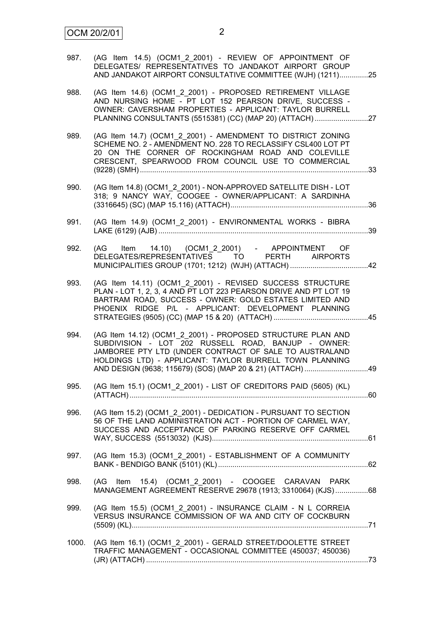| 987.  | (AG Item 14.5) (OCM1 2 2001) - REVIEW OF APPOINTMENT OF<br>DELEGATES/ REPRESENTATIVES TO JANDAKOT AIRPORT GROUP<br>AND JANDAKOT AIRPORT CONSULTATIVE COMMITTEE (WJH) (1211)25                                                                   |  |
|-------|-------------------------------------------------------------------------------------------------------------------------------------------------------------------------------------------------------------------------------------------------|--|
| 988.  | (AG Item 14.6) (OCM1 2 2001) - PROPOSED RETIREMENT VILLAGE<br>AND NURSING HOME - PT LOT 152 PEARSON DRIVE, SUCCESS -<br>OWNER: CAVERSHAM PROPERTIES - APPLICANT: TAYLOR BURRELL<br>PLANNING CONSULTANTS (5515381) (CC) (MAP 20) (ATTACH) 27     |  |
| 989.  | (AG Item 14.7) (OCM1 2 2001) - AMENDMENT TO DISTRICT ZONING<br>SCHEME NO. 2 - AMENDMENT NO. 228 TO RECLASSIFY CSL400 LOT PT<br>20 ON THE CORNER OF ROCKINGHAM ROAD AND COLEVILLE<br>CRESCENT, SPEARWOOD FROM COUNCIL USE TO COMMERCIAL          |  |
| 990.  | (AG Item 14.8) (OCM1_2_2001) - NON-APPROVED SATELLITE DISH - LOT<br>318; 9 NANCY WAY, COOGEE - OWNER/APPLICANT: A SARDINHA                                                                                                                      |  |
| 991.  | (AG Item 14.9) (OCM1_2_2001) - ENVIRONMENTAL WORKS - BIBRA                                                                                                                                                                                      |  |
| 992.  | Item 14.10) (OCM1_2_2001) - APPOINTMENT OF<br>(AG<br>DELEGATES/REPRESENTATIVES TO PERTH AIRPORTS                                                                                                                                                |  |
| 993.  | (AG Item 14.11) (OCM1_2_2001) - REVISED SUCCESS STRUCTURE<br>PLAN - LOT 1, 2, 3, 4 AND PT LOT 223 PEARSON DRIVE AND PT LOT 19<br>BARTRAM ROAD, SUCCESS - OWNER: GOLD ESTATES LIMITED AND<br>PHOENIX RIDGE P/L - APPLICANT: DEVELOPMENT PLANNING |  |
| 994.  | (AG Item 14.12) (OCM1_2_2001) - PROPOSED STRUCTURE PLAN AND<br>SUBDIVISION - LOT 202 RUSSELL ROAD, BANJUP - OWNER:<br>JAMBOREE PTY LTD (UNDER CONTRACT OF SALE TO AUSTRALAND<br>HOLDINGS LTD) - APPLICANT: TAYLOR BURRELL TOWN PLANNING         |  |
| 995.  | (AG Item 15.1) (OCM1_2_2001) - LIST OF CREDITORS PAID (5605) (KL)                                                                                                                                                                               |  |
| 996.  | (AG Item 15.2) (OCM1_2_2001) - DEDICATION - PURSUANT TO SECTION<br>56 OF THE LAND ADMINISTRATION ACT - PORTION OF CARMEL WAY,<br>SUCCESS AND ACCEPTANCE OF PARKING RESERVE OFF CARMEL                                                           |  |
| 997.  | (AG Item 15.3) (OCM1_2_2001) - ESTABLISHMENT OF A COMMUNITY                                                                                                                                                                                     |  |
| 998.  | (AG Item 15.4) (OCM1_2_2001) - COOGEE CARAVAN PARK<br>MANAGEMENT AGREEMENT RESERVE 29678 (1913; 3310064) (KJS)68                                                                                                                                |  |
| 999.  | (AG Item 15.5) (OCM1_2_2001) - INSURANCE CLAIM - N L CORREIA<br>VERSUS INSURANCE COMMISSION OF WA AND CITY OF COCKBURN                                                                                                                          |  |
| 1000. | (AG Item 16.1) (OCM1 2 2001) - GERALD STREET/DOOLETTE STREET<br>TRAFFIC MANAGEMENT - OCCASIONAL COMMITTEE (450037; 450036)                                                                                                                      |  |
|       |                                                                                                                                                                                                                                                 |  |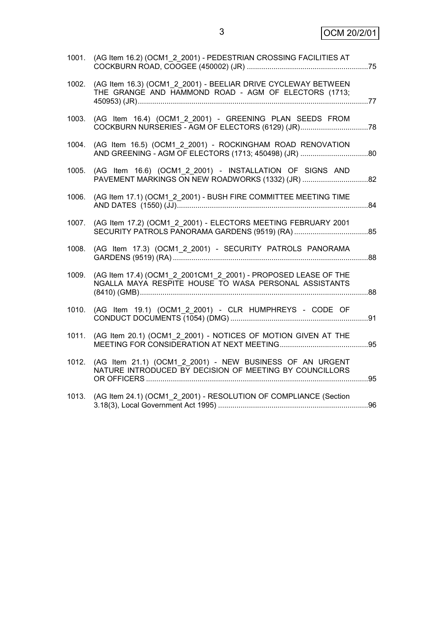3 OCM 20/2/01

| 1001. | (AG Item 16.2) (OCM1 2 2001) - PEDESTRIAN CROSSING FACILITIES AT                                                        |  |
|-------|-------------------------------------------------------------------------------------------------------------------------|--|
| 1002. | (AG Item 16.3) (OCM1 2 2001) - BEELIAR DRIVE CYCLEWAY BETWEEN<br>THE GRANGE AND HAMMOND ROAD - AGM OF ELECTORS (1713;   |  |
| 1003. | (AG Item 16.4) (OCM1 2 2001) - GREENING PLAN SEEDS FROM<br>COCKBURN NURSERIES - AGM OF ELECTORS (6129) (JR) 78          |  |
| 1004. | (AG Item 16.5) (OCM1 2 2001) - ROCKINGHAM ROAD RENOVATION                                                               |  |
| 1005. | (AG Item 16.6) (OCM1_2_2001) - INSTALLATION OF SIGNS AND<br>PAVEMENT MARKINGS ON NEW ROADWORKS (1332) (JR)  82          |  |
| 1006. | (AG Item 17.1) (OCM1_2_2001) - BUSH FIRE COMMITTEE MEETING TIME                                                         |  |
| 1007. | (AG Item 17.2) (OCM1 2 2001) - ELECTORS MEETING FEBRUARY 2001                                                           |  |
| 1008. | (AG Item 17.3) (OCM1_2_2001) - SECURITY PATROLS PANORAMA                                                                |  |
| 1009. | (AG Item 17.4) (OCM1_2_2001CM1_2_2001) - PROPOSED LEASE OF THE<br>NGALLA MAYA RESPITE HOUSE TO WASA PERSONAL ASSISTANTS |  |
| 1010. | (AG Item 19.1) (OCM1 2 2001) - CLR HUMPHREYS - CODE OF                                                                  |  |
| 1011. | (AG Item 20.1) (OCM1 2 2001) - NOTICES OF MOTION GIVEN AT THE                                                           |  |
| 1012. | (AG Item 21.1) (OCM1 2 2001) - NEW BUSINESS OF AN URGENT<br>NATURE INTRODUCED BY DECISION OF MEETING BY COUNCILLORS     |  |
| 1013. | (AG Item 24.1) (OCM1_2_2001) - RESOLUTION OF COMPLIANCE (Section                                                        |  |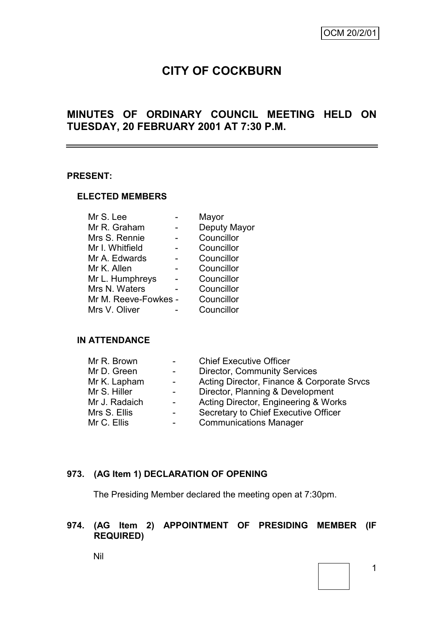# **CITY OF COCKBURN**

# **MINUTES OF ORDINARY COUNCIL MEETING HELD ON TUESDAY, 20 FEBRUARY 2001 AT 7:30 P.M.**

#### **PRESENT:**

#### **ELECTED MEMBERS**

| Mr S. Lee            | Mayor        |
|----------------------|--------------|
| Mr R. Graham         | Deputy Mayor |
| Mrs S. Rennie        | Councillor   |
| Mr I. Whitfield      | Councillor   |
| Mr A. Edwards        | Councillor   |
| Mr K. Allen          | Councillor   |
| Mr L. Humphreys      | Councillor   |
| Mrs N. Waters        | Councillor   |
| Mr M. Reeve-Fowkes - | Councillor   |
| Mrs V. Oliver        | Councillor   |
|                      |              |

#### **IN ATTENDANCE**

| Mr R. Brown   | $\sim$ 100 $\mu$ | <b>Chief Executive Officer</b>             |
|---------------|------------------|--------------------------------------------|
| Mr D. Green   | $\sim$ 10 $\pm$  | <b>Director, Community Services</b>        |
| Mr K. Lapham  | $\sim 100$       | Acting Director, Finance & Corporate Srvcs |
| Mr S. Hiller  | $\sim 100$       | Director, Planning & Development           |
| Mr J. Radaich | $\sim$ $-$       | Acting Director, Engineering & Works       |
| Mrs S. Ellis  | $\sim 100$       | Secretary to Chief Executive Officer       |
| Mr C. Ellis   |                  | <b>Communications Manager</b>              |

#### **973. (AG Item 1) DECLARATION OF OPENING**

The Presiding Member declared the meeting open at 7:30pm.

#### **974. (AG Item 2) APPOINTMENT OF PRESIDING MEMBER (IF REQUIRED)**

Nil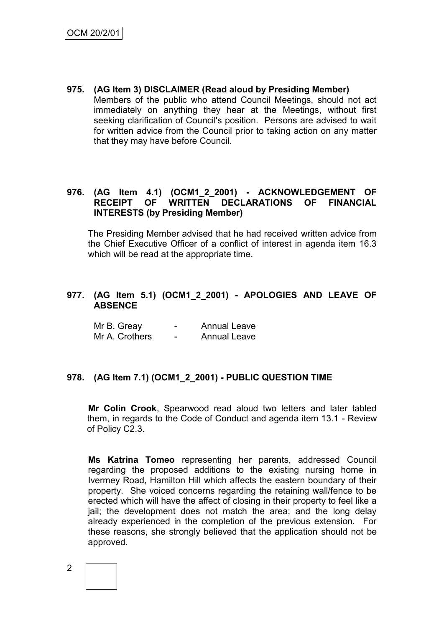**975. (AG Item 3) DISCLAIMER (Read aloud by Presiding Member)** Members of the public who attend Council Meetings, should not act immediately on anything they hear at the Meetings, without first seeking clarification of Council's position. Persons are advised to wait for written advice from the Council prior to taking action on any matter that they may have before Council.

#### **976. (AG Item 4.1) (OCM1\_2\_2001) - ACKNOWLEDGEMENT OF RECEIPT OF WRITTEN DECLARATIONS OF FINANCIAL INTERESTS (by Presiding Member)**

The Presiding Member advised that he had received written advice from the Chief Executive Officer of a conflict of interest in agenda item 16.3 which will be read at the appropriate time.

#### **977. (AG Item 5.1) (OCM1\_2\_2001) - APOLOGIES AND LEAVE OF ABSENCE**

| Mr B. Greay    | - | <b>Annual Leave</b> |
|----------------|---|---------------------|
| Mr A. Crothers |   | <b>Annual Leave</b> |

# **978. (AG Item 7.1) (OCM1\_2\_2001) - PUBLIC QUESTION TIME**

**Mr Colin Crook**, Spearwood read aloud two letters and later tabled them, in regards to the Code of Conduct and agenda item 13.1 - Review of Policy C2.3.

**Ms Katrina Tomeo** representing her parents, addressed Council regarding the proposed additions to the existing nursing home in Ivermey Road, Hamilton Hill which affects the eastern boundary of their property. She voiced concerns regarding the retaining wall/fence to be erected which will have the affect of closing in their property to feel like a jail; the development does not match the area; and the long delay already experienced in the completion of the previous extension. For these reasons, she strongly believed that the application should not be approved.

$$
\begin{array}{c} 2 \\ \hline \end{array}
$$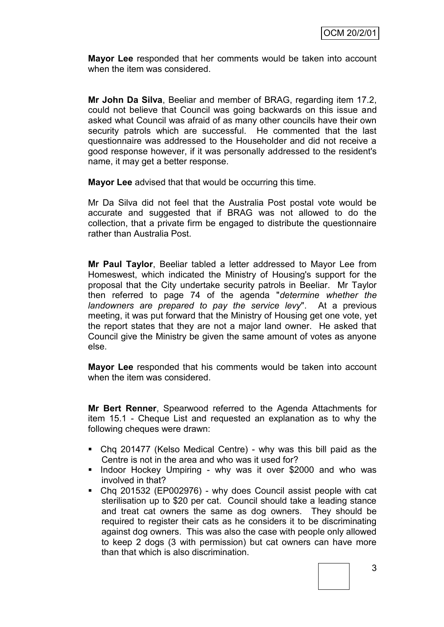**Mayor Lee** responded that her comments would be taken into account when the item was considered.

**Mr John Da Silva**, Beeliar and member of BRAG, regarding item 17.2, could not believe that Council was going backwards on this issue and asked what Council was afraid of as many other councils have their own security patrols which are successful. He commented that the last questionnaire was addressed to the Householder and did not receive a good response however, if it was personally addressed to the resident's name, it may get a better response.

**Mayor Lee** advised that that would be occurring this time.

Mr Da Silva did not feel that the Australia Post postal vote would be accurate and suggested that if BRAG was not allowed to do the collection, that a private firm be engaged to distribute the questionnaire rather than Australia Post.

**Mr Paul Taylor**, Beeliar tabled a letter addressed to Mayor Lee from Homeswest, which indicated the Ministry of Housing's support for the proposal that the City undertake security patrols in Beeliar. Mr Taylor then referred to page 74 of the agenda "*determine whether the landowners are prepared to pay the service levy*". At a previous meeting, it was put forward that the Ministry of Housing get one vote, yet the report states that they are not a major land owner. He asked that Council give the Ministry be given the same amount of votes as anyone else.

**Mayor Lee** responded that his comments would be taken into account when the item was considered.

**Mr Bert Renner**, Spearwood referred to the Agenda Attachments for item 15.1 - Cheque List and requested an explanation as to why the following cheques were drawn:

- Chq 201477 (Kelso Medical Centre) why was this bill paid as the Centre is not in the area and who was it used for?
- Indoor Hockey Umpiring why was it over \$2000 and who was involved in that?
- Chq 201532 (EP002976) why does Council assist people with cat sterilisation up to \$20 per cat. Council should take a leading stance and treat cat owners the same as dog owners. They should be required to register their cats as he considers it to be discriminating against dog owners. This was also the case with people only allowed to keep 2 dogs (3 with permission) but cat owners can have more than that which is also discrimination.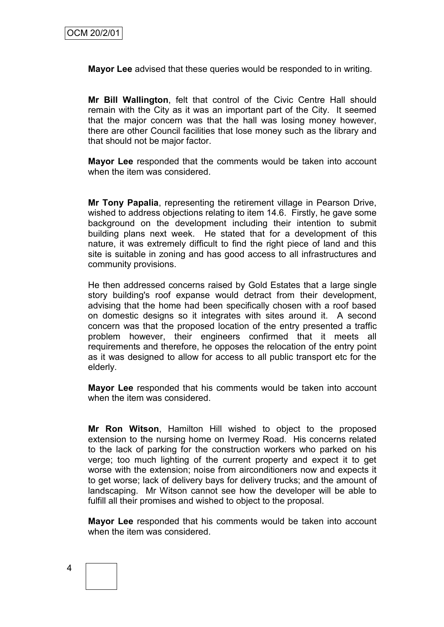**Mayor Lee** advised that these queries would be responded to in writing.

**Mr Bill Wallington**, felt that control of the Civic Centre Hall should remain with the City as it was an important part of the City. It seemed that the major concern was that the hall was losing money however, there are other Council facilities that lose money such as the library and that should not be major factor.

**Mayor Lee** responded that the comments would be taken into account when the item was considered.

**Mr Tony Papalia**, representing the retirement village in Pearson Drive, wished to address objections relating to item 14.6. Firstly, he gave some background on the development including their intention to submit building plans next week. He stated that for a development of this nature, it was extremely difficult to find the right piece of land and this site is suitable in zoning and has good access to all infrastructures and community provisions.

He then addressed concerns raised by Gold Estates that a large single story building's roof expanse would detract from their development, advising that the home had been specifically chosen with a roof based on domestic designs so it integrates with sites around it. A second concern was that the proposed location of the entry presented a traffic problem however, their engineers confirmed that it meets all requirements and therefore, he opposes the relocation of the entry point as it was designed to allow for access to all public transport etc for the elderly.

**Mayor Lee** responded that his comments would be taken into account when the item was considered

**Mr Ron Witson**, Hamilton Hill wished to object to the proposed extension to the nursing home on Ivermey Road. His concerns related to the lack of parking for the construction workers who parked on his verge; too much lighting of the current property and expect it to get worse with the extension; noise from airconditioners now and expects it to get worse; lack of delivery bays for delivery trucks; and the amount of landscaping. Mr Witson cannot see how the developer will be able to fulfill all their promises and wished to object to the proposal.

**Mayor Lee** responded that his comments would be taken into account when the item was considered.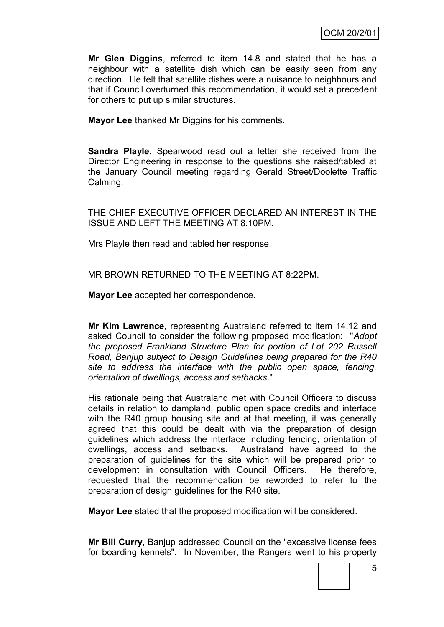**Mr Glen Diggins**, referred to item 14.8 and stated that he has a neighbour with a satellite dish which can be easily seen from any direction. He felt that satellite dishes were a nuisance to neighbours and that if Council overturned this recommendation, it would set a precedent for others to put up similar structures.

**Mayor Lee** thanked Mr Diggins for his comments.

**Sandra Playle**, Spearwood read out a letter she received from the Director Engineering in response to the questions she raised/tabled at the January Council meeting regarding Gerald Street/Doolette Traffic Calming.

THE CHIEF EXECUTIVE OFFICER DECLARED AN INTEREST IN THE ISSUE AND LEFT THE MEETING AT 8:10PM.

Mrs Playle then read and tabled her response.

MR BROWN RETURNED TO THE MEETING AT 8:22PM.

**Mayor Lee** accepted her correspondence.

**Mr Kim Lawrence**, representing Australand referred to item 14.12 and asked Council to consider the following proposed modification: "*Adopt the proposed Frankland Structure Plan for portion of Lot 202 Russell Road, Banjup subject to Design Guidelines being prepared for the R40 site to address the interface with the public open space, fencing, orientation of dwellings, access and setbacks*."

His rationale being that Australand met with Council Officers to discuss details in relation to dampland, public open space credits and interface with the R40 group housing site and at that meeting, it was generally agreed that this could be dealt with via the preparation of design guidelines which address the interface including fencing, orientation of dwellings, access and setbacks. Australand have agreed to the preparation of guidelines for the site which will be prepared prior to development in consultation with Council Officers. He therefore, requested that the recommendation be reworded to refer to the preparation of design guidelines for the R40 site.

**Mayor Lee** stated that the proposed modification will be considered.

**Mr Bill Curry**, Banjup addressed Council on the "excessive license fees for boarding kennels". In November, the Rangers went to his property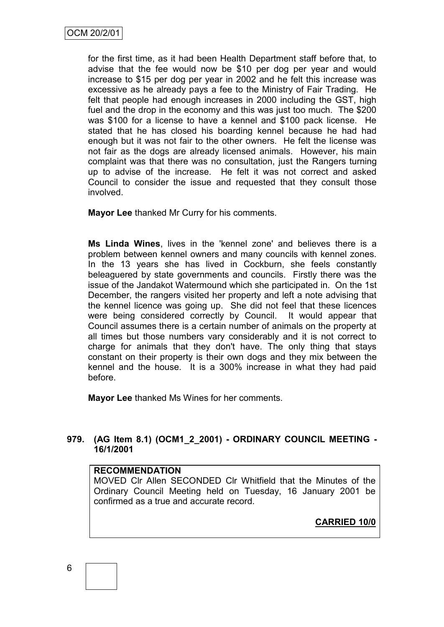for the first time, as it had been Health Department staff before that, to advise that the fee would now be \$10 per dog per year and would increase to \$15 per dog per year in 2002 and he felt this increase was excessive as he already pays a fee to the Ministry of Fair Trading. He felt that people had enough increases in 2000 including the GST, high fuel and the drop in the economy and this was just too much. The \$200 was \$100 for a license to have a kennel and \$100 pack license. He stated that he has closed his boarding kennel because he had had enough but it was not fair to the other owners. He felt the license was not fair as the dogs are already licensed animals. However, his main complaint was that there was no consultation, just the Rangers turning up to advise of the increase. He felt it was not correct and asked Council to consider the issue and requested that they consult those involved.

**Mayor Lee** thanked Mr Curry for his comments.

**Ms Linda Wines**, lives in the 'kennel zone' and believes there is a problem between kennel owners and many councils with kennel zones. In the 13 years she has lived in Cockburn, she feels constantly beleaguered by state governments and councils. Firstly there was the issue of the Jandakot Watermound which she participated in. On the 1st December, the rangers visited her property and left a note advising that the kennel licence was going up. She did not feel that these licences were being considered correctly by Council. It would appear that Council assumes there is a certain number of animals on the property at all times but those numbers vary considerably and it is not correct to charge for animals that they don't have. The only thing that stays constant on their property is their own dogs and they mix between the kennel and the house. It is a 300% increase in what they had paid before.

**Mayor Lee** thanked Ms Wines for her comments.

#### **979. (AG Item 8.1) (OCM1\_2\_2001) - ORDINARY COUNCIL MEETING - 16/1/2001**

#### **RECOMMENDATION**

MOVED Clr Allen SECONDED Clr Whitfield that the Minutes of the Ordinary Council Meeting held on Tuesday, 16 January 2001 be confirmed as a true and accurate record.

**CARRIED 10/0**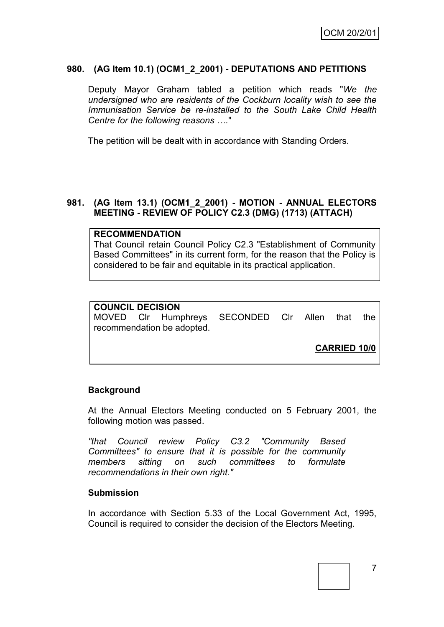#### **980. (AG Item 10.1) (OCM1\_2\_2001) - DEPUTATIONS AND PETITIONS**

Deputy Mayor Graham tabled a petition which reads "*We the undersigned who are residents of the Cockburn locality wish to see the Immunisation Service be re-installed to the South Lake Child Health Centre for the following reasons ….*"

The petition will be dealt with in accordance with Standing Orders.

#### **981. (AG Item 13.1) (OCM1\_2\_2001) - MOTION - ANNUAL ELECTORS MEETING - REVIEW OF POLICY C2.3 (DMG) (1713) (ATTACH)**

**RECOMMENDATION** That Council retain Council Policy C2.3 "Establishment of Community Based Committees" in its current form, for the reason that the Policy is considered to be fair and equitable in its practical application.

| <b>COUNCIL DECISION</b> |  |                            |                                             |  |  |  |      |  |
|-------------------------|--|----------------------------|---------------------------------------------|--|--|--|------|--|
|                         |  | recommendation be adopted. | MOVED CIr Humphreys SECONDED CIr Allen that |  |  |  | the. |  |

**CARRIED 10/0**

#### **Background**

At the Annual Electors Meeting conducted on 5 February 2001, the following motion was passed.

*"that Council review Policy C3.2 "Community Based Committees" to ensure that it is possible for the community members sitting on such committees to formulate recommendations in their own right."*

#### **Submission**

In accordance with Section 5.33 of the Local Government Act, 1995, Council is required to consider the decision of the Electors Meeting.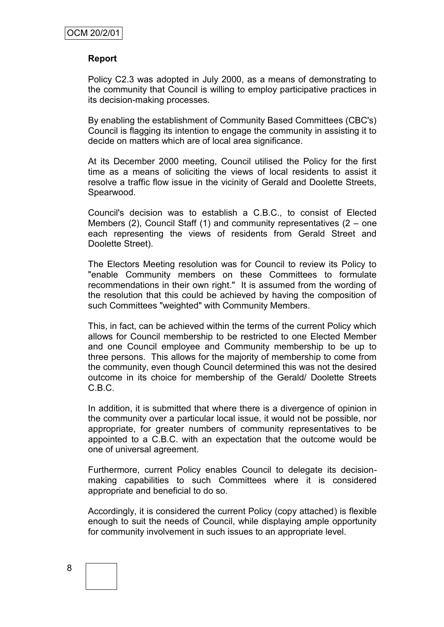#### **Report**

Policy C2.3 was adopted in July 2000, as a means of demonstrating to the community that Council is willing to employ participative practices in its decision-making processes.

By enabling the establishment of Community Based Committees (CBC's) Council is flagging its intention to engage the community in assisting it to decide on matters which are of local area significance.

At its December 2000 meeting, Council utilised the Policy for the first time as a means of soliciting the views of local residents to assist it resolve a traffic flow issue in the vicinity of Gerald and Doolette Streets, Spearwood.

Council's decision was to establish a C.B.C., to consist of Elected Members (2), Council Staff (1) and community representatives (2 – one each representing the views of residents from Gerald Street and Doolette Street).

The Electors Meeting resolution was for Council to review its Policy to "enable Community members on these Committees to formulate recommendations in their own right." It is assumed from the wording of the resolution that this could be achieved by having the composition of such Committees "weighted" with Community Members.

This, in fact, can be achieved within the terms of the current Policy which allows for Council membership to be restricted to one Elected Member and one Council employee and Community membership to be up to three persons. This allows for the majority of membership to come from the community, even though Council determined this was not the desired outcome in its choice for membership of the Gerald/ Doolette Streets C.B.C.

In addition, it is submitted that where there is a divergence of opinion in the community over a particular local issue, it would not be possible, nor appropriate, for greater numbers of community representatives to be appointed to a C.B.C. with an expectation that the outcome would be one of universal agreement.

Furthermore, current Policy enables Council to delegate its decisionmaking capabilities to such Committees where it is considered appropriate and beneficial to do so.

Accordingly, it is considered the current Policy (copy attached) is flexible enough to suit the needs of Council, while displaying ample opportunity for community involvement in such issues to an appropriate level.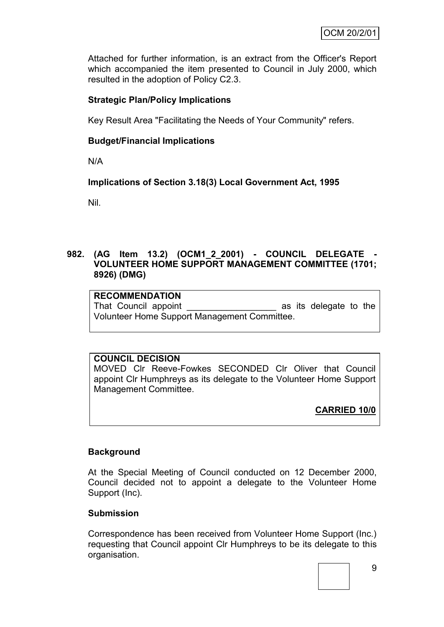Attached for further information, is an extract from the Officer's Report which accompanied the item presented to Council in July 2000, which resulted in the adoption of Policy C2.3.

# **Strategic Plan/Policy Implications**

Key Result Area "Facilitating the Needs of Your Community" refers.

#### **Budget/Financial Implications**

N/A

**Implications of Section 3.18(3) Local Government Act, 1995**

Nil.

#### **982. (AG Item 13.2) (OCM1\_2\_2001) - COUNCIL DELEGATE - VOLUNTEER HOME SUPPORT MANAGEMENT COMMITTEE (1701; 8926) (DMG)**

# **RECOMMENDATION**

That Council appoint **Example 2** as its delegate to the Volunteer Home Support Management Committee.

#### **COUNCIL DECISION**

MOVED Clr Reeve-Fowkes SECONDED Clr Oliver that Council appoint Clr Humphreys as its delegate to the Volunteer Home Support Management Committee.

**CARRIED 10/0**

#### **Background**

At the Special Meeting of Council conducted on 12 December 2000, Council decided not to appoint a delegate to the Volunteer Home Support (Inc).

#### **Submission**

Correspondence has been received from Volunteer Home Support (Inc.) requesting that Council appoint Clr Humphreys to be its delegate to this organisation.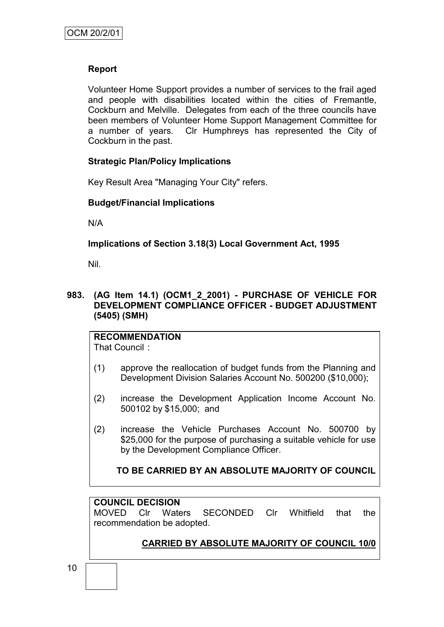#### **Report**

Volunteer Home Support provides a number of services to the frail aged and people with disabilities located within the cities of Fremantle, Cockburn and Melville. Delegates from each of the three councils have been members of Volunteer Home Support Management Committee for a number of years. Clr Humphreys has represented the City of Cockburn in the past.

#### **Strategic Plan/Policy Implications**

Key Result Area "Managing Your City" refers.

#### **Budget/Financial Implications**

N/A

# **Implications of Section 3.18(3) Local Government Act, 1995**

Nil.

#### **983. (AG Item 14.1) (OCM1\_2\_2001) - PURCHASE OF VEHICLE FOR DEVELOPMENT COMPLIANCE OFFICER - BUDGET ADJUSTMENT (5405) (SMH)**

# **RECOMMENDATION**

That Council :

- (1) approve the reallocation of budget funds from the Planning and Development Division Salaries Account No. 500200 (\$10,000);
- (2) increase the Development Application Income Account No. 500102 by \$15,000; and
- (2) increase the Vehicle Purchases Account No. 500700 by \$25,000 for the purpose of purchasing a suitable vehicle for use by the Development Compliance Officer.

# **TO BE CARRIED BY AN ABSOLUTE MAJORITY OF COUNCIL**

#### **COUNCIL DECISION**

MOVED Clr Waters SECONDED Clr Whitfield that the recommendation be adopted.

# **CARRIED BY ABSOLUTE MAJORITY OF COUNCIL 10/0**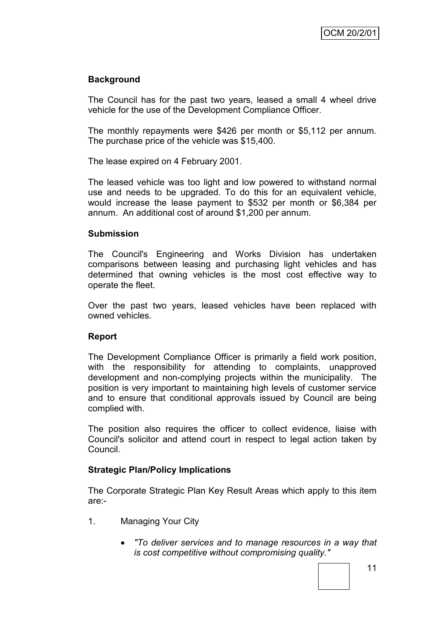#### **Background**

The Council has for the past two years, leased a small 4 wheel drive vehicle for the use of the Development Compliance Officer.

The monthly repayments were \$426 per month or \$5,112 per annum. The purchase price of the vehicle was \$15,400.

The lease expired on 4 February 2001.

The leased vehicle was too light and low powered to withstand normal use and needs to be upgraded. To do this for an equivalent vehicle, would increase the lease payment to \$532 per month or \$6,384 per annum. An additional cost of around \$1,200 per annum.

#### **Submission**

The Council's Engineering and Works Division has undertaken comparisons between leasing and purchasing light vehicles and has determined that owning vehicles is the most cost effective way to operate the fleet.

Over the past two years, leased vehicles have been replaced with owned vehicles.

#### **Report**

The Development Compliance Officer is primarily a field work position, with the responsibility for attending to complaints, unapproved development and non-complying projects within the municipality. The position is very important to maintaining high levels of customer service and to ensure that conditional approvals issued by Council are being complied with.

The position also requires the officer to collect evidence, liaise with Council's solicitor and attend court in respect to legal action taken by Council.

#### **Strategic Plan/Policy Implications**

The Corporate Strategic Plan Key Result Areas which apply to this item are:-

- 1. Managing Your City
	- *"To deliver services and to manage resources in a way that is cost competitive without compromising quality."*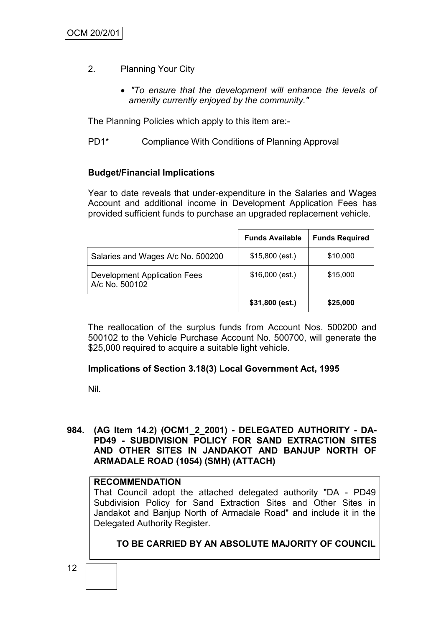- 2. Planning Your City
	- *"To ensure that the development will enhance the levels of amenity currently enjoyed by the community."*

The Planning Policies which apply to this item are:-

PD1\* Compliance With Conditions of Planning Approval

#### **Budget/Financial Implications**

Year to date reveals that under-expenditure in the Salaries and Wages Account and additional income in Development Application Fees has provided sufficient funds to purchase an upgraded replacement vehicle.

|                                                       | <b>Funds Available</b> | <b>Funds Required</b> |
|-------------------------------------------------------|------------------------|-----------------------|
| Salaries and Wages A/c No. 500200                     | $$15,800$ (est.)       | \$10,000              |
| <b>Development Application Fees</b><br>A/c No. 500102 | $$16,000$ (est.)       | \$15,000              |
|                                                       | $$31,800$ (est.)       | \$25,000              |

The reallocation of the surplus funds from Account Nos. 500200 and 500102 to the Vehicle Purchase Account No. 500700, will generate the \$25,000 required to acquire a suitable light vehicle.

#### **Implications of Section 3.18(3) Local Government Act, 1995**

Nil.

**984. (AG Item 14.2) (OCM1\_2\_2001) - DELEGATED AUTHORITY - DA-PD49 - SUBDIVISION POLICY FOR SAND EXTRACTION SITES AND OTHER SITES IN JANDAKOT AND BANJUP NORTH OF ARMADALE ROAD (1054) (SMH) (ATTACH)**

# **RECOMMENDATION**

That Council adopt the attached delegated authority "DA - PD49 Subdivision Policy for Sand Extraction Sites and Other Sites in Jandakot and Banjup North of Armadale Road" and include it in the Delegated Authority Register.

# **TO BE CARRIED BY AN ABSOLUTE MAJORITY OF COUNCIL**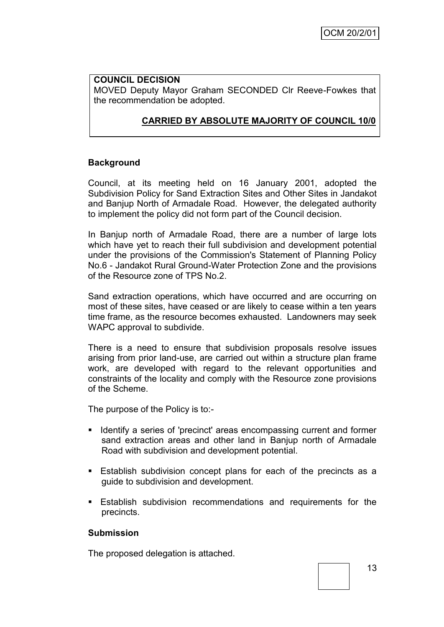#### **COUNCIL DECISION**

MOVED Deputy Mayor Graham SECONDED Clr Reeve-Fowkes that the recommendation be adopted.

# **CARRIED BY ABSOLUTE MAJORITY OF COUNCIL 10/0**

#### **Background**

Council, at its meeting held on 16 January 2001, adopted the Subdivision Policy for Sand Extraction Sites and Other Sites in Jandakot and Banjup North of Armadale Road. However, the delegated authority to implement the policy did not form part of the Council decision.

In Banjup north of Armadale Road, there are a number of large lots which have yet to reach their full subdivision and development potential under the provisions of the Commission's Statement of Planning Policy No.6 - Jandakot Rural Ground-Water Protection Zone and the provisions of the Resource zone of TPS No.2.

Sand extraction operations, which have occurred and are occurring on most of these sites, have ceased or are likely to cease within a ten years time frame, as the resource becomes exhausted. Landowners may seek WAPC approval to subdivide.

There is a need to ensure that subdivision proposals resolve issues arising from prior land-use, are carried out within a structure plan frame work, are developed with regard to the relevant opportunities and constraints of the locality and comply with the Resource zone provisions of the Scheme.

The purpose of the Policy is to:-

- I dentify a series of 'precinct' areas encompassing current and former sand extraction areas and other land in Banjup north of Armadale Road with subdivision and development potential.
- Establish subdivision concept plans for each of the precincts as a guide to subdivision and development.
- Establish subdivision recommendations and requirements for the precincts.

#### **Submission**

The proposed delegation is attached.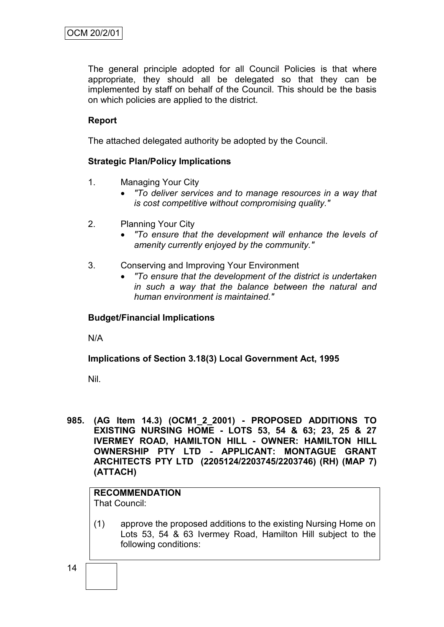The general principle adopted for all Council Policies is that where appropriate, they should all be delegated so that they can be implemented by staff on behalf of the Council. This should be the basis on which policies are applied to the district.

#### **Report**

The attached delegated authority be adopted by the Council.

#### **Strategic Plan/Policy Implications**

- 1. Managing Your City
	- *"To deliver services and to manage resources in a way that is cost competitive without compromising quality."*
- 2. Planning Your City
	- *"To ensure that the development will enhance the levels of amenity currently enjoyed by the community."*
- 3. Conserving and Improving Your Environment
	- *"To ensure that the development of the district is undertaken in such a way that the balance between the natural and human environment is maintained."*

#### **Budget/Financial Implications**

N/A

# **Implications of Section 3.18(3) Local Government Act, 1995**

Nil.

**985. (AG Item 14.3) (OCM1\_2\_2001) - PROPOSED ADDITIONS TO EXISTING NURSING HOME - LOTS 53, 54 & 63; 23, 25 & 27 IVERMEY ROAD, HAMILTON HILL - OWNER: HAMILTON HILL OWNERSHIP PTY LTD - APPLICANT: MONTAGUE GRANT ARCHITECTS PTY LTD (2205124/2203745/2203746) (RH) (MAP 7) (ATTACH)**

# **RECOMMENDATION**

That Council:

(1) approve the proposed additions to the existing Nursing Home on Lots 53, 54 & 63 Ivermey Road, Hamilton Hill subject to the following conditions: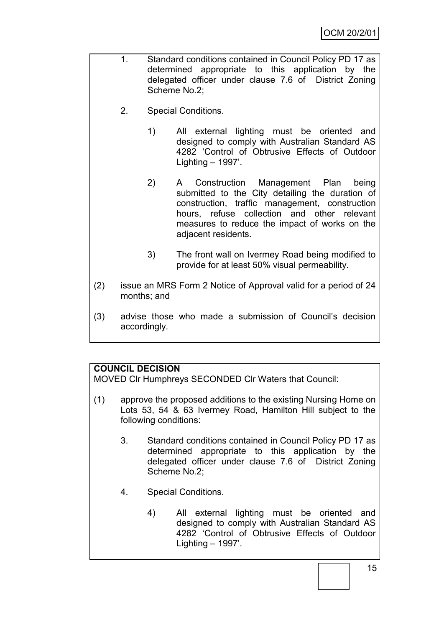- 1. Standard conditions contained in Council Policy PD 17 as determined appropriate to this application by the delegated officer under clause 7.6 of District Zoning Scheme No.2;
	- 2. Special Conditions.
		- 1) All external lighting must be oriented and designed to comply with Australian Standard AS 4282 "Control of Obtrusive Effects of Outdoor Lighting  $-1997$ .
		- 2) A Construction Management Plan being submitted to the City detailing the duration of construction, traffic management, construction hours, refuse collection and other relevant measures to reduce the impact of works on the adjacent residents.
		- 3) The front wall on Ivermey Road being modified to provide for at least 50% visual permeability.
- (2) issue an MRS Form 2 Notice of Approval valid for a period of 24 months; and
- (3) advise those who made a submission of Council"s decision accordingly.

# **COUNCIL DECISION**

MOVED Clr Humphreys SECONDED Clr Waters that Council:

- (1) approve the proposed additions to the existing Nursing Home on Lots 53, 54 & 63 Ivermey Road, Hamilton Hill subject to the following conditions:
	- 3. Standard conditions contained in Council Policy PD 17 as determined appropriate to this application by the delegated officer under clause 7.6 of District Zoning Scheme No.2;
	- 4. Special Conditions.
		- 4) All external lighting must be oriented and designed to comply with Australian Standard AS 4282 "Control of Obtrusive Effects of Outdoor Lighting  $-1997$ .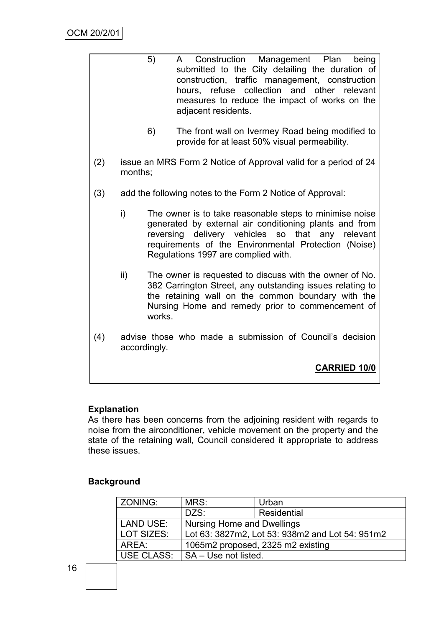|     | 5)                                                        | Construction Management Plan<br>being<br>A<br>submitted to the City detailing the duration of<br>construction, traffic management, construction<br>hours, refuse collection and other relevant<br>measures to reduce the impact of works on the<br>adjacent residents. |  |  |  |
|-----|-----------------------------------------------------------|------------------------------------------------------------------------------------------------------------------------------------------------------------------------------------------------------------------------------------------------------------------------|--|--|--|
|     | 6)                                                        | The front wall on Ivermey Road being modified to<br>provide for at least 50% visual permeability.                                                                                                                                                                      |  |  |  |
| (2) | months;                                                   | issue an MRS Form 2 Notice of Approval valid for a period of 24                                                                                                                                                                                                        |  |  |  |
| (3) | add the following notes to the Form 2 Notice of Approval: |                                                                                                                                                                                                                                                                        |  |  |  |
|     | i)                                                        | The owner is to take reasonable steps to minimise noise<br>generated by external air conditioning plants and from<br>reversing delivery vehicles so that any relevant<br>requirements of the Environmental Protection (Noise)<br>Regulations 1997 are complied with.   |  |  |  |
|     | ii)<br>works.                                             | The owner is requested to discuss with the owner of No.<br>382 Carrington Street, any outstanding issues relating to<br>the retaining wall on the common boundary with the<br>Nursing Home and remedy prior to commencement of                                         |  |  |  |
| (4) | accordingly.                                              | advise those who made a submission of Council's decision                                                                                                                                                                                                               |  |  |  |

**CARRIED 10/0**

# **Explanation**

As there has been concerns from the adjoining resident with regards to noise from the airconditioner, vehicle movement on the property and the state of the retaining wall, Council considered it appropriate to address these issues.

# **Background**

| ZONING:    | MRS:                                            | Urban                             |  |
|------------|-------------------------------------------------|-----------------------------------|--|
|            | DZS:                                            | Residential                       |  |
| LAND USE:  | <b>Nursing Home and Dwellings</b>               |                                   |  |
| LOT SIZES: | Lot 63: 3827m2, Lot 53: 938m2 and Lot 54: 951m2 |                                   |  |
| AREA:      |                                                 | 1065m2 proposed, 2325 m2 existing |  |
| USE CLASS: | SA - Use not listed.                            |                                   |  |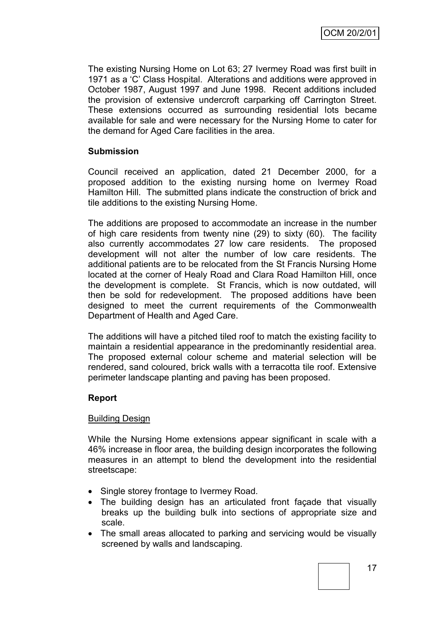The existing Nursing Home on Lot 63; 27 Ivermey Road was first built in 1971 as a "C" Class Hospital. Alterations and additions were approved in October 1987, August 1997 and June 1998. Recent additions included the provision of extensive undercroft carparking off Carrington Street. These extensions occurred as surrounding residential lots became available for sale and were necessary for the Nursing Home to cater for the demand for Aged Care facilities in the area.

#### **Submission**

Council received an application, dated 21 December 2000, for a proposed addition to the existing nursing home on Ivermey Road Hamilton Hill. The submitted plans indicate the construction of brick and tile additions to the existing Nursing Home.

The additions are proposed to accommodate an increase in the number of high care residents from twenty nine (29) to sixty (60). The facility also currently accommodates 27 low care residents. The proposed development will not alter the number of low care residents. The additional patients are to be relocated from the St Francis Nursing Home located at the corner of Healy Road and Clara Road Hamilton Hill, once the development is complete. St Francis, which is now outdated, will then be sold for redevelopment. The proposed additions have been designed to meet the current requirements of the Commonwealth Department of Health and Aged Care.

The additions will have a pitched tiled roof to match the existing facility to maintain a residential appearance in the predominantly residential area. The proposed external colour scheme and material selection will be rendered, sand coloured, brick walls with a terracotta tile roof. Extensive perimeter landscape planting and paving has been proposed.

#### **Report**

#### Building Design

While the Nursing Home extensions appear significant in scale with a 46% increase in floor area, the building design incorporates the following measures in an attempt to blend the development into the residential streetscape:

- Single storey frontage to Ivermey Road.
- The building design has an articulated front façade that visually breaks up the building bulk into sections of appropriate size and scale.
- The small areas allocated to parking and servicing would be visually screened by walls and landscaping.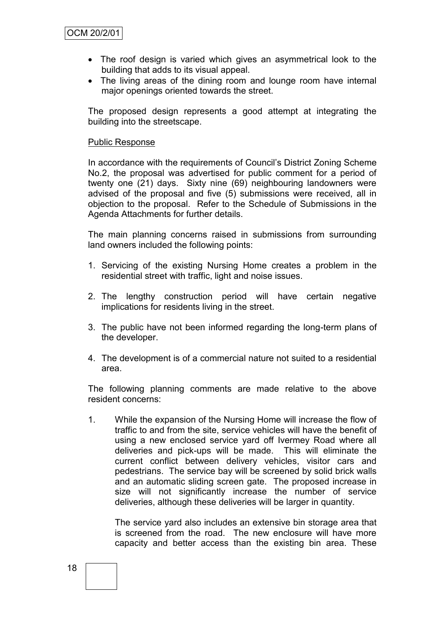- The roof design is varied which gives an asymmetrical look to the building that adds to its visual appeal.
- The living areas of the dining room and lounge room have internal major openings oriented towards the street.

The proposed design represents a good attempt at integrating the building into the streetscape.

#### Public Response

In accordance with the requirements of Council"s District Zoning Scheme No.2, the proposal was advertised for public comment for a period of twenty one (21) days. Sixty nine (69) neighbouring landowners were advised of the proposal and five (5) submissions were received, all in objection to the proposal. Refer to the Schedule of Submissions in the Agenda Attachments for further details.

The main planning concerns raised in submissions from surrounding land owners included the following points:

- 1. Servicing of the existing Nursing Home creates a problem in the residential street with traffic, light and noise issues.
- 2. The lengthy construction period will have certain negative implications for residents living in the street.
- 3. The public have not been informed regarding the long-term plans of the developer.
- 4. The development is of a commercial nature not suited to a residential area.

The following planning comments are made relative to the above resident concerns:

1. While the expansion of the Nursing Home will increase the flow of traffic to and from the site, service vehicles will have the benefit of using a new enclosed service yard off Ivermey Road where all deliveries and pick-ups will be made. This will eliminate the current conflict between delivery vehicles, visitor cars and pedestrians. The service bay will be screened by solid brick walls and an automatic sliding screen gate. The proposed increase in size will not significantly increase the number of service deliveries, although these deliveries will be larger in quantity.

The service yard also includes an extensive bin storage area that is screened from the road. The new enclosure will have more capacity and better access than the existing bin area. These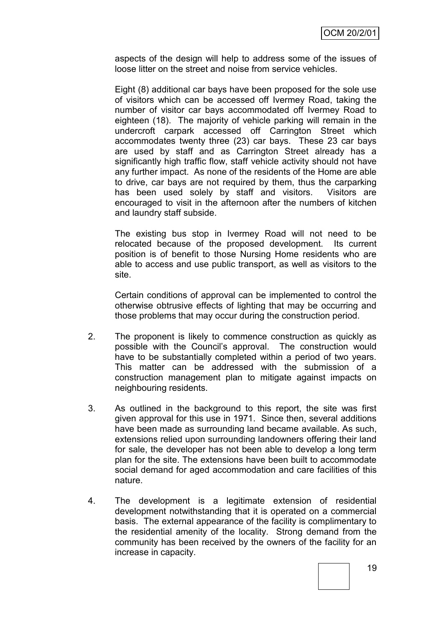aspects of the design will help to address some of the issues of loose litter on the street and noise from service vehicles.

Eight (8) additional car bays have been proposed for the sole use of visitors which can be accessed off Ivermey Road, taking the number of visitor car bays accommodated off Ivermey Road to eighteen (18). The majority of vehicle parking will remain in the undercroft carpark accessed off Carrington Street which accommodates twenty three (23) car bays. These 23 car bays are used by staff and as Carrington Street already has a significantly high traffic flow, staff vehicle activity should not have any further impact. As none of the residents of the Home are able to drive, car bays are not required by them, thus the carparking has been used solely by staff and visitors. Visitors are encouraged to visit in the afternoon after the numbers of kitchen and laundry staff subside.

The existing bus stop in Ivermey Road will not need to be relocated because of the proposed development. Its current position is of benefit to those Nursing Home residents who are able to access and use public transport, as well as visitors to the site.

Certain conditions of approval can be implemented to control the otherwise obtrusive effects of lighting that may be occurring and those problems that may occur during the construction period.

- 2. The proponent is likely to commence construction as quickly as possible with the Council"s approval. The construction would have to be substantially completed within a period of two years. This matter can be addressed with the submission of a construction management plan to mitigate against impacts on neighbouring residents.
- 3. As outlined in the background to this report, the site was first given approval for this use in 1971. Since then, several additions have been made as surrounding land became available. As such, extensions relied upon surrounding landowners offering their land for sale, the developer has not been able to develop a long term plan for the site. The extensions have been built to accommodate social demand for aged accommodation and care facilities of this nature.
- 4. The development is a legitimate extension of residential development notwithstanding that it is operated on a commercial basis. The external appearance of the facility is complimentary to the residential amenity of the locality. Strong demand from the community has been received by the owners of the facility for an increase in capacity.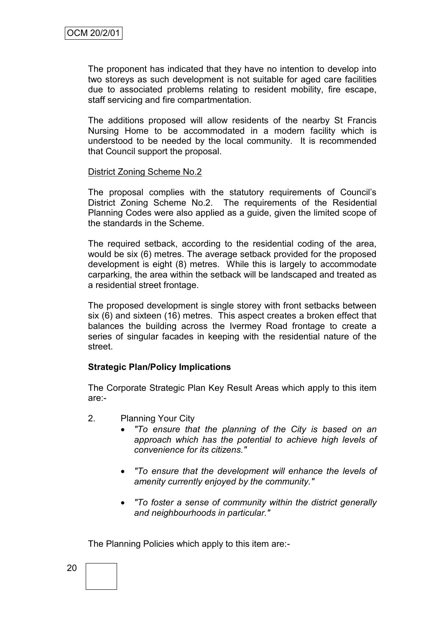The proponent has indicated that they have no intention to develop into two storeys as such development is not suitable for aged care facilities due to associated problems relating to resident mobility, fire escape, staff servicing and fire compartmentation.

The additions proposed will allow residents of the nearby St Francis Nursing Home to be accommodated in a modern facility which is understood to be needed by the local community. It is recommended that Council support the proposal.

#### District Zoning Scheme No.2

The proposal complies with the statutory requirements of Council"s District Zoning Scheme No.2. The requirements of the Residential Planning Codes were also applied as a guide, given the limited scope of the standards in the Scheme.

The required setback, according to the residential coding of the area, would be six (6) metres. The average setback provided for the proposed development is eight (8) metres. While this is largely to accommodate carparking, the area within the setback will be landscaped and treated as a residential street frontage.

The proposed development is single storey with front setbacks between six (6) and sixteen (16) metres. This aspect creates a broken effect that balances the building across the Ivermey Road frontage to create a series of singular facades in keeping with the residential nature of the street.

#### **Strategic Plan/Policy Implications**

The Corporate Strategic Plan Key Result Areas which apply to this item are:-

- 2. Planning Your City
	- *"To ensure that the planning of the City is based on an approach which has the potential to achieve high levels of convenience for its citizens."*
	- *"To ensure that the development will enhance the levels of amenity currently enjoyed by the community."*
	- *"To foster a sense of community within the district generally and neighbourhoods in particular."*

The Planning Policies which apply to this item are:-

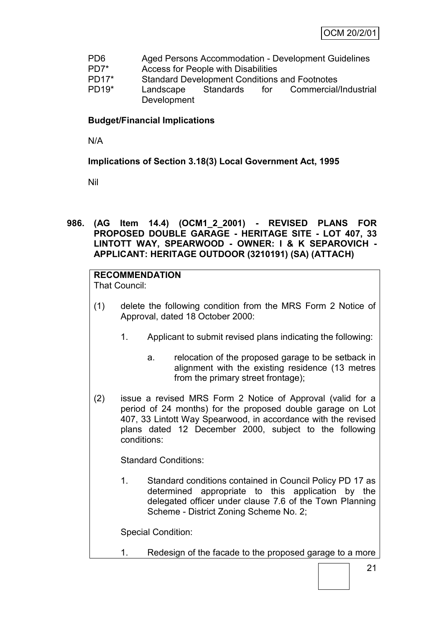- PD6 Aged Persons Accommodation Development Guidelines
- PD7\* Access for People with Disabilities
- PD17\* Standard Development Conditions and Footnotes
- PD19\* Landscape Standards for Commercial/Industrial Development

#### **Budget/Financial Implications**

N/A

# **Implications of Section 3.18(3) Local Government Act, 1995**

Nil

**986. (AG Item 14.4) (OCM1\_2\_2001) - REVISED PLANS FOR PROPOSED DOUBLE GARAGE - HERITAGE SITE - LOT 407, 33 LINTOTT WAY, SPEARWOOD - OWNER: I & K SEPAROVICH - APPLICANT: HERITAGE OUTDOOR (3210191) (SA) (ATTACH)**

**RECOMMENDATION** That Council:

- (1) delete the following condition from the MRS Form 2 Notice of Approval, dated 18 October 2000:
	- 1. Applicant to submit revised plans indicating the following:
		- a. relocation of the proposed garage to be setback in alignment with the existing residence (13 metres from the primary street frontage);
- (2) issue a revised MRS Form 2 Notice of Approval (valid for a period of 24 months) for the proposed double garage on Lot 407, 33 Lintott Way Spearwood, in accordance with the revised plans dated 12 December 2000, subject to the following conditions:

Standard Conditions:

1. Standard conditions contained in Council Policy PD 17 as determined appropriate to this application by the delegated officer under clause 7.6 of the Town Planning Scheme - District Zoning Scheme No. 2;

Special Condition:

1. Redesign of the facade to the proposed garage to a more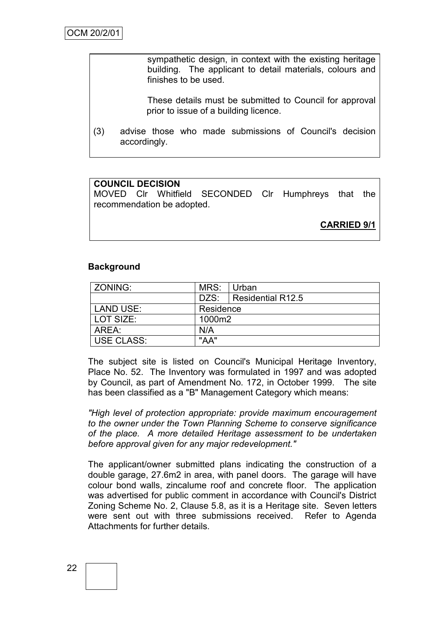sympathetic design, in context with the existing heritage building. The applicant to detail materials, colours and finishes to be used.

These details must be submitted to Council for approval prior to issue of a building licence.

(3) advise those who made submissions of Council's decision accordingly.

#### **COUNCIL DECISION**

MOVED Clr Whitfield SECONDED Clr Humphreys that the recommendation be adopted.

**CARRIED 9/1**

#### **Background**

| ZONING:           | MRS:      | Urban             |
|-------------------|-----------|-------------------|
|                   | DZS:      | Residential R12.5 |
| LAND USE:         | Residence |                   |
| LOT SIZE:         | 1000m2    |                   |
| AREA:             | N/A       |                   |
| <b>USE CLASS:</b> | "AA"      |                   |

The subject site is listed on Council's Municipal Heritage Inventory, Place No. 52. The Inventory was formulated in 1997 and was adopted by Council, as part of Amendment No. 172, in October 1999. The site has been classified as a "B" Management Category which means:

*"High level of protection appropriate: provide maximum encouragement to the owner under the Town Planning Scheme to conserve significance of the place. A more detailed Heritage assessment to be undertaken before approval given for any major redevelopment."*

The applicant/owner submitted plans indicating the construction of a double garage, 27.6m2 in area, with panel doors. The garage will have colour bond walls, zincalume roof and concrete floor. The application was advertised for public comment in accordance with Council's District Zoning Scheme No. 2, Clause 5.8, as it is a Heritage site. Seven letters were sent out with three submissions received. Refer to Agenda Attachments for further details.

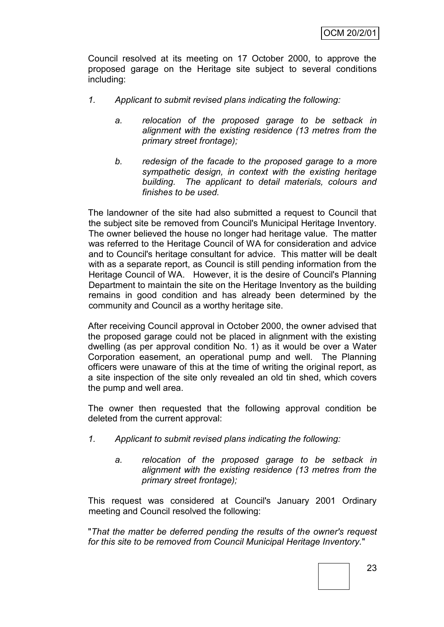Council resolved at its meeting on 17 October 2000, to approve the proposed garage on the Heritage site subject to several conditions including:

- *1. Applicant to submit revised plans indicating the following:* 
	- *a. relocation of the proposed garage to be setback in alignment with the existing residence (13 metres from the primary street frontage);*
	- *b. redesign of the facade to the proposed garage to a more sympathetic design, in context with the existing heritage building. The applicant to detail materials, colours and finishes to be used.*

The landowner of the site had also submitted a request to Council that the subject site be removed from Council's Municipal Heritage Inventory. The owner believed the house no longer had heritage value. The matter was referred to the Heritage Council of WA for consideration and advice and to Council's heritage consultant for advice. This matter will be dealt with as a separate report, as Council is still pending information from the Heritage Council of WA. However, it is the desire of Council's Planning Department to maintain the site on the Heritage Inventory as the building remains in good condition and has already been determined by the community and Council as a worthy heritage site.

After receiving Council approval in October 2000, the owner advised that the proposed garage could not be placed in alignment with the existing dwelling (as per approval condition No. 1) as it would be over a Water Corporation easement, an operational pump and well. The Planning officers were unaware of this at the time of writing the original report, as a site inspection of the site only revealed an old tin shed, which covers the pump and well area.

The owner then requested that the following approval condition be deleted from the current approval:

- *1. Applicant to submit revised plans indicating the following:*
	- *a. relocation of the proposed garage to be setback in alignment with the existing residence (13 metres from the primary street frontage);*

This request was considered at Council's January 2001 Ordinary meeting and Council resolved the following:

"*That the matter be deferred pending the results of the owner's request for this site to be removed from Council Municipal Heritage Inventory.*"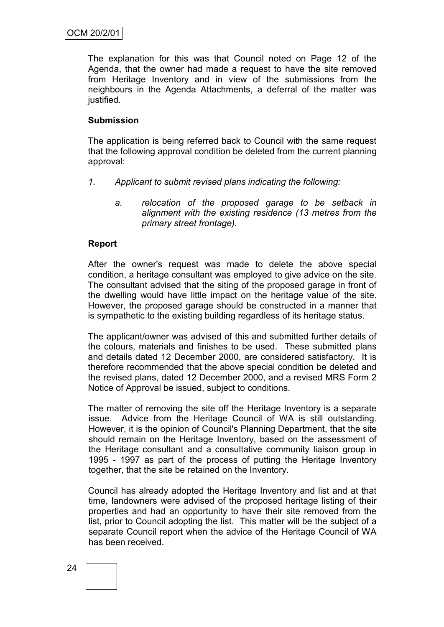The explanation for this was that Council noted on Page 12 of the Agenda, that the owner had made a request to have the site removed from Heritage Inventory and in view of the submissions from the neighbours in the Agenda Attachments, a deferral of the matter was justified.

#### **Submission**

The application is being referred back to Council with the same request that the following approval condition be deleted from the current planning approval:

- *1. Applicant to submit revised plans indicating the following:*
	- *a. relocation of the proposed garage to be setback in alignment with the existing residence (13 metres from the primary street frontage).*

#### **Report**

After the owner's request was made to delete the above special condition, a heritage consultant was employed to give advice on the site. The consultant advised that the siting of the proposed garage in front of the dwelling would have little impact on the heritage value of the site. However, the proposed garage should be constructed in a manner that is sympathetic to the existing building regardless of its heritage status.

The applicant/owner was advised of this and submitted further details of the colours, materials and finishes to be used. These submitted plans and details dated 12 December 2000, are considered satisfactory. It is therefore recommended that the above special condition be deleted and the revised plans, dated 12 December 2000, and a revised MRS Form 2 Notice of Approval be issued, subject to conditions.

The matter of removing the site off the Heritage Inventory is a separate issue. Advice from the Heritage Council of WA is still outstanding. However, it is the opinion of Council's Planning Department, that the site should remain on the Heritage Inventory, based on the assessment of the Heritage consultant and a consultative community liaison group in 1995 - 1997 as part of the process of putting the Heritage Inventory together, that the site be retained on the Inventory.

Council has already adopted the Heritage Inventory and list and at that time, landowners were advised of the proposed heritage listing of their properties and had an opportunity to have their site removed from the list, prior to Council adopting the list. This matter will be the subject of a separate Council report when the advice of the Heritage Council of WA has been received.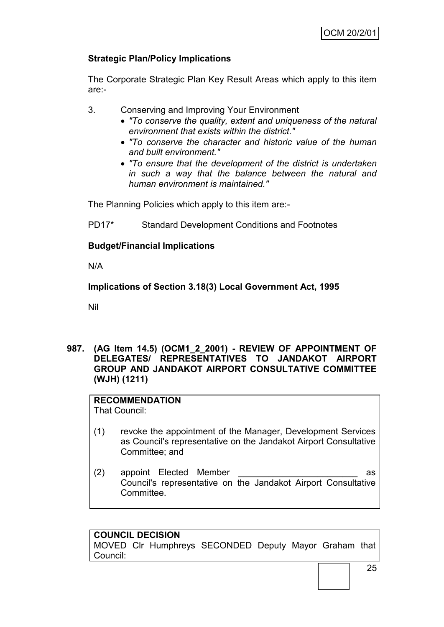# **Strategic Plan/Policy Implications**

The Corporate Strategic Plan Key Result Areas which apply to this item are:-

- 3. Conserving and Improving Your Environment
	- *"To conserve the quality, extent and uniqueness of the natural environment that exists within the district."*
	- *"To conserve the character and historic value of the human and built environment."*
	- *"To ensure that the development of the district is undertaken in such a way that the balance between the natural and human environment is maintained."*

The Planning Policies which apply to this item are:-

PD17\* Standard Development Conditions and Footnotes

# **Budget/Financial Implications**

N/A

**Implications of Section 3.18(3) Local Government Act, 1995**

Nil

#### **987. (AG Item 14.5) (OCM1\_2\_2001) - REVIEW OF APPOINTMENT OF DELEGATES/ REPRESENTATIVES TO JANDAKOT AIRPORT GROUP AND JANDAKOT AIRPORT CONSULTATIVE COMMITTEE (WJH) (1211)**

# **RECOMMENDATION**

That Council:

- (1) revoke the appointment of the Manager, Development Services as Council's representative on the Jandakot Airport Consultative Committee; and
- (2) appoint Elected Member \_\_\_\_\_\_\_\_\_\_\_\_\_\_\_\_\_\_\_\_\_\_\_\_\_ as Council's representative on the Jandakot Airport Consultative Committee.

**COUNCIL DECISION** MOVED Clr Humphreys SECONDED Deputy Mayor Graham that Council: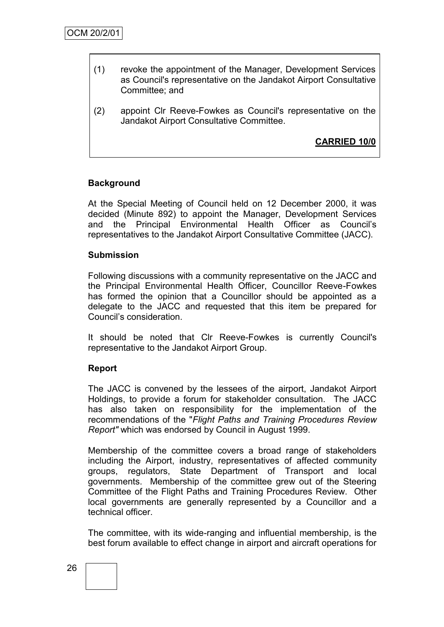- (1) revoke the appointment of the Manager, Development Services as Council's representative on the Jandakot Airport Consultative Committee; and
- (2) appoint Clr Reeve-Fowkes as Council's representative on the Jandakot Airport Consultative Committee.

**CARRIED 10/0**

#### **Background**

At the Special Meeting of Council held on 12 December 2000, it was decided (Minute 892) to appoint the Manager, Development Services and the Principal Environmental Health Officer as Council"s representatives to the Jandakot Airport Consultative Committee (JACC).

#### **Submission**

Following discussions with a community representative on the JACC and the Principal Environmental Health Officer, Councillor Reeve-Fowkes has formed the opinion that a Councillor should be appointed as a delegate to the JACC and requested that this item be prepared for Council"s consideration.

It should be noted that Clr Reeve-Fowkes is currently Council's representative to the Jandakot Airport Group.

#### **Report**

The JACC is convened by the lessees of the airport, Jandakot Airport Holdings, to provide a forum for stakeholder consultation. The JACC has also taken on responsibility for the implementation of the recommendations of the "*Flight Paths and Training Procedures Review Report"* which was endorsed by Council in August 1999.

Membership of the committee covers a broad range of stakeholders including the Airport, industry, representatives of affected community groups, regulators, State Department of Transport and local governments. Membership of the committee grew out of the Steering Committee of the Flight Paths and Training Procedures Review. Other local governments are generally represented by a Councillor and a technical officer.

The committee, with its wide-ranging and influential membership, is the best forum available to effect change in airport and aircraft operations for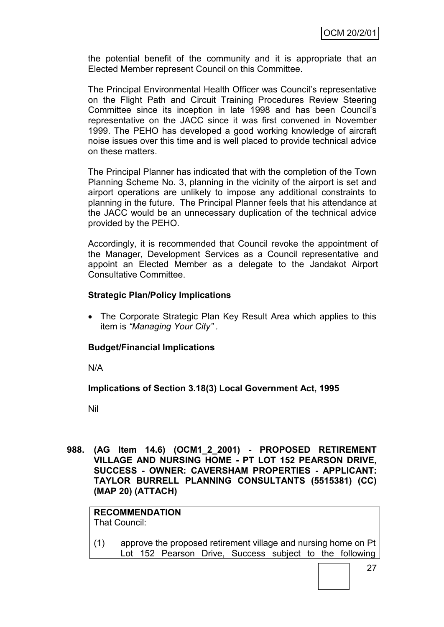the potential benefit of the community and it is appropriate that an Elected Member represent Council on this Committee.

The Principal Environmental Health Officer was Council"s representative on the Flight Path and Circuit Training Procedures Review Steering Committee since its inception in late 1998 and has been Council"s representative on the JACC since it was first convened in November 1999. The PEHO has developed a good working knowledge of aircraft noise issues over this time and is well placed to provide technical advice on these matters.

The Principal Planner has indicated that with the completion of the Town Planning Scheme No. 3, planning in the vicinity of the airport is set and airport operations are unlikely to impose any additional constraints to planning in the future. The Principal Planner feels that his attendance at the JACC would be an unnecessary duplication of the technical advice provided by the PEHO.

Accordingly, it is recommended that Council revoke the appointment of the Manager, Development Services as a Council representative and appoint an Elected Member as a delegate to the Jandakot Airport Consultative Committee.

#### **Strategic Plan/Policy Implications**

 The Corporate Strategic Plan Key Result Area which applies to this item is *"Managing Your City" .*

#### **Budget/Financial Implications**

N/A

**Implications of Section 3.18(3) Local Government Act, 1995**

Nil

**988. (AG Item 14.6) (OCM1\_2\_2001) - PROPOSED RETIREMENT VILLAGE AND NURSING HOME - PT LOT 152 PEARSON DRIVE, SUCCESS - OWNER: CAVERSHAM PROPERTIES - APPLICANT: TAYLOR BURRELL PLANNING CONSULTANTS (5515381) (CC) (MAP 20) (ATTACH)**

**RECOMMENDATION** That Council:

(1) approve the proposed retirement village and nursing home on Pt Lot 152 Pearson Drive, Success subject to the following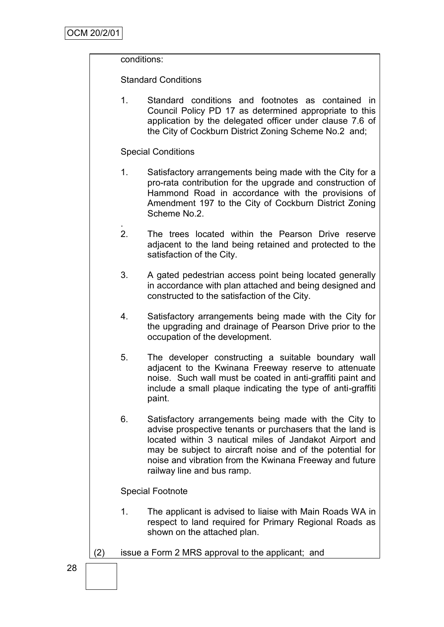#### conditions:

Standard Conditions

1. Standard conditions and footnotes as contained in Council Policy PD 17 as determined appropriate to this application by the delegated officer under clause 7.6 of the City of Cockburn District Zoning Scheme No.2 and;

#### Special Conditions

- 1. Satisfactory arrangements being made with the City for a pro-rata contribution for the upgrade and construction of Hammond Road in accordance with the provisions of Amendment 197 to the City of Cockburn District Zoning Scheme No.2.
- . 2. The trees located within the Pearson Drive reserve adjacent to the land being retained and protected to the satisfaction of the City.
- 3. A gated pedestrian access point being located generally in accordance with plan attached and being designed and constructed to the satisfaction of the City.
- 4. Satisfactory arrangements being made with the City for the upgrading and drainage of Pearson Drive prior to the occupation of the development.
- 5. The developer constructing a suitable boundary wall adjacent to the Kwinana Freeway reserve to attenuate noise. Such wall must be coated in anti-graffiti paint and include a small plaque indicating the type of anti-graffiti paint.
- 6. Satisfactory arrangements being made with the City to advise prospective tenants or purchasers that the land is located within 3 nautical miles of Jandakot Airport and may be subject to aircraft noise and of the potential for noise and vibration from the Kwinana Freeway and future railway line and bus ramp.

#### Special Footnote

- 1. The applicant is advised to liaise with Main Roads WA in respect to land required for Primary Regional Roads as shown on the attached plan.
- (2) issue a Form 2 MRS approval to the applicant; and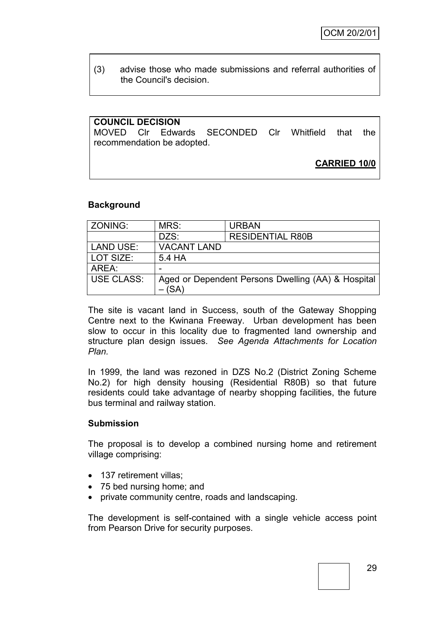(3) advise those who made submissions and referral authorities of the Council's decision.

| <b>COUNCIL DECISION</b> |                            |                                               |  |                     |      |
|-------------------------|----------------------------|-----------------------------------------------|--|---------------------|------|
|                         |                            | MOVED CIr Edwards SECONDED CIr Whitfield that |  |                     | the. |
|                         | recommendation be adopted. |                                               |  |                     |      |
|                         |                            |                                               |  |                     |      |
|                         |                            |                                               |  | <b>CARRIED 10/0</b> |      |

#### **Background**

| ZONING:           | MRS:                                               | <b>URBAN</b>            |
|-------------------|----------------------------------------------------|-------------------------|
|                   | DZS:                                               | <b>RESIDENTIAL R80B</b> |
| <b>LAND USE:</b>  | <b>VACANT LAND</b>                                 |                         |
| LOT SIZE:         | 5.4 HA                                             |                         |
| AREA:             |                                                    |                         |
| <b>USE CLASS:</b> | Aged or Dependent Persons Dwelling (AA) & Hospital |                         |
|                   | (SA)                                               |                         |

The site is vacant land in Success, south of the Gateway Shopping Centre next to the Kwinana Freeway. Urban development has been slow to occur in this locality due to fragmented land ownership and structure plan design issues. *See Agenda Attachments for Location Plan.*

In 1999, the land was rezoned in DZS No.2 (District Zoning Scheme No.2) for high density housing (Residential R80B) so that future residents could take advantage of nearby shopping facilities, the future bus terminal and railway station.

#### **Submission**

The proposal is to develop a combined nursing home and retirement village comprising:

- 137 retirement villas;
- 75 bed nursing home; and
- private community centre, roads and landscaping.

The development is self-contained with a single vehicle access point from Pearson Drive for security purposes.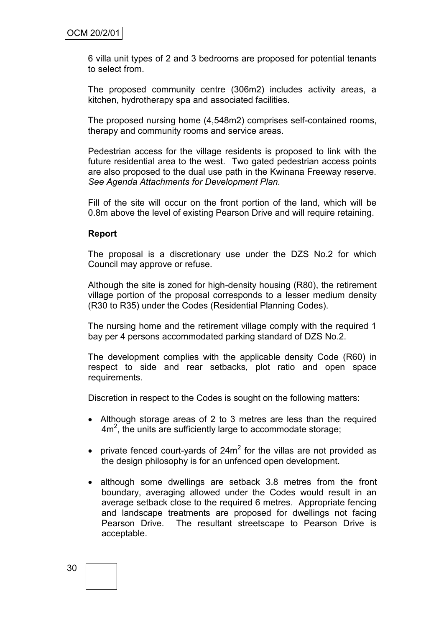6 villa unit types of 2 and 3 bedrooms are proposed for potential tenants to select from.

The proposed community centre (306m2) includes activity areas, a kitchen, hydrotherapy spa and associated facilities.

The proposed nursing home (4,548m2) comprises self-contained rooms, therapy and community rooms and service areas.

Pedestrian access for the village residents is proposed to link with the future residential area to the west. Two gated pedestrian access points are also proposed to the dual use path in the Kwinana Freeway reserve. *See Agenda Attachments for Development Plan.*

Fill of the site will occur on the front portion of the land, which will be 0.8m above the level of existing Pearson Drive and will require retaining.

#### **Report**

The proposal is a discretionary use under the DZS No.2 for which Council may approve or refuse.

Although the site is zoned for high-density housing (R80), the retirement village portion of the proposal corresponds to a lesser medium density (R30 to R35) under the Codes (Residential Planning Codes).

The nursing home and the retirement village comply with the required 1 bay per 4 persons accommodated parking standard of DZS No.2.

The development complies with the applicable density Code (R60) in respect to side and rear setbacks, plot ratio and open space requirements.

Discretion in respect to the Codes is sought on the following matters:

- Although storage areas of 2 to 3 metres are less than the required  $4m<sup>2</sup>$ , the units are sufficiently large to accommodate storage;
- private fenced court-yards of  $24m^2$  for the villas are not provided as the design philosophy is for an unfenced open development.
- although some dwellings are setback 3.8 metres from the front boundary, averaging allowed under the Codes would result in an average setback close to the required 6 metres. Appropriate fencing and landscape treatments are proposed for dwellings not facing Pearson Drive. The resultant streetscape to Pearson Drive is acceptable.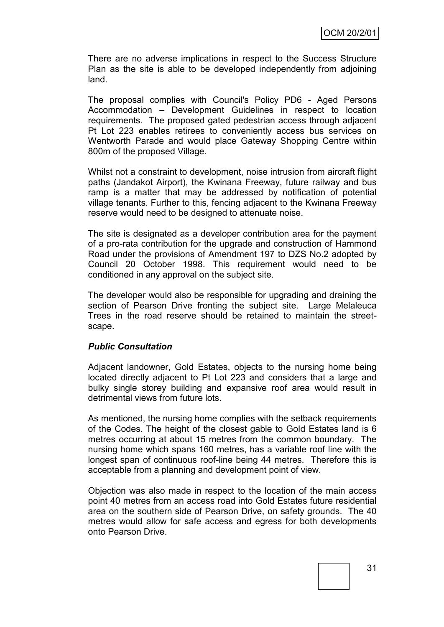There are no adverse implications in respect to the Success Structure Plan as the site is able to be developed independently from adjoining land.

The proposal complies with Council's Policy PD6 - Aged Persons Accommodation – Development Guidelines in respect to location requirements. The proposed gated pedestrian access through adjacent Pt Lot 223 enables retirees to conveniently access bus services on Wentworth Parade and would place Gateway Shopping Centre within 800m of the proposed Village.

Whilst not a constraint to development, noise intrusion from aircraft flight paths (Jandakot Airport), the Kwinana Freeway, future railway and bus ramp is a matter that may be addressed by notification of potential village tenants. Further to this, fencing adjacent to the Kwinana Freeway reserve would need to be designed to attenuate noise.

The site is designated as a developer contribution area for the payment of a pro-rata contribution for the upgrade and construction of Hammond Road under the provisions of Amendment 197 to DZS No.2 adopted by Council 20 October 1998. This requirement would need to be conditioned in any approval on the subject site.

The developer would also be responsible for upgrading and draining the section of Pearson Drive fronting the subject site. Large Melaleuca Trees in the road reserve should be retained to maintain the streetscape.

#### *Public Consultation*

Adjacent landowner, Gold Estates, objects to the nursing home being located directly adjacent to Pt Lot 223 and considers that a large and bulky single storey building and expansive roof area would result in detrimental views from future lots.

As mentioned, the nursing home complies with the setback requirements of the Codes. The height of the closest gable to Gold Estates land is 6 metres occurring at about 15 metres from the common boundary. The nursing home which spans 160 metres, has a variable roof line with the longest span of continuous roof-line being 44 metres. Therefore this is acceptable from a planning and development point of view.

Objection was also made in respect to the location of the main access point 40 metres from an access road into Gold Estates future residential area on the southern side of Pearson Drive, on safety grounds. The 40 metres would allow for safe access and egress for both developments onto Pearson Drive.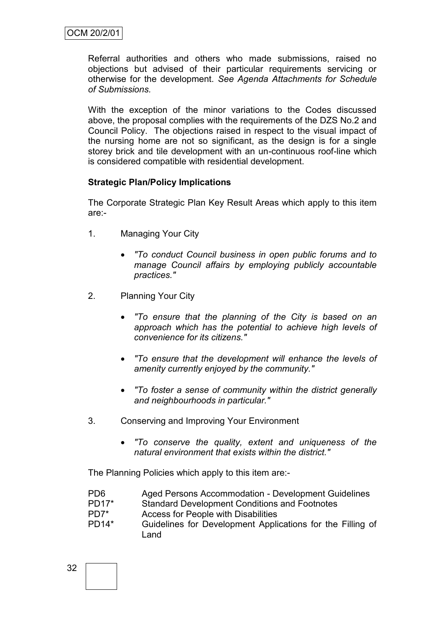Referral authorities and others who made submissions, raised no objections but advised of their particular requirements servicing or otherwise for the development. *See Agenda Attachments for Schedule of Submissions.*

With the exception of the minor variations to the Codes discussed above, the proposal complies with the requirements of the DZS No.2 and Council Policy. The objections raised in respect to the visual impact of the nursing home are not so significant, as the design is for a single storey brick and tile development with an un-continuous roof-line which is considered compatible with residential development.

#### **Strategic Plan/Policy Implications**

The Corporate Strategic Plan Key Result Areas which apply to this item are:-

- 1. Managing Your City
	- *"To conduct Council business in open public forums and to manage Council affairs by employing publicly accountable practices."*
- 2. Planning Your City
	- *"To ensure that the planning of the City is based on an approach which has the potential to achieve high levels of convenience for its citizens."*
	- *"To ensure that the development will enhance the levels of amenity currently enjoyed by the community."*
	- *"To foster a sense of community within the district generally and neighbourhoods in particular."*
- 3. Conserving and Improving Your Environment
	- *"To conserve the quality, extent and uniqueness of the natural environment that exists within the district."*

The Planning Policies which apply to this item are:-

- PD6 Aged Persons Accommodation Development Guidelines
- PD17\* Standard Development Conditions and Footnotes
- PD7\* Access for People with Disabilities
- PD14\* Guidelines for Development Applications for the Filling of Land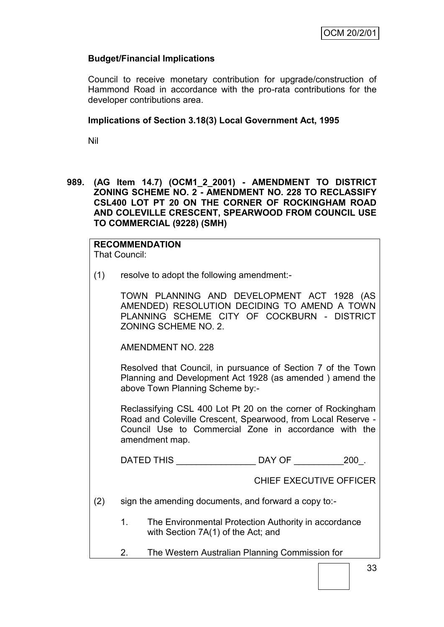## **Budget/Financial Implications**

Council to receive monetary contribution for upgrade/construction of Hammond Road in accordance with the pro-rata contributions for the developer contributions area.

## **Implications of Section 3.18(3) Local Government Act, 1995**

Nil

**989. (AG Item 14.7) (OCM1\_2\_2001) - AMENDMENT TO DISTRICT ZONING SCHEME NO. 2 - AMENDMENT NO. 228 TO RECLASSIFY CSL400 LOT PT 20 ON THE CORNER OF ROCKINGHAM ROAD AND COLEVILLE CRESCENT, SPEARWOOD FROM COUNCIL USE TO COMMERCIAL (9228) (SMH)**

# **RECOMMENDATION**

That Council:

(1) resolve to adopt the following amendment:-

TOWN PLANNING AND DEVELOPMENT ACT 1928 (AS AMENDED) RESOLUTION DECIDING TO AMEND A TOWN PLANNING SCHEME CITY OF COCKBURN - DISTRICT ZONING SCHEME NO. 2.

AMENDMENT NO. 228

Resolved that Council, in pursuance of Section 7 of the Town Planning and Development Act 1928 (as amended ) amend the above Town Planning Scheme by:-

Reclassifying CSL 400 Lot Pt 20 on the corner of Rockingham Road and Coleville Crescent, Spearwood, from Local Reserve - Council Use to Commercial Zone in accordance with the amendment map.

DATED THIS \_\_\_\_\_\_\_\_\_\_\_\_\_\_\_\_ DAY OF \_\_\_\_\_\_\_\_\_\_200\_.

CHIEF EXECUTIVE OFFICER

(2) sign the amending documents, and forward a copy to:-

- 1. The Environmental Protection Authority in accordance with Section 7A(1) of the Act; and
- 2. The Western Australian Planning Commission for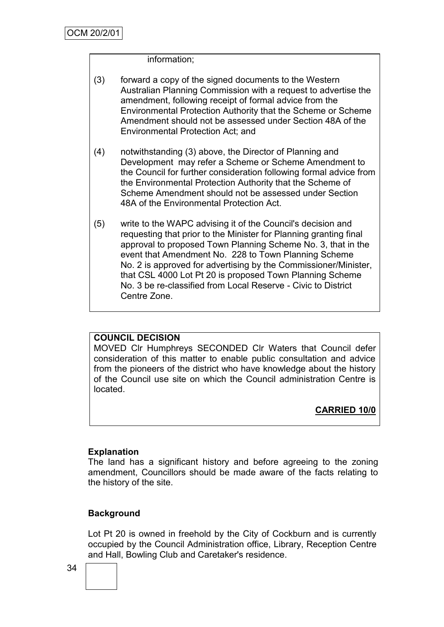#### information;

- (3) forward a copy of the signed documents to the Western Australian Planning Commission with a request to advertise the amendment, following receipt of formal advice from the Environmental Protection Authority that the Scheme or Scheme Amendment should not be assessed under Section 48A of the Environmental Protection Act; and
- (4) notwithstanding (3) above, the Director of Planning and Development may refer a Scheme or Scheme Amendment to the Council for further consideration following formal advice from the Environmental Protection Authority that the Scheme of Scheme Amendment should not be assessed under Section 48A of the Environmental Protection Act.
- (5) write to the WAPC advising it of the Council's decision and requesting that prior to the Minister for Planning granting final approval to proposed Town Planning Scheme No. 3, that in the event that Amendment No. 228 to Town Planning Scheme No. 2 is approved for advertising by the Commissioner/Minister, that CSL 4000 Lot Pt 20 is proposed Town Planning Scheme No. 3 be re-classified from Local Reserve - Civic to District Centre Zone.

# **COUNCIL DECISION**

MOVED Clr Humphreys SECONDED Clr Waters that Council defer consideration of this matter to enable public consultation and advice from the pioneers of the district who have knowledge about the history of the Council use site on which the Council administration Centre is located.

## **CARRIED 10/0**

## **Explanation**

The land has a significant history and before agreeing to the zoning amendment, Councillors should be made aware of the facts relating to the history of the site.

## **Background**

Lot Pt 20 is owned in freehold by the City of Cockburn and is currently occupied by the Council Administration office, Library, Reception Centre and Hall, Bowling Club and Caretaker's residence.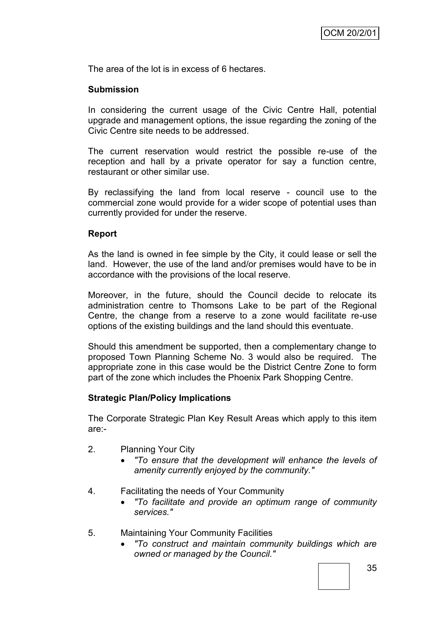The area of the lot is in excess of 6 hectares.

#### **Submission**

In considering the current usage of the Civic Centre Hall, potential upgrade and management options, the issue regarding the zoning of the Civic Centre site needs to be addressed.

The current reservation would restrict the possible re-use of the reception and hall by a private operator for say a function centre, restaurant or other similar use.

By reclassifying the land from local reserve - council use to the commercial zone would provide for a wider scope of potential uses than currently provided for under the reserve.

#### **Report**

As the land is owned in fee simple by the City, it could lease or sell the land. However, the use of the land and/or premises would have to be in accordance with the provisions of the local reserve.

Moreover, in the future, should the Council decide to relocate its administration centre to Thomsons Lake to be part of the Regional Centre, the change from a reserve to a zone would facilitate re-use options of the existing buildings and the land should this eventuate.

Should this amendment be supported, then a complementary change to proposed Town Planning Scheme No. 3 would also be required. The appropriate zone in this case would be the District Centre Zone to form part of the zone which includes the Phoenix Park Shopping Centre.

#### **Strategic Plan/Policy Implications**

The Corporate Strategic Plan Key Result Areas which apply to this item are:-

- 2. Planning Your City
	- *"To ensure that the development will enhance the levels of amenity currently enjoyed by the community."*
- 4. Facilitating the needs of Your Community
	- *"To facilitate and provide an optimum range of community services."*
- 5. Maintaining Your Community Facilities
	- *"To construct and maintain community buildings which are owned or managed by the Council."*

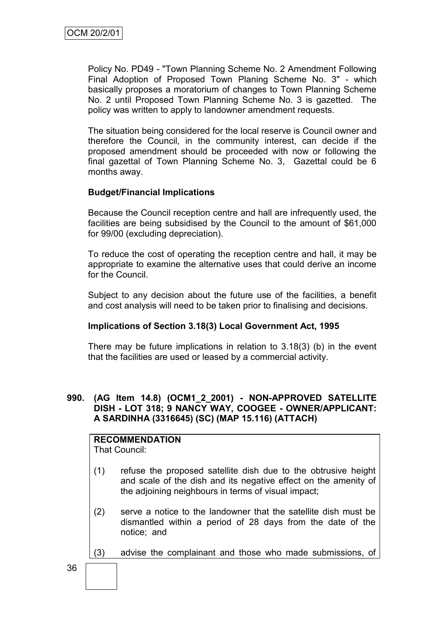Policy No. PD49 - "Town Planning Scheme No. 2 Amendment Following Final Adoption of Proposed Town Planing Scheme No. 3" - which basically proposes a moratorium of changes to Town Planning Scheme No. 2 until Proposed Town Planning Scheme No. 3 is gazetted. The policy was written to apply to landowner amendment requests.

The situation being considered for the local reserve is Council owner and therefore the Council, in the community interest, can decide if the proposed amendment should be proceeded with now or following the final gazettal of Town Planning Scheme No. 3, Gazettal could be 6 months away.

## **Budget/Financial Implications**

Because the Council reception centre and hall are infrequently used, the facilities are being subsidised by the Council to the amount of \$61,000 for 99/00 (excluding depreciation).

To reduce the cost of operating the reception centre and hall, it may be appropriate to examine the alternative uses that could derive an income for the Council.

Subject to any decision about the future use of the facilities, a benefit and cost analysis will need to be taken prior to finalising and decisions.

## **Implications of Section 3.18(3) Local Government Act, 1995**

There may be future implications in relation to 3.18(3) (b) in the event that the facilities are used or leased by a commercial activity.

#### **990. (AG Item 14.8) (OCM1\_2\_2001) - NON-APPROVED SATELLITE DISH - LOT 318; 9 NANCY WAY, COOGEE - OWNER/APPLICANT: A SARDINHA (3316645) (SC) (MAP 15.116) (ATTACH)**

# **RECOMMENDATION**

That Council:

- (1) refuse the proposed satellite dish due to the obtrusive height and scale of the dish and its negative effect on the amenity of the adjoining neighbours in terms of visual impact;
- (2) serve a notice to the landowner that the satellite dish must be dismantled within a period of 28 days from the date of the notice; and
- (3) advise the complainant and those who made submissions, of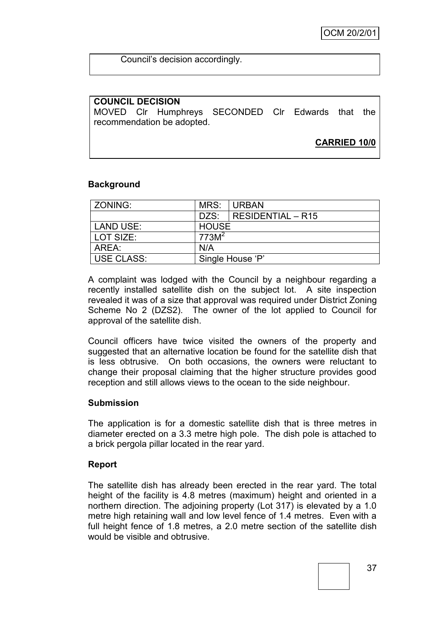Council"s decision accordingly.

# **COUNCIL DECISION** MOVED Clr Humphreys SECONDED Clr Edwards that the recommendation be adopted.

**CARRIED 10/0**

#### **Background**

| ZONING:           | MRS:              | <b>URBAN</b>      |
|-------------------|-------------------|-------------------|
|                   | DZS:              | RESIDENTIAL - R15 |
| LAND USE:         | <b>HOUSE</b>      |                   |
| LOT SIZE:         | 773M <sup>2</sup> |                   |
| AREA:             | N/A               |                   |
| <b>USE CLASS:</b> | Single House 'P'  |                   |

A complaint was lodged with the Council by a neighbour regarding a recently installed satellite dish on the subject lot. A site inspection revealed it was of a size that approval was required under District Zoning Scheme No 2 (DZS2). The owner of the lot applied to Council for approval of the satellite dish.

Council officers have twice visited the owners of the property and suggested that an alternative location be found for the satellite dish that is less obtrusive. On both occasions, the owners were reluctant to change their proposal claiming that the higher structure provides good reception and still allows views to the ocean to the side neighbour.

#### **Submission**

The application is for a domestic satellite dish that is three metres in diameter erected on a 3.3 metre high pole. The dish pole is attached to a brick pergola pillar located in the rear yard.

## **Report**

The satellite dish has already been erected in the rear yard. The total height of the facility is 4.8 metres (maximum) height and oriented in a northern direction. The adjoining property (Lot 317) is elevated by a 1.0 metre high retaining wall and low level fence of 1.4 metres. Even with a full height fence of 1.8 metres, a 2.0 metre section of the satellite dish would be visible and obtrusive.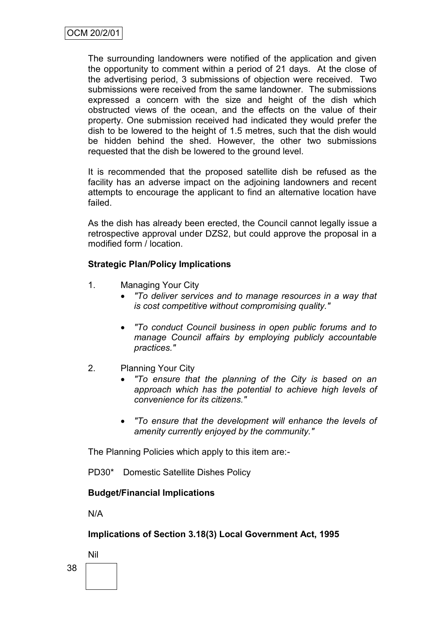The surrounding landowners were notified of the application and given the opportunity to comment within a period of 21 days. At the close of the advertising period, 3 submissions of objection were received. Two submissions were received from the same landowner. The submissions expressed a concern with the size and height of the dish which obstructed views of the ocean, and the effects on the value of their property. One submission received had indicated they would prefer the dish to be lowered to the height of 1.5 metres, such that the dish would be hidden behind the shed. However, the other two submissions requested that the dish be lowered to the ground level.

It is recommended that the proposed satellite dish be refused as the facility has an adverse impact on the adjoining landowners and recent attempts to encourage the applicant to find an alternative location have failed.

As the dish has already been erected, the Council cannot legally issue a retrospective approval under DZS2, but could approve the proposal in a modified form / location.

# **Strategic Plan/Policy Implications**

- 1. Managing Your City
	- *"To deliver services and to manage resources in a way that is cost competitive without compromising quality."*
	- *"To conduct Council business in open public forums and to manage Council affairs by employing publicly accountable practices."*
- 2. Planning Your City
	- *"To ensure that the planning of the City is based on an approach which has the potential to achieve high levels of convenience for its citizens."*
	- *"To ensure that the development will enhance the levels of amenity currently enjoyed by the community."*

The Planning Policies which apply to this item are:-

PD30\* Domestic Satellite Dishes Policy

## **Budget/Financial Implications**

N/A

## **Implications of Section 3.18(3) Local Government Act, 1995**

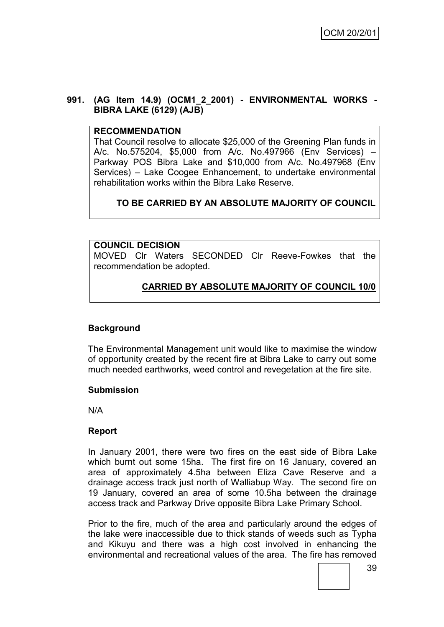## **991. (AG Item 14.9) (OCM1\_2\_2001) - ENVIRONMENTAL WORKS - BIBRA LAKE (6129) (AJB)**

#### **RECOMMENDATION**

That Council resolve to allocate \$25,000 of the Greening Plan funds in A/c. No.575204, \$5,000 from A/c. No.497966 (Env Services) – Parkway POS Bibra Lake and \$10,000 from A/c. No.497968 (Env Services) – Lake Coogee Enhancement, to undertake environmental rehabilitation works within the Bibra Lake Reserve.

# **TO BE CARRIED BY AN ABSOLUTE MAJORITY OF COUNCIL**

## **COUNCIL DECISION**

MOVED Clr Waters SECONDED Clr Reeve-Fowkes that the recommendation be adopted.

# **CARRIED BY ABSOLUTE MAJORITY OF COUNCIL 10/0**

## **Background**

The Environmental Management unit would like to maximise the window of opportunity created by the recent fire at Bibra Lake to carry out some much needed earthworks, weed control and revegetation at the fire site.

## **Submission**

N/A

## **Report**

In January 2001, there were two fires on the east side of Bibra Lake which burnt out some 15ha. The first fire on 16 January, covered an area of approximately 4.5ha between Eliza Cave Reserve and a drainage access track just north of Walliabup Way. The second fire on 19 January, covered an area of some 10.5ha between the drainage access track and Parkway Drive opposite Bibra Lake Primary School.

Prior to the fire, much of the area and particularly around the edges of the lake were inaccessible due to thick stands of weeds such as Typha and Kikuyu and there was a high cost involved in enhancing the environmental and recreational values of the area. The fire has removed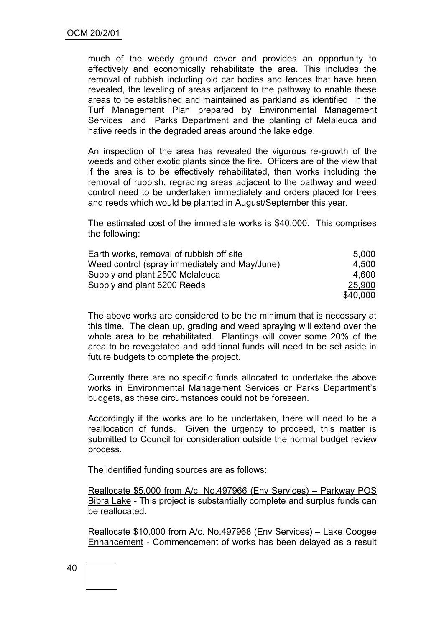much of the weedy ground cover and provides an opportunity to effectively and economically rehabilitate the area. This includes the removal of rubbish including old car bodies and fences that have been revealed, the leveling of areas adjacent to the pathway to enable these areas to be established and maintained as parkland as identified in the Turf Management Plan prepared by Environmental Management Services and Parks Department and the planting of Melaleuca and native reeds in the degraded areas around the lake edge.

An inspection of the area has revealed the vigorous re-growth of the weeds and other exotic plants since the fire. Officers are of the view that if the area is to be effectively rehabilitated, then works including the removal of rubbish, regrading areas adjacent to the pathway and weed control need to be undertaken immediately and orders placed for trees and reeds which would be planted in August/September this year.

The estimated cost of the immediate works is \$40,000. This comprises the following:

| Earth works, removal of rubbish off site      | 5.000    |
|-----------------------------------------------|----------|
| Weed control (spray immediately and May/June) | 4.500    |
| Supply and plant 2500 Melaleuca               | 4.600    |
| Supply and plant 5200 Reeds                   | 25,900   |
|                                               | \$40,000 |

The above works are considered to be the minimum that is necessary at this time. The clean up, grading and weed spraying will extend over the whole area to be rehabilitated. Plantings will cover some 20% of the area to be revegetated and additional funds will need to be set aside in future budgets to complete the project.

Currently there are no specific funds allocated to undertake the above works in Environmental Management Services or Parks Department"s budgets, as these circumstances could not be foreseen.

Accordingly if the works are to be undertaken, there will need to be a reallocation of funds. Given the urgency to proceed, this matter is submitted to Council for consideration outside the normal budget review process.

The identified funding sources are as follows:

Reallocate \$5,000 from A/c. No.497966 (Env Services) – Parkway POS Bibra Lake - This project is substantially complete and surplus funds can be reallocated.

Reallocate \$10,000 from A/c. No.497968 (Env Services) – Lake Coogee Enhancement - Commencement of works has been delayed as a result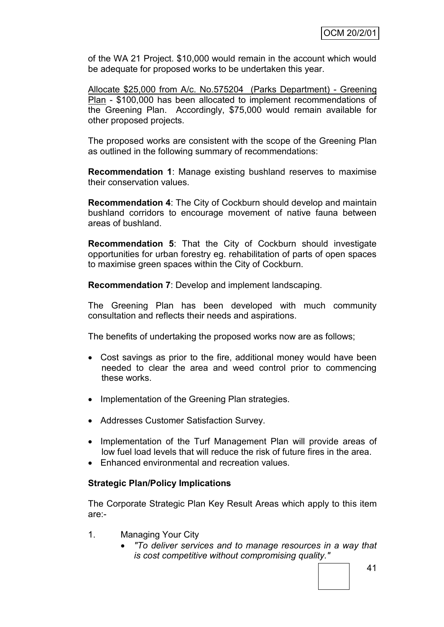of the WA 21 Project. \$10,000 would remain in the account which would be adequate for proposed works to be undertaken this year.

Allocate \$25,000 from A/c. No.575204 (Parks Department) - Greening Plan - \$100,000 has been allocated to implement recommendations of the Greening Plan. Accordingly, \$75,000 would remain available for other proposed projects.

The proposed works are consistent with the scope of the Greening Plan as outlined in the following summary of recommendations:

**Recommendation 1**: Manage existing bushland reserves to maximise their conservation values.

**Recommendation 4**: The City of Cockburn should develop and maintain bushland corridors to encourage movement of native fauna between areas of bushland.

**Recommendation 5**: That the City of Cockburn should investigate opportunities for urban forestry eg. rehabilitation of parts of open spaces to maximise green spaces within the City of Cockburn.

**Recommendation 7**: Develop and implement landscaping.

The Greening Plan has been developed with much community consultation and reflects their needs and aspirations.

The benefits of undertaking the proposed works now are as follows;

- Cost savings as prior to the fire, additional money would have been needed to clear the area and weed control prior to commencing these works.
- Implementation of the Greening Plan strategies.
- Addresses Customer Satisfaction Survey.
- Implementation of the Turf Management Plan will provide areas of low fuel load levels that will reduce the risk of future fires in the area.
- Enhanced environmental and recreation values

#### **Strategic Plan/Policy Implications**

The Corporate Strategic Plan Key Result Areas which apply to this item are:-

- 1. Managing Your City
	- *"To deliver services and to manage resources in a way that is cost competitive without compromising quality."*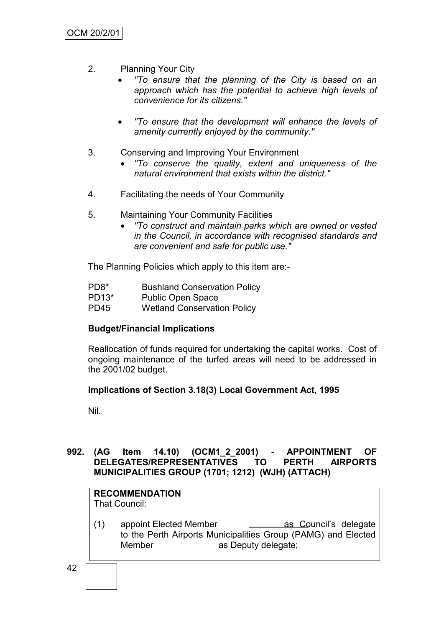- 2. Planning Your City
	- *"To ensure that the planning of the City is based on an approach which has the potential to achieve high levels of convenience for its citizens."*
	- *"To ensure that the development will enhance the levels of amenity currently enjoyed by the community."*
- 3. Conserving and Improving Your Environment
	- *"To conserve the quality, extent and uniqueness of the natural environment that exists within the district."*
- 4. Facilitating the needs of Your Community
- 5. Maintaining Your Community Facilities
	- *"To construct and maintain parks which are owned or vested in the Council, in accordance with recognised standards and are convenient and safe for public use."*

The Planning Policies which apply to this item are:-

| PD <sub>8</sub> * | <b>Bushland Conservation Policy</b> |
|-------------------|-------------------------------------|
| PD13*             | <b>Public Open Space</b>            |
| PD45              | <b>Wetland Conservation Policy</b>  |

## **Budget/Financial Implications**

Reallocation of funds required for undertaking the capital works. Cost of ongoing maintenance of the turfed areas will need to be addressed in the 2001/02 budget.

## **Implications of Section 3.18(3) Local Government Act, 1995**

Nil.

## **992. (AG Item 14.10) (OCM1\_2\_2001) - APPOINTMENT OF DELEGATES/REPRESENTATIVES TO PERTH AIRPORTS MUNICIPALITIES GROUP (1701; 1212) (WJH) (ATTACH)**

# **RECOMMENDATION**

That Council:

(1) appoint Elected Member **as Council's delegate** to the Perth Airports Municipalities Group (PAMG) and Elected Member as Deputy delegate;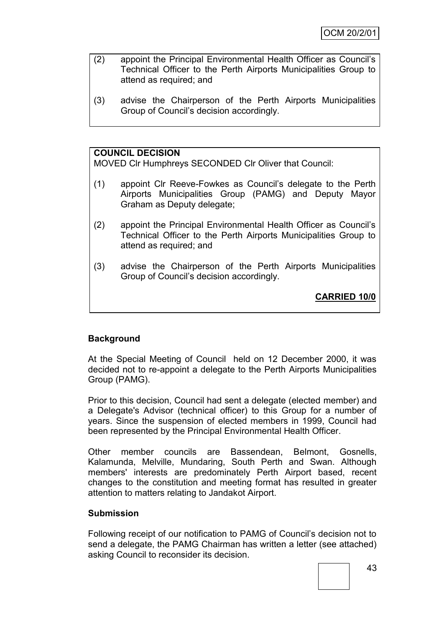- (2) appoint the Principal Environmental Health Officer as Council"s Technical Officer to the Perth Airports Municipalities Group to attend as required; and
- (3) advise the Chairperson of the Perth Airports Municipalities Group of Council"s decision accordingly.

## **COUNCIL DECISION**

MOVED Clr Humphreys SECONDED Clr Oliver that Council:

- (1) appoint Clr Reeve-Fowkes as Council"s delegate to the Perth Airports Municipalities Group (PAMG) and Deputy Mayor Graham as Deputy delegate;
- (2) appoint the Principal Environmental Health Officer as Council"s Technical Officer to the Perth Airports Municipalities Group to attend as required; and
- (3) advise the Chairperson of the Perth Airports Municipalities Group of Council"s decision accordingly.

**CARRIED 10/0**

## **Background**

At the Special Meeting of Council held on 12 December 2000, it was decided not to re-appoint a delegate to the Perth Airports Municipalities Group (PAMG).

Prior to this decision, Council had sent a delegate (elected member) and a Delegate's Advisor (technical officer) to this Group for a number of years. Since the suspension of elected members in 1999, Council had been represented by the Principal Environmental Health Officer.

Other member councils are Bassendean, Belmont, Gosnells, Kalamunda, Melville, Mundaring, South Perth and Swan. Although members' interests are predominately Perth Airport based, recent changes to the constitution and meeting format has resulted in greater attention to matters relating to Jandakot Airport.

#### **Submission**

Following receipt of our notification to PAMG of Council"s decision not to send a delegate, the PAMG Chairman has written a letter (see attached) asking Council to reconsider its decision.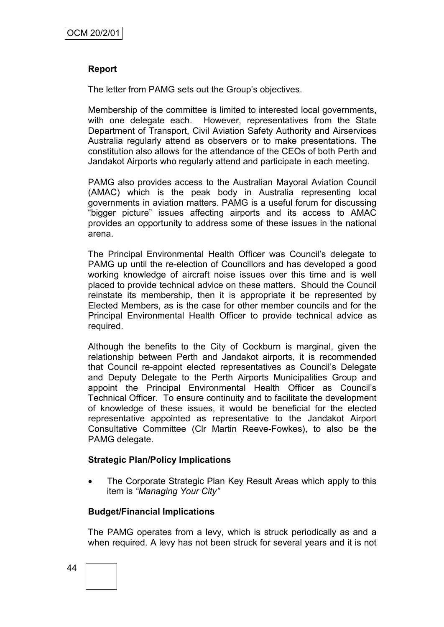## **Report**

The letter from PAMG sets out the Group"s objectives.

Membership of the committee is limited to interested local governments, with one delegate each. However, representatives from the State Department of Transport, Civil Aviation Safety Authority and Airservices Australia regularly attend as observers or to make presentations. The constitution also allows for the attendance of the CEOs of both Perth and Jandakot Airports who regularly attend and participate in each meeting.

PAMG also provides access to the Australian Mayoral Aviation Council (AMAC) which is the peak body in Australia representing local governments in aviation matters. PAMG is a useful forum for discussing "bigger picture" issues affecting airports and its access to AMAC provides an opportunity to address some of these issues in the national arena.

The Principal Environmental Health Officer was Council"s delegate to PAMG up until the re-election of Councillors and has developed a good working knowledge of aircraft noise issues over this time and is well placed to provide technical advice on these matters. Should the Council reinstate its membership, then it is appropriate it be represented by Elected Members, as is the case for other member councils and for the Principal Environmental Health Officer to provide technical advice as required.

Although the benefits to the City of Cockburn is marginal, given the relationship between Perth and Jandakot airports, it is recommended that Council re-appoint elected representatives as Council"s Delegate and Deputy Delegate to the Perth Airports Municipalities Group and appoint the Principal Environmental Health Officer as Council"s Technical Officer. To ensure continuity and to facilitate the development of knowledge of these issues, it would be beneficial for the elected representative appointed as representative to the Jandakot Airport Consultative Committee (Clr Martin Reeve-Fowkes), to also be the PAMG delegate.

## **Strategic Plan/Policy Implications**

 The Corporate Strategic Plan Key Result Areas which apply to this item is *"Managing Your City"*

# **Budget/Financial Implications**

The PAMG operates from a levy, which is struck periodically as and a when required. A levy has not been struck for several years and it is not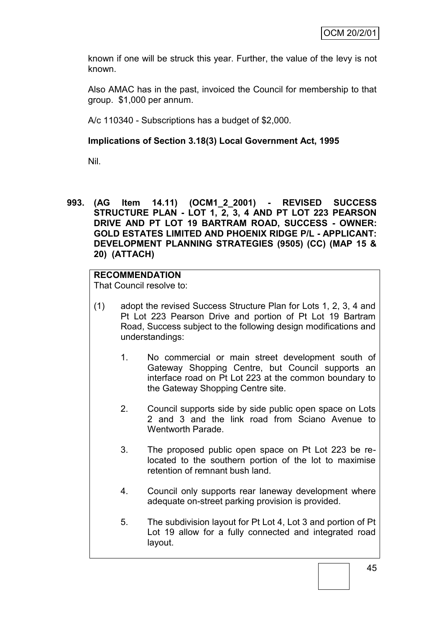known if one will be struck this year. Further, the value of the levy is not known.

Also AMAC has in the past, invoiced the Council for membership to that group. \$1,000 per annum.

A/c 110340 - Subscriptions has a budget of \$2,000.

## **Implications of Section 3.18(3) Local Government Act, 1995**

Nil.

**993. (AG Item 14.11) (OCM1\_2\_2001) - REVISED SUCCESS STRUCTURE PLAN - LOT 1, 2, 3, 4 AND PT LOT 223 PEARSON DRIVE AND PT LOT 19 BARTRAM ROAD, SUCCESS - OWNER: GOLD ESTATES LIMITED AND PHOENIX RIDGE P/L - APPLICANT: DEVELOPMENT PLANNING STRATEGIES (9505) (CC) (MAP 15 & 20) (ATTACH)**

# **RECOMMENDATION**

That Council resolve to:

- (1) adopt the revised Success Structure Plan for Lots 1, 2, 3, 4 and Pt Lot 223 Pearson Drive and portion of Pt Lot 19 Bartram Road, Success subject to the following design modifications and understandings:
	- 1. No commercial or main street development south of Gateway Shopping Centre, but Council supports an interface road on Pt Lot 223 at the common boundary to the Gateway Shopping Centre site.
	- 2. Council supports side by side public open space on Lots 2 and 3 and the link road from Sciano Avenue to Wentworth Parade.
	- 3. The proposed public open space on Pt Lot 223 be relocated to the southern portion of the lot to maximise retention of remnant bush land.
	- 4. Council only supports rear laneway development where adequate on-street parking provision is provided.
	- 5. The subdivision layout for Pt Lot 4, Lot 3 and portion of Pt Lot 19 allow for a fully connected and integrated road layout.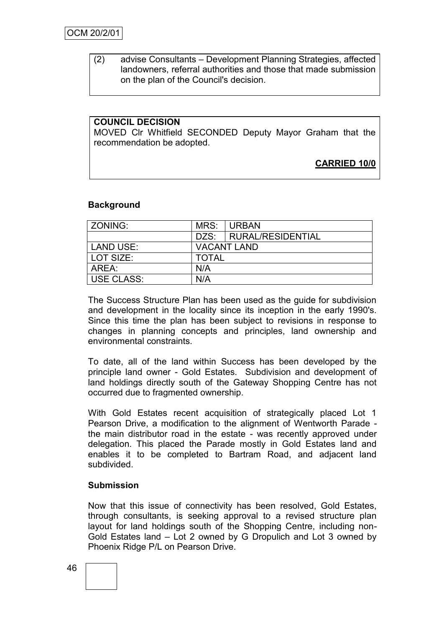(2) advise Consultants – Development Planning Strategies, affected landowners, referral authorities and those that made submission on the plan of the Council's decision.

## **COUNCIL DECISION**

MOVED Clr Whitfield SECONDED Deputy Mayor Graham that the recommendation be adopted.

**CARRIED 10/0**

#### **Background**

| <b>ZONING:</b>    |                    | MRS: URBAN             |
|-------------------|--------------------|------------------------|
|                   |                    | DZS: RURAL/RESIDENTIAL |
| LAND USE:         | <b>VACANT LAND</b> |                        |
| l LOT SIZE:       | <b>TOTAL</b>       |                        |
| AREA:             | N/A                |                        |
| <b>USE CLASS:</b> | N/A                |                        |

The Success Structure Plan has been used as the guide for subdivision and development in the locality since its inception in the early 1990's. Since this time the plan has been subject to revisions in response to changes in planning concepts and principles, land ownership and environmental constraints.

To date, all of the land within Success has been developed by the principle land owner - Gold Estates. Subdivision and development of land holdings directly south of the Gateway Shopping Centre has not occurred due to fragmented ownership.

With Gold Estates recent acquisition of strategically placed Lot 1 Pearson Drive, a modification to the alignment of Wentworth Parade the main distributor road in the estate - was recently approved under delegation. This placed the Parade mostly in Gold Estates land and enables it to be completed to Bartram Road, and adjacent land subdivided.

#### **Submission**

Now that this issue of connectivity has been resolved, Gold Estates, through consultants, is seeking approval to a revised structure plan layout for land holdings south of the Shopping Centre, including non-Gold Estates land – Lot 2 owned by G Dropulich and Lot 3 owned by Phoenix Ridge P/L on Pearson Drive.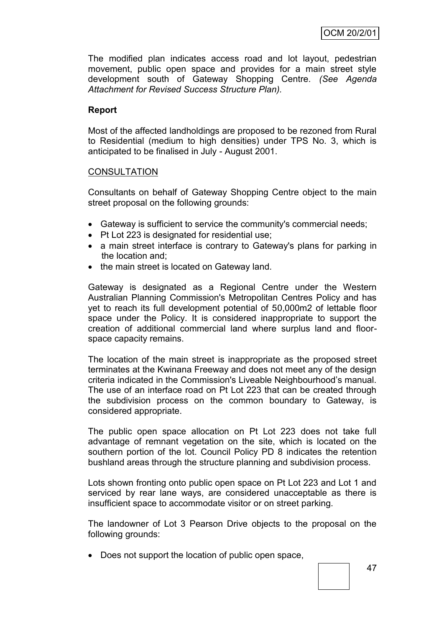The modified plan indicates access road and lot layout, pedestrian movement, public open space and provides for a main street style development south of Gateway Shopping Centre*. (See Agenda Attachment for Revised Success Structure Plan).*

## **Report**

Most of the affected landholdings are proposed to be rezoned from Rural to Residential (medium to high densities) under TPS No. 3, which is anticipated to be finalised in July - August 2001.

## **CONSULTATION**

Consultants on behalf of Gateway Shopping Centre object to the main street proposal on the following grounds:

- Gateway is sufficient to service the community's commercial needs;
- Pt Lot 223 is designated for residential use;
- a main street interface is contrary to Gateway's plans for parking in the location and;
- the main street is located on Gateway land.

Gateway is designated as a Regional Centre under the Western Australian Planning Commission's Metropolitan Centres Policy and has yet to reach its full development potential of 50,000m2 of lettable floor space under the Policy. It is considered inappropriate to support the creation of additional commercial land where surplus land and floorspace capacity remains.

The location of the main street is inappropriate as the proposed street terminates at the Kwinana Freeway and does not meet any of the design criteria indicated in the Commission's Liveable Neighbourhood"s manual. The use of an interface road on Pt Lot 223 that can be created through the subdivision process on the common boundary to Gateway, is considered appropriate.

The public open space allocation on Pt Lot 223 does not take full advantage of remnant vegetation on the site, which is located on the southern portion of the lot. Council Policy PD 8 indicates the retention bushland areas through the structure planning and subdivision process.

Lots shown fronting onto public open space on Pt Lot 223 and Lot 1 and serviced by rear lane ways, are considered unacceptable as there is insufficient space to accommodate visitor or on street parking.

The landowner of Lot 3 Pearson Drive objects to the proposal on the following grounds:

• Does not support the location of public open space,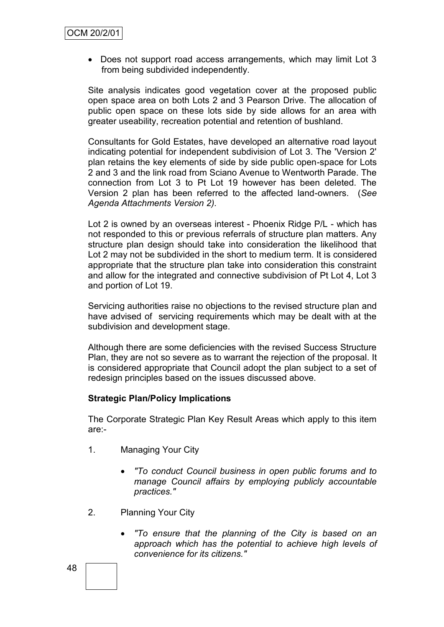• Does not support road access arrangements, which may limit Lot 3 from being subdivided independently.

Site analysis indicates good vegetation cover at the proposed public open space area on both Lots 2 and 3 Pearson Drive. The allocation of public open space on these lots side by side allows for an area with greater useability, recreation potential and retention of bushland.

Consultants for Gold Estates, have developed an alternative road layout indicating potential for independent subdivision of Lot 3. The 'Version 2' plan retains the key elements of side by side public open-space for Lots 2 and 3 and the link road from Sciano Avenue to Wentworth Parade. The connection from Lot 3 to Pt Lot 19 however has been deleted. The Version 2 plan has been referred to the affected land-owners. (*See Agenda Attachments Version 2).*

Lot 2 is owned by an overseas interest - Phoenix Ridge P/L - which has not responded to this or previous referrals of structure plan matters. Any structure plan design should take into consideration the likelihood that Lot 2 may not be subdivided in the short to medium term. It is considered appropriate that the structure plan take into consideration this constraint and allow for the integrated and connective subdivision of Pt Lot 4, Lot 3 and portion of Lot 19.

Servicing authorities raise no objections to the revised structure plan and have advised of servicing requirements which may be dealt with at the subdivision and development stage.

Although there are some deficiencies with the revised Success Structure Plan, they are not so severe as to warrant the rejection of the proposal. It is considered appropriate that Council adopt the plan subject to a set of redesign principles based on the issues discussed above.

## **Strategic Plan/Policy Implications**

The Corporate Strategic Plan Key Result Areas which apply to this item are:-

- 1. Managing Your City
	- *"To conduct Council business in open public forums and to manage Council affairs by employing publicly accountable practices."*
- 2. Planning Your City
	- *"To ensure that the planning of the City is based on an approach which has the potential to achieve high levels of convenience for its citizens."*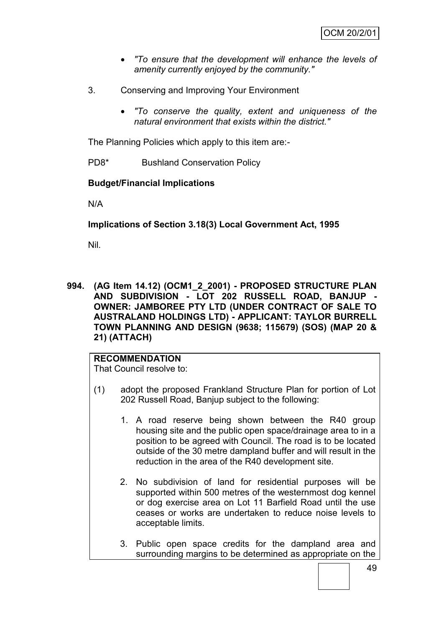- *"To ensure that the development will enhance the levels of amenity currently enjoyed by the community."*
- 3. Conserving and Improving Your Environment
	- *"To conserve the quality, extent and uniqueness of the natural environment that exists within the district."*

The Planning Policies which apply to this item are:-

PD8\* Bushland Conservation Policy

#### **Budget/Financial Implications**

N/A

**Implications of Section 3.18(3) Local Government Act, 1995**

Nil.

**994. (AG Item 14.12) (OCM1\_2\_2001) - PROPOSED STRUCTURE PLAN AND SUBDIVISION - LOT 202 RUSSELL ROAD, BANJUP - OWNER: JAMBOREE PTY LTD (UNDER CONTRACT OF SALE TO AUSTRALAND HOLDINGS LTD) - APPLICANT: TAYLOR BURRELL TOWN PLANNING AND DESIGN (9638; 115679) (SOS) (MAP 20 & 21) (ATTACH)**

# **RECOMMENDATION**

That Council resolve to:

- (1) adopt the proposed Frankland Structure Plan for portion of Lot 202 Russell Road, Banjup subject to the following:
	- 1. A road reserve being shown between the R40 group housing site and the public open space/drainage area to in a position to be agreed with Council. The road is to be located outside of the 30 metre dampland buffer and will result in the reduction in the area of the R40 development site.
	- 2. No subdivision of land for residential purposes will be supported within 500 metres of the westernmost dog kennel or dog exercise area on Lot 11 Barfield Road until the use ceases or works are undertaken to reduce noise levels to acceptable limits.
	- 3. Public open space credits for the dampland area and surrounding margins to be determined as appropriate on the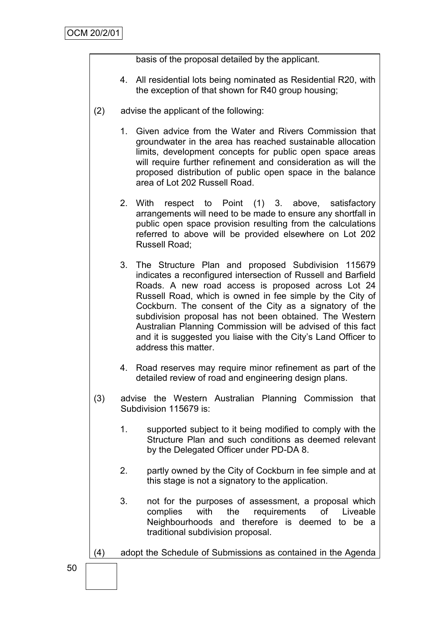basis of the proposal detailed by the applicant.

- 4. All residential lots being nominated as Residential R20, with the exception of that shown for R40 group housing;
- (2) advise the applicant of the following:
	- 1. Given advice from the Water and Rivers Commission that groundwater in the area has reached sustainable allocation limits, development concepts for public open space areas will require further refinement and consideration as will the proposed distribution of public open space in the balance area of Lot 202 Russell Road.
	- 2. With respect to Point (1) 3. above, satisfactory arrangements will need to be made to ensure any shortfall in public open space provision resulting from the calculations referred to above will be provided elsewhere on Lot 202 Russell Road;
	- 3. The Structure Plan and proposed Subdivision 115679 indicates a reconfigured intersection of Russell and Barfield Roads. A new road access is proposed across Lot 24 Russell Road, which is owned in fee simple by the City of Cockburn. The consent of the City as a signatory of the subdivision proposal has not been obtained. The Western Australian Planning Commission will be advised of this fact and it is suggested you liaise with the City"s Land Officer to address this matter.
	- 4. Road reserves may require minor refinement as part of the detailed review of road and engineering design plans.
- (3) advise the Western Australian Planning Commission that Subdivision 115679 is:
	- 1. supported subject to it being modified to comply with the Structure Plan and such conditions as deemed relevant by the Delegated Officer under PD-DA 8.
	- 2. partly owned by the City of Cockburn in fee simple and at this stage is not a signatory to the application.
	- 3. not for the purposes of assessment, a proposal which complies with the requirements of Liveable Neighbourhoods and therefore is deemed to be a traditional subdivision proposal.
- (4) adopt the Schedule of Submissions as contained in the Agenda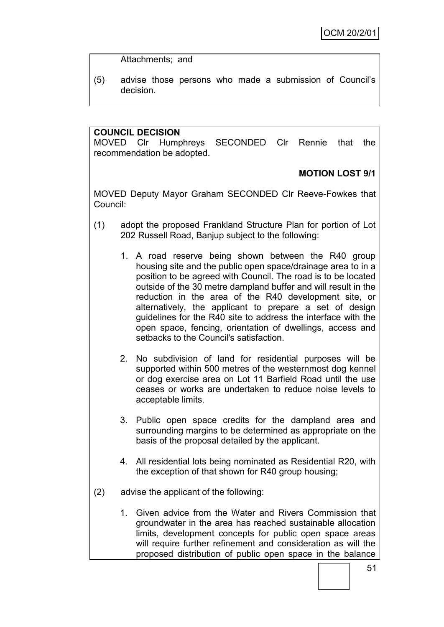Attachments; and

(5) advise those persons who made a submission of Council"s decision.

## **COUNCIL DECISION**

MOVED Clr Humphreys SECONDED Clr Rennie that the recommendation be adopted.

## **MOTION LOST 9/1**

MOVED Deputy Mayor Graham SECONDED Clr Reeve-Fowkes that Council:

- (1) adopt the proposed Frankland Structure Plan for portion of Lot 202 Russell Road, Banjup subject to the following:
	- 1. A road reserve being shown between the R40 group housing site and the public open space/drainage area to in a position to be agreed with Council. The road is to be located outside of the 30 metre dampland buffer and will result in the reduction in the area of the R40 development site, or alternatively, the applicant to prepare a set of design guidelines for the R40 site to address the interface with the open space, fencing, orientation of dwellings, access and setbacks to the Council's satisfaction.
	- 2. No subdivision of land for residential purposes will be supported within 500 metres of the westernmost dog kennel or dog exercise area on Lot 11 Barfield Road until the use ceases or works are undertaken to reduce noise levels to acceptable limits.
	- 3. Public open space credits for the dampland area and surrounding margins to be determined as appropriate on the basis of the proposal detailed by the applicant.
	- 4. All residential lots being nominated as Residential R20, with the exception of that shown for R40 group housing;
- (2) advise the applicant of the following:
	- 1. Given advice from the Water and Rivers Commission that groundwater in the area has reached sustainable allocation limits, development concepts for public open space areas will require further refinement and consideration as will the proposed distribution of public open space in the balance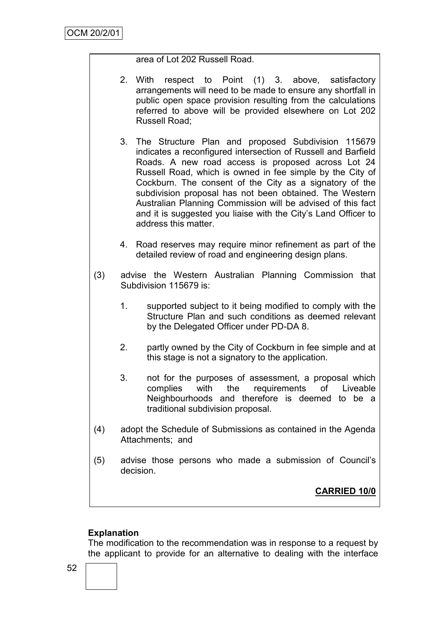#### area of Lot 202 Russell Road.

- 2. With respect to Point (1) 3. above, satisfactory arrangements will need to be made to ensure any shortfall in public open space provision resulting from the calculations referred to above will be provided elsewhere on Lot 202 Russell Road;
- 3. The Structure Plan and proposed Subdivision 115679 indicates a reconfigured intersection of Russell and Barfield Roads. A new road access is proposed across Lot 24 Russell Road, which is owned in fee simple by the City of Cockburn. The consent of the City as a signatory of the subdivision proposal has not been obtained. The Western Australian Planning Commission will be advised of this fact and it is suggested you liaise with the City"s Land Officer to address this matter.
- 4. Road reserves may require minor refinement as part of the detailed review of road and engineering design plans.
- (3) advise the Western Australian Planning Commission that Subdivision 115679 is:
	- 1. supported subject to it being modified to comply with the Structure Plan and such conditions as deemed relevant by the Delegated Officer under PD-DA 8.
	- 2. partly owned by the City of Cockburn in fee simple and at this stage is not a signatory to the application.
	- 3. not for the purposes of assessment, a proposal which complies with the requirements of Liveable Neighbourhoods and therefore is deemed to be a traditional subdivision proposal.
- (4) adopt the Schedule of Submissions as contained in the Agenda Attachments; and
- (5) advise those persons who made a submission of Council"s decision.

# **CARRIED 10/0**

## **Explanation**

The modification to the recommendation was in response to a request by the applicant to provide for an alternative to dealing with the interface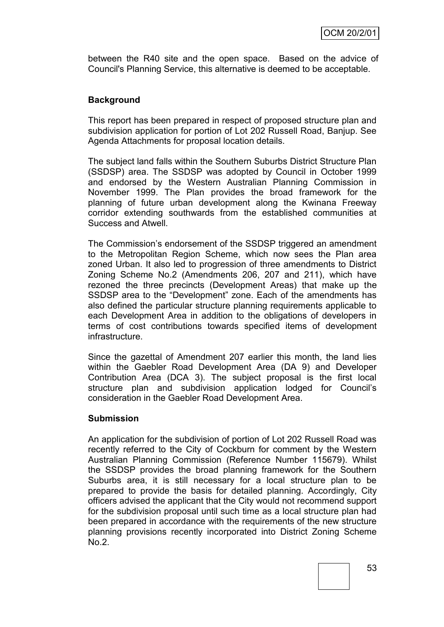between the R40 site and the open space. Based on the advice of Council's Planning Service, this alternative is deemed to be acceptable.

## **Background**

This report has been prepared in respect of proposed structure plan and subdivision application for portion of Lot 202 Russell Road, Banjup. See Agenda Attachments for proposal location details.

The subject land falls within the Southern Suburbs District Structure Plan (SSDSP) area. The SSDSP was adopted by Council in October 1999 and endorsed by the Western Australian Planning Commission in November 1999. The Plan provides the broad framework for the planning of future urban development along the Kwinana Freeway corridor extending southwards from the established communities at Success and Atwell.

The Commission"s endorsement of the SSDSP triggered an amendment to the Metropolitan Region Scheme, which now sees the Plan area zoned Urban. It also led to progression of three amendments to District Zoning Scheme No.2 (Amendments 206, 207 and 211), which have rezoned the three precincts (Development Areas) that make up the SSDSP area to the "Development" zone. Each of the amendments has also defined the particular structure planning requirements applicable to each Development Area in addition to the obligations of developers in terms of cost contributions towards specified items of development infrastructure.

Since the gazettal of Amendment 207 earlier this month, the land lies within the Gaebler Road Development Area (DA 9) and Developer Contribution Area (DCA 3). The subject proposal is the first local structure plan and subdivision application lodged for Council's consideration in the Gaebler Road Development Area.

## **Submission**

An application for the subdivision of portion of Lot 202 Russell Road was recently referred to the City of Cockburn for comment by the Western Australian Planning Commission (Reference Number 115679). Whilst the SSDSP provides the broad planning framework for the Southern Suburbs area, it is still necessary for a local structure plan to be prepared to provide the basis for detailed planning. Accordingly, City officers advised the applicant that the City would not recommend support for the subdivision proposal until such time as a local structure plan had been prepared in accordance with the requirements of the new structure planning provisions recently incorporated into District Zoning Scheme No.2.

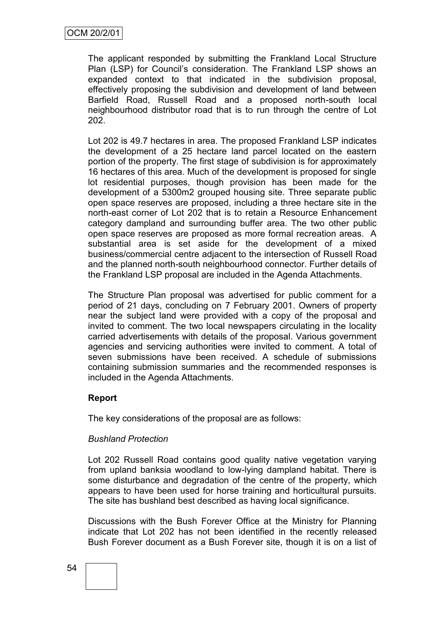The applicant responded by submitting the Frankland Local Structure Plan (LSP) for Council's consideration. The Frankland LSP shows an expanded context to that indicated in the subdivision proposal, effectively proposing the subdivision and development of land between Barfield Road, Russell Road and a proposed north-south local neighbourhood distributor road that is to run through the centre of Lot 202.

Lot 202 is 49.7 hectares in area. The proposed Frankland LSP indicates the development of a 25 hectare land parcel located on the eastern portion of the property. The first stage of subdivision is for approximately 16 hectares of this area. Much of the development is proposed for single lot residential purposes, though provision has been made for the development of a 5300m2 grouped housing site. Three separate public open space reserves are proposed, including a three hectare site in the north-east corner of Lot 202 that is to retain a Resource Enhancement category dampland and surrounding buffer area. The two other public open space reserves are proposed as more formal recreation areas. A substantial area is set aside for the development of a mixed business/commercial centre adjacent to the intersection of Russell Road and the planned north-south neighbourhood connector. Further details of the Frankland LSP proposal are included in the Agenda Attachments.

The Structure Plan proposal was advertised for public comment for a period of 21 days, concluding on 7 February 2001. Owners of property near the subject land were provided with a copy of the proposal and invited to comment. The two local newspapers circulating in the locality carried advertisements with details of the proposal. Various government agencies and servicing authorities were invited to comment. A total of seven submissions have been received. A schedule of submissions containing submission summaries and the recommended responses is included in the Agenda Attachments.

## **Report**

The key considerations of the proposal are as follows:

## *Bushland Protection*

Lot 202 Russell Road contains good quality native vegetation varying from upland banksia woodland to low-lying dampland habitat. There is some disturbance and degradation of the centre of the property, which appears to have been used for horse training and horticultural pursuits. The site has bushland best described as having local significance.

Discussions with the Bush Forever Office at the Ministry for Planning indicate that Lot 202 has not been identified in the recently released Bush Forever document as a Bush Forever site, though it is on a list of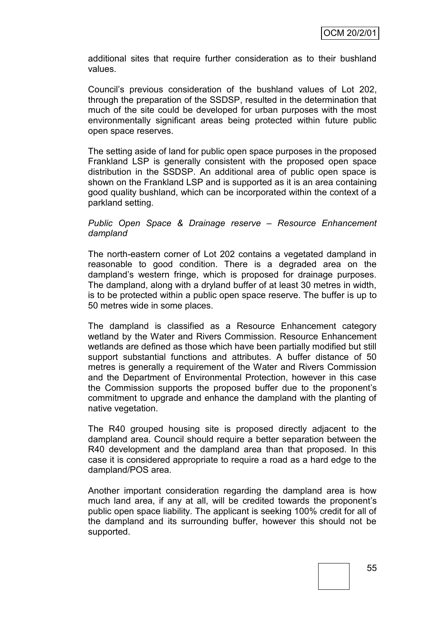additional sites that require further consideration as to their bushland values.

Council"s previous consideration of the bushland values of Lot 202, through the preparation of the SSDSP, resulted in the determination that much of the site could be developed for urban purposes with the most environmentally significant areas being protected within future public open space reserves.

The setting aside of land for public open space purposes in the proposed Frankland LSP is generally consistent with the proposed open space distribution in the SSDSP. An additional area of public open space is shown on the Frankland LSP and is supported as it is an area containing good quality bushland, which can be incorporated within the context of a parkland setting.

#### *Public Open Space & Drainage reserve – Resource Enhancement dampland*

The north-eastern corner of Lot 202 contains a vegetated dampland in reasonable to good condition. There is a degraded area on the dampland"s western fringe, which is proposed for drainage purposes. The dampland, along with a dryland buffer of at least 30 metres in width, is to be protected within a public open space reserve. The buffer is up to 50 metres wide in some places.

The dampland is classified as a Resource Enhancement category wetland by the Water and Rivers Commission. Resource Enhancement wetlands are defined as those which have been partially modified but still support substantial functions and attributes. A buffer distance of 50 metres is generally a requirement of the Water and Rivers Commission and the Department of Environmental Protection, however in this case the Commission supports the proposed buffer due to the proponent"s commitment to upgrade and enhance the dampland with the planting of native vegetation.

The R40 grouped housing site is proposed directly adjacent to the dampland area. Council should require a better separation between the R40 development and the dampland area than that proposed. In this case it is considered appropriate to require a road as a hard edge to the dampland/POS area.

Another important consideration regarding the dampland area is how much land area, if any at all, will be credited towards the proponent"s public open space liability. The applicant is seeking 100% credit for all of the dampland and its surrounding buffer, however this should not be supported.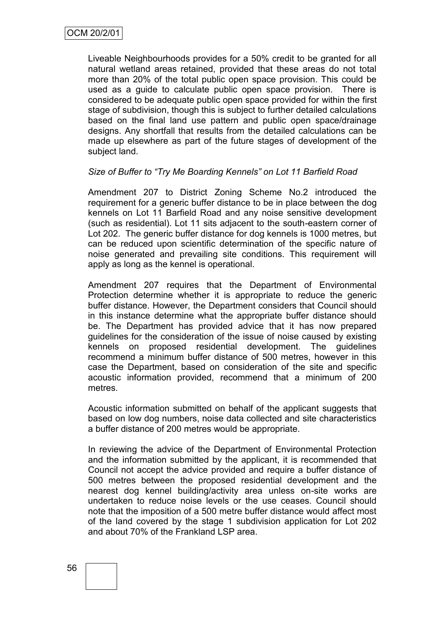Liveable Neighbourhoods provides for a 50% credit to be granted for all natural wetland areas retained, provided that these areas do not total more than 20% of the total public open space provision. This could be used as a guide to calculate public open space provision. There is considered to be adequate public open space provided for within the first stage of subdivision, though this is subject to further detailed calculations based on the final land use pattern and public open space/drainage designs. Any shortfall that results from the detailed calculations can be made up elsewhere as part of the future stages of development of the subject land.

## *Size of Buffer to "Try Me Boarding Kennels" on Lot 11 Barfield Road*

Amendment 207 to District Zoning Scheme No.2 introduced the requirement for a generic buffer distance to be in place between the dog kennels on Lot 11 Barfield Road and any noise sensitive development (such as residential). Lot 11 sits adjacent to the south-eastern corner of Lot 202. The generic buffer distance for dog kennels is 1000 metres, but can be reduced upon scientific determination of the specific nature of noise generated and prevailing site conditions. This requirement will apply as long as the kennel is operational.

Amendment 207 requires that the Department of Environmental Protection determine whether it is appropriate to reduce the generic buffer distance. However, the Department considers that Council should in this instance determine what the appropriate buffer distance should be. The Department has provided advice that it has now prepared guidelines for the consideration of the issue of noise caused by existing kennels on proposed residential development. The guidelines recommend a minimum buffer distance of 500 metres, however in this case the Department, based on consideration of the site and specific acoustic information provided, recommend that a minimum of 200 metres.

Acoustic information submitted on behalf of the applicant suggests that based on low dog numbers, noise data collected and site characteristics a buffer distance of 200 metres would be appropriate.

In reviewing the advice of the Department of Environmental Protection and the information submitted by the applicant, it is recommended that Council not accept the advice provided and require a buffer distance of 500 metres between the proposed residential development and the nearest dog kennel building/activity area unless on-site works are undertaken to reduce noise levels or the use ceases. Council should note that the imposition of a 500 metre buffer distance would affect most of the land covered by the stage 1 subdivision application for Lot 202 and about 70% of the Frankland LSP area.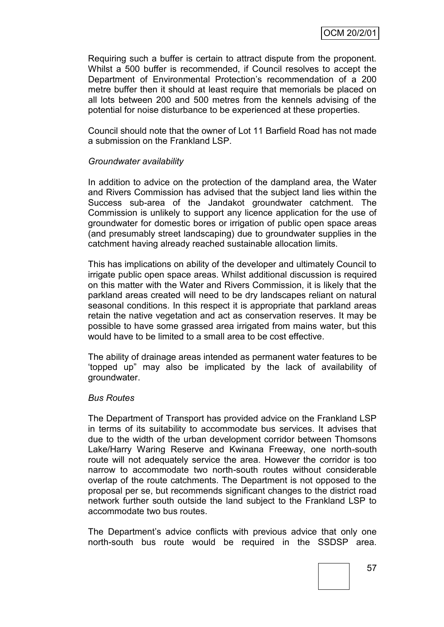Requiring such a buffer is certain to attract dispute from the proponent. Whilst a 500 buffer is recommended, if Council resolves to accept the Department of Environmental Protection"s recommendation of a 200 metre buffer then it should at least require that memorials be placed on all lots between 200 and 500 metres from the kennels advising of the potential for noise disturbance to be experienced at these properties.

Council should note that the owner of Lot 11 Barfield Road has not made a submission on the Frankland LSP.

#### *Groundwater availability*

In addition to advice on the protection of the dampland area, the Water and Rivers Commission has advised that the subject land lies within the Success sub-area of the Jandakot groundwater catchment. The Commission is unlikely to support any licence application for the use of groundwater for domestic bores or irrigation of public open space areas (and presumably street landscaping) due to groundwater supplies in the catchment having already reached sustainable allocation limits.

This has implications on ability of the developer and ultimately Council to irrigate public open space areas. Whilst additional discussion is required on this matter with the Water and Rivers Commission, it is likely that the parkland areas created will need to be dry landscapes reliant on natural seasonal conditions. In this respect it is appropriate that parkland areas retain the native vegetation and act as conservation reserves. It may be possible to have some grassed area irrigated from mains water, but this would have to be limited to a small area to be cost effective.

The ability of drainage areas intended as permanent water features to be "topped up" may also be implicated by the lack of availability of groundwater.

#### *Bus Routes*

The Department of Transport has provided advice on the Frankland LSP in terms of its suitability to accommodate bus services. It advises that due to the width of the urban development corridor between Thomsons Lake/Harry Waring Reserve and Kwinana Freeway, one north-south route will not adequately service the area. However the corridor is too narrow to accommodate two north-south routes without considerable overlap of the route catchments. The Department is not opposed to the proposal per se, but recommends significant changes to the district road network further south outside the land subject to the Frankland LSP to accommodate two bus routes.

The Department's advice conflicts with previous advice that only one north-south bus route would be required in the SSDSP area.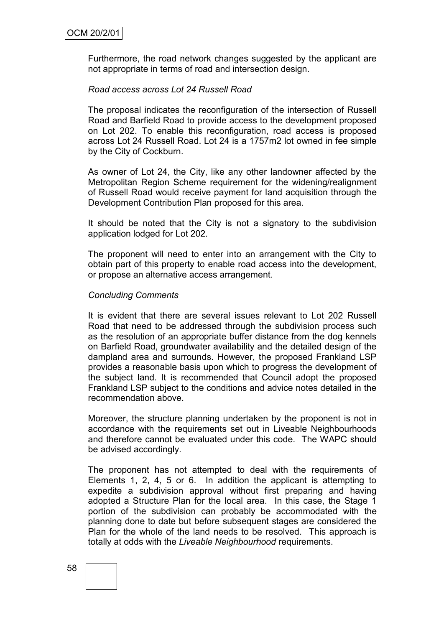Furthermore, the road network changes suggested by the applicant are not appropriate in terms of road and intersection design.

#### *Road access across Lot 24 Russell Road*

The proposal indicates the reconfiguration of the intersection of Russell Road and Barfield Road to provide access to the development proposed on Lot 202. To enable this reconfiguration, road access is proposed across Lot 24 Russell Road. Lot 24 is a 1757m2 lot owned in fee simple by the City of Cockburn.

As owner of Lot 24, the City, like any other landowner affected by the Metropolitan Region Scheme requirement for the widening/realignment of Russell Road would receive payment for land acquisition through the Development Contribution Plan proposed for this area.

It should be noted that the City is not a signatory to the subdivision application lodged for Lot 202.

The proponent will need to enter into an arrangement with the City to obtain part of this property to enable road access into the development, or propose an alternative access arrangement.

#### *Concluding Comments*

It is evident that there are several issues relevant to Lot 202 Russell Road that need to be addressed through the subdivision process such as the resolution of an appropriate buffer distance from the dog kennels on Barfield Road, groundwater availability and the detailed design of the dampland area and surrounds. However, the proposed Frankland LSP provides a reasonable basis upon which to progress the development of the subject land. It is recommended that Council adopt the proposed Frankland LSP subject to the conditions and advice notes detailed in the recommendation above.

Moreover, the structure planning undertaken by the proponent is not in accordance with the requirements set out in Liveable Neighbourhoods and therefore cannot be evaluated under this code. The WAPC should be advised accordingly.

The proponent has not attempted to deal with the requirements of Elements 1, 2, 4, 5 or 6. In addition the applicant is attempting to expedite a subdivision approval without first preparing and having adopted a Structure Plan for the local area. In this case, the Stage 1 portion of the subdivision can probably be accommodated with the planning done to date but before subsequent stages are considered the Plan for the whole of the land needs to be resolved. This approach is totally at odds with the *Liveable Neighbourhood* requirements.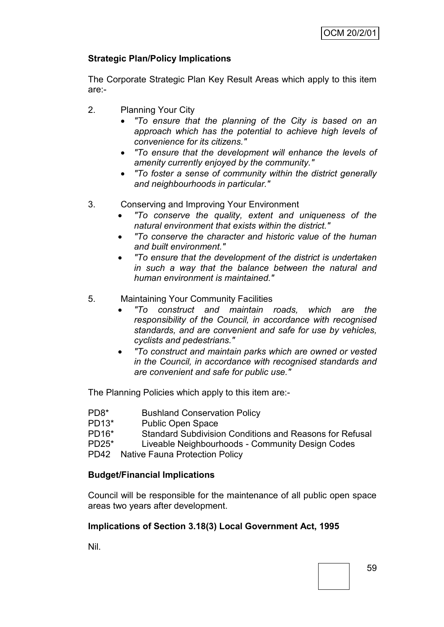# **Strategic Plan/Policy Implications**

The Corporate Strategic Plan Key Result Areas which apply to this item are:-

- 2. Planning Your City
	- *"To ensure that the planning of the City is based on an approach which has the potential to achieve high levels of convenience for its citizens."*
	- *"To ensure that the development will enhance the levels of amenity currently enjoyed by the community."*
	- *"To foster a sense of community within the district generally and neighbourhoods in particular."*
- 3. Conserving and Improving Your Environment
	- *"To conserve the quality, extent and uniqueness of the natural environment that exists within the district."*
	- *"To conserve the character and historic value of the human and built environment."*
	- *"To ensure that the development of the district is undertaken in such a way that the balance between the natural and human environment is maintained."*
- 5. Maintaining Your Community Facilities
	- *"To construct and maintain roads, which are the responsibility of the Council, in accordance with recognised standards, and are convenient and safe for use by vehicles, cyclists and pedestrians."*
	- *"To construct and maintain parks which are owned or vested in the Council, in accordance with recognised standards and are convenient and safe for public use."*

The Planning Policies which apply to this item are:-

- PD8\* Bushland Conservation Policy
- PD13\* Public Open Space
- PD16\* Standard Subdivision Conditions and Reasons for Refusal
- PD25\* Liveable Neighbourhoods Community Design Codes
- PD42 Native Fauna Protection Policy

## **Budget/Financial Implications**

Council will be responsible for the maintenance of all public open space areas two years after development.

## **Implications of Section 3.18(3) Local Government Act, 1995**

Nil.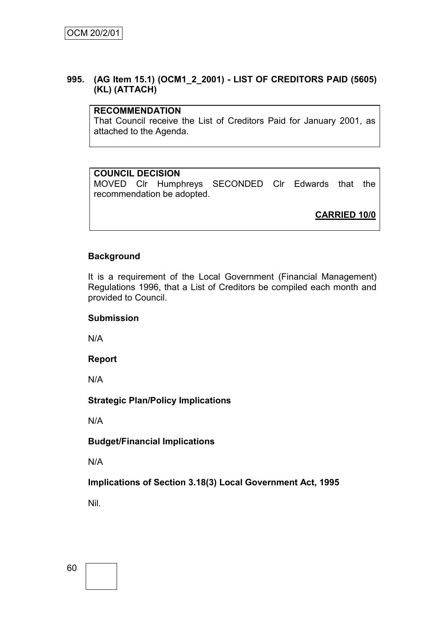## **995. (AG Item 15.1) (OCM1\_2\_2001) - LIST OF CREDITORS PAID (5605) (KL) (ATTACH)**

#### **RECOMMENDATION**

That Council receive the List of Creditors Paid for January 2001, as attached to the Agenda.

## **COUNCIL DECISION**

MOVED Clr Humphreys SECONDED Clr Edwards that the recommendation be adopted.

**CARRIED 10/0**

## **Background**

It is a requirement of the Local Government (Financial Management) Regulations 1996, that a List of Creditors be compiled each month and provided to Council.

## **Submission**

N/A

## **Report**

N/A

## **Strategic Plan/Policy Implications**

N/A

## **Budget/Financial Implications**

N/A

# **Implications of Section 3.18(3) Local Government Act, 1995**

Nil.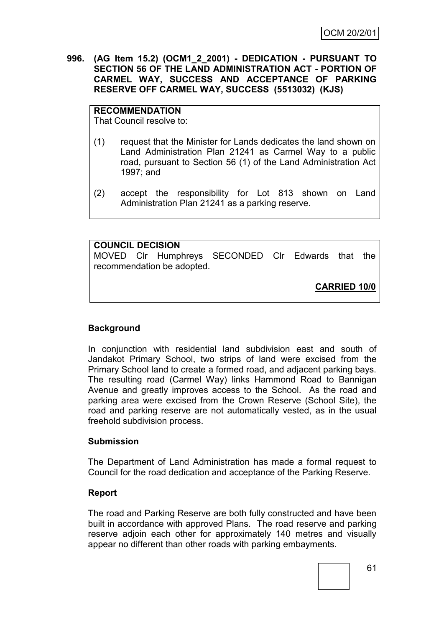**996. (AG Item 15.2) (OCM1\_2\_2001) - DEDICATION - PURSUANT TO SECTION 56 OF THE LAND ADMINISTRATION ACT - PORTION OF CARMEL WAY, SUCCESS AND ACCEPTANCE OF PARKING RESERVE OFF CARMEL WAY, SUCCESS (5513032) (KJS)**

## **RECOMMENDATION**

That Council resolve to:

- (1) request that the Minister for Lands dedicates the land shown on Land Administration Plan 21241 as Carmel Way to a public road, pursuant to Section 56 (1) of the Land Administration Act 1997; and
- (2) accept the responsibility for Lot 813 shown on Land Administration Plan 21241 as a parking reserve.

**COUNCIL DECISION** MOVED Clr Humphreys SECONDED Clr Edwards that the recommendation be adopted.

**CARRIED 10/0**

# **Background**

In conjunction with residential land subdivision east and south of Jandakot Primary School, two strips of land were excised from the Primary School land to create a formed road, and adjacent parking bays. The resulting road (Carmel Way) links Hammond Road to Bannigan Avenue and greatly improves access to the School. As the road and parking area were excised from the Crown Reserve (School Site), the road and parking reserve are not automatically vested, as in the usual freehold subdivision process.

## **Submission**

The Department of Land Administration has made a formal request to Council for the road dedication and acceptance of the Parking Reserve.

## **Report**

The road and Parking Reserve are both fully constructed and have been built in accordance with approved Plans. The road reserve and parking reserve adjoin each other for approximately 140 metres and visually appear no different than other roads with parking embayments.

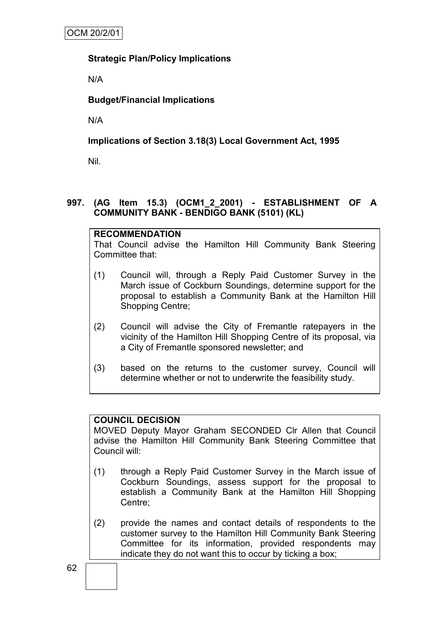## **Strategic Plan/Policy Implications**

N/A

## **Budget/Financial Implications**

N/A

## **Implications of Section 3.18(3) Local Government Act, 1995**

Nil.

## **997. (AG Item 15.3) (OCM1\_2\_2001) - ESTABLISHMENT OF A COMMUNITY BANK - BENDIGO BANK (5101) (KL)**

## **RECOMMENDATION**

That Council advise the Hamilton Hill Community Bank Steering Committee that:

- (1) Council will, through a Reply Paid Customer Survey in the March issue of Cockburn Soundings, determine support for the proposal to establish a Community Bank at the Hamilton Hill Shopping Centre;
- (2) Council will advise the City of Fremantle ratepayers in the vicinity of the Hamilton Hill Shopping Centre of its proposal, via a City of Fremantle sponsored newsletter; and
- (3) based on the returns to the customer survey, Council will determine whether or not to underwrite the feasibility study.

## **COUNCIL DECISION**

MOVED Deputy Mayor Graham SECONDED Clr Allen that Council advise the Hamilton Hill Community Bank Steering Committee that Council will:

- (1) through a Reply Paid Customer Survey in the March issue of Cockburn Soundings, assess support for the proposal to establish a Community Bank at the Hamilton Hill Shopping Centre;
- (2) provide the names and contact details of respondents to the customer survey to the Hamilton Hill Community Bank Steering Committee for its information, provided respondents may indicate they do not want this to occur by ticking a box;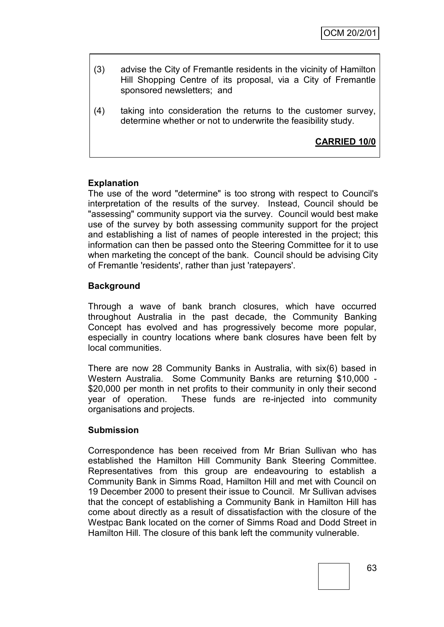- (3) advise the City of Fremantle residents in the vicinity of Hamilton Hill Shopping Centre of its proposal, via a City of Fremantle sponsored newsletters; and
- (4) taking into consideration the returns to the customer survey, determine whether or not to underwrite the feasibility study.

**CARRIED 10/0**

## **Explanation**

The use of the word "determine" is too strong with respect to Council's interpretation of the results of the survey. Instead, Council should be "assessing" community support via the survey. Council would best make use of the survey by both assessing community support for the project and establishing a list of names of people interested in the project; this information can then be passed onto the Steering Committee for it to use when marketing the concept of the bank. Council should be advising City of Fremantle 'residents', rather than just 'ratepayers'.

## **Background**

Through a wave of bank branch closures, which have occurred throughout Australia in the past decade, the Community Banking Concept has evolved and has progressively become more popular, especially in country locations where bank closures have been felt by local communities.

There are now 28 Community Banks in Australia, with six(6) based in Western Australia. Some Community Banks are returning \$10,000 - \$20,000 per month in net profits to their community in only their second year of operation. These funds are re-injected into community organisations and projects.

## **Submission**

Correspondence has been received from Mr Brian Sullivan who has established the Hamilton Hill Community Bank Steering Committee. Representatives from this group are endeavouring to establish a Community Bank in Simms Road, Hamilton Hill and met with Council on 19 December 2000 to present their issue to Council. Mr Sullivan advises that the concept of establishing a Community Bank in Hamilton Hill has come about directly as a result of dissatisfaction with the closure of the Westpac Bank located on the corner of Simms Road and Dodd Street in Hamilton Hill. The closure of this bank left the community vulnerable.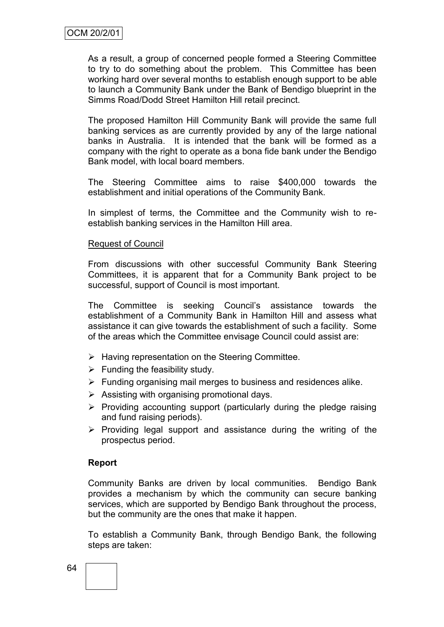As a result, a group of concerned people formed a Steering Committee to try to do something about the problem. This Committee has been working hard over several months to establish enough support to be able to launch a Community Bank under the Bank of Bendigo blueprint in the Simms Road/Dodd Street Hamilton Hill retail precinct.

The proposed Hamilton Hill Community Bank will provide the same full banking services as are currently provided by any of the large national banks in Australia. It is intended that the bank will be formed as a company with the right to operate as a bona fide bank under the Bendigo Bank model, with local board members.

The Steering Committee aims to raise \$400,000 towards the establishment and initial operations of the Community Bank.

In simplest of terms, the Committee and the Community wish to reestablish banking services in the Hamilton Hill area.

#### Request of Council

From discussions with other successful Community Bank Steering Committees, it is apparent that for a Community Bank project to be successful, support of Council is most important.

The Committee is seeking Council"s assistance towards the establishment of a Community Bank in Hamilton Hill and assess what assistance it can give towards the establishment of such a facility. Some of the areas which the Committee envisage Council could assist are:

- $\triangleright$  Having representation on the Steering Committee.
- $\triangleright$  Funding the feasibility study.
- $\triangleright$  Funding organising mail merges to business and residences alike.
- $\triangleright$  Assisting with organising promotional days.
- $\triangleright$  Providing accounting support (particularly during the pledge raising and fund raising periods).
- $\triangleright$  Providing legal support and assistance during the writing of the prospectus period.

#### **Report**

Community Banks are driven by local communities. Bendigo Bank provides a mechanism by which the community can secure banking services, which are supported by Bendigo Bank throughout the process, but the community are the ones that make it happen.

To establish a Community Bank, through Bendigo Bank, the following steps are taken: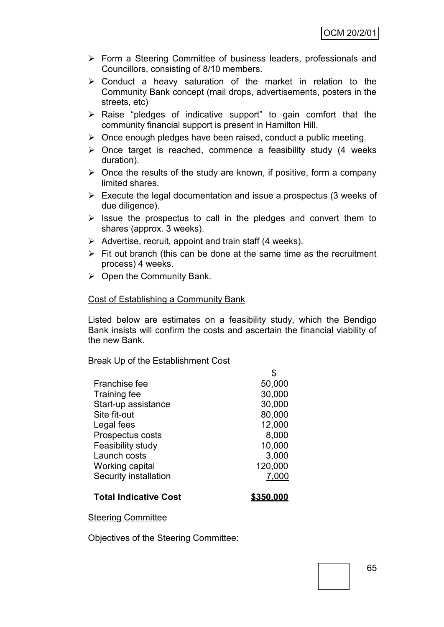- Form a Steering Committee of business leaders, professionals and Councillors, consisting of 8/10 members.
- $\triangleright$  Conduct a heavy saturation of the market in relation to the Community Bank concept (mail drops, advertisements, posters in the streets, etc)
- $\triangleright$  Raise "pledges of indicative support" to gain comfort that the community financial support is present in Hamilton Hill.
- $\triangleright$  Once enough pledges have been raised, conduct a public meeting.
- $\triangleright$  Once target is reached, commence a feasibility study (4 weeks duration).
- $\triangleright$  Once the results of the study are known, if positive, form a company limited shares.
- $\triangleright$  Execute the legal documentation and issue a prospectus (3 weeks of due diligence).
- $\triangleright$  Issue the prospectus to call in the pledges and convert them to shares (approx. 3 weeks).
- $\triangleright$  Advertise, recruit, appoint and train staff (4 weeks).
- $\triangleright$  Fit out branch (this can be done at the same time as the recruitment process) 4 weeks.
- $\triangleright$  Open the Community Bank.

#### Cost of Establishing a Community Bank

Listed below are estimates on a feasibility study, which the Bendigo Bank insists will confirm the costs and ascertain the financial viability of the new Bank.

\$

Break Up of the Establishment Cost

| <b>Total Indicative Cost</b> | 350,000 |
|------------------------------|---------|
| Security installation        | 7,000   |
| Working capital              | 120,000 |
| Launch costs                 | 3,000   |
| Feasibility study            | 10,000  |
| Prospectus costs             | 8,000   |
| Legal fees                   | 12,000  |
| Site fit-out                 | 80,000  |
| Start-up assistance          | 30,000  |
| Training fee                 | 30,000  |
| Franchise fee                | 50,000  |
|                              |         |

#### Steering Committee

Objectives of the Steering Committee: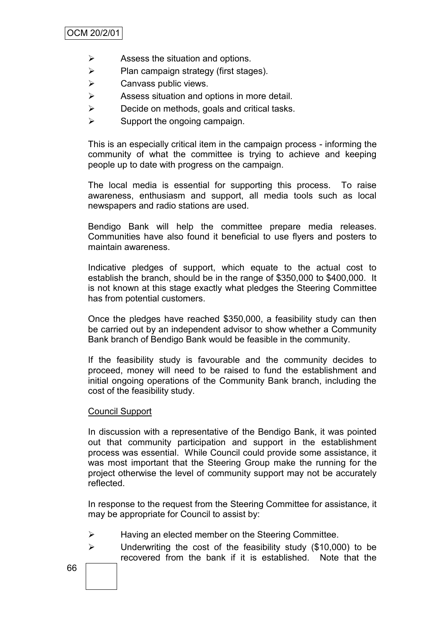- $\triangleright$  Assess the situation and options.
- $\triangleright$  Plan campaign strategy (first stages).
- $\triangleright$  Canvass public views.
- $\triangleright$  Assess situation and options in more detail.
- $\triangleright$  Decide on methods, goals and critical tasks.
- $\triangleright$  Support the ongoing campaign.

This is an especially critical item in the campaign process - informing the community of what the committee is trying to achieve and keeping people up to date with progress on the campaign.

The local media is essential for supporting this process. To raise awareness, enthusiasm and support, all media tools such as local newspapers and radio stations are used.

Bendigo Bank will help the committee prepare media releases. Communities have also found it beneficial to use flyers and posters to maintain awareness.

Indicative pledges of support, which equate to the actual cost to establish the branch, should be in the range of \$350,000 to \$400,000. It is not known at this stage exactly what pledges the Steering Committee has from potential customers.

Once the pledges have reached \$350,000, a feasibility study can then be carried out by an independent advisor to show whether a Community Bank branch of Bendigo Bank would be feasible in the community.

If the feasibility study is favourable and the community decides to proceed, money will need to be raised to fund the establishment and initial ongoing operations of the Community Bank branch, including the cost of the feasibility study.

## Council Support

In discussion with a representative of the Bendigo Bank, it was pointed out that community participation and support in the establishment process was essential. While Council could provide some assistance, it was most important that the Steering Group make the running for the project otherwise the level of community support may not be accurately reflected.

In response to the request from the Steering Committee for assistance, it may be appropriate for Council to assist by:

- $\triangleright$  Having an elected member on the Steering Committee.
- $\triangleright$  Underwriting the cost of the feasibility study (\$10,000) to be recovered from the bank if it is established. Note that the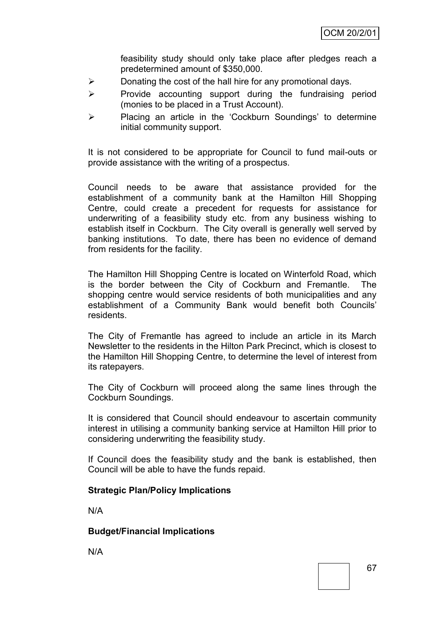feasibility study should only take place after pledges reach a predetermined amount of \$350,000.

- $\triangleright$  Donating the cost of the hall hire for any promotional days.
- $\triangleright$  Provide accounting support during the fundraising period (monies to be placed in a Trust Account).
- $\triangleright$  Placing an article in the 'Cockburn Soundings' to determine initial community support.

It is not considered to be appropriate for Council to fund mail-outs or provide assistance with the writing of a prospectus.

Council needs to be aware that assistance provided for the establishment of a community bank at the Hamilton Hill Shopping Centre, could create a precedent for requests for assistance for underwriting of a feasibility study etc. from any business wishing to establish itself in Cockburn. The City overall is generally well served by banking institutions. To date, there has been no evidence of demand from residents for the facility.

The Hamilton Hill Shopping Centre is located on Winterfold Road, which is the border between the City of Cockburn and Fremantle. The shopping centre would service residents of both municipalities and any establishment of a Community Bank would benefit both Councils" residents.

The City of Fremantle has agreed to include an article in its March Newsletter to the residents in the Hilton Park Precinct, which is closest to the Hamilton Hill Shopping Centre, to determine the level of interest from its ratepayers.

The City of Cockburn will proceed along the same lines through the Cockburn Soundings.

It is considered that Council should endeavour to ascertain community interest in utilising a community banking service at Hamilton Hill prior to considering underwriting the feasibility study.

If Council does the feasibility study and the bank is established, then Council will be able to have the funds repaid.

## **Strategic Plan/Policy Implications**

N/A

## **Budget/Financial Implications**

N/A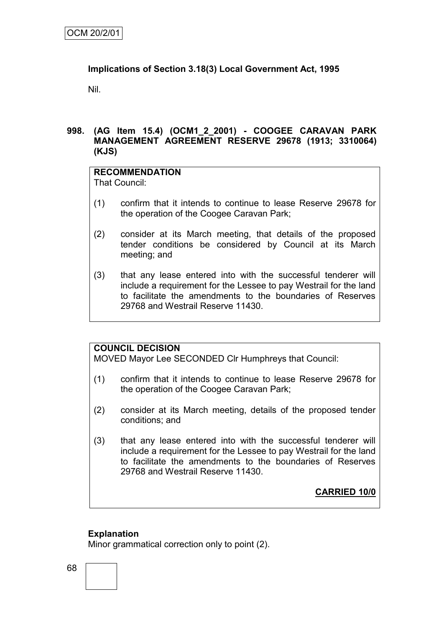# **Implications of Section 3.18(3) Local Government Act, 1995**

Nil.

## **998. (AG Item 15.4) (OCM1\_2\_2001) - COOGEE CARAVAN PARK MANAGEMENT AGREEMENT RESERVE 29678 (1913; 3310064) (KJS)**

# **RECOMMENDATION**

That Council:

- (1) confirm that it intends to continue to lease Reserve 29678 for the operation of the Coogee Caravan Park;
- (2) consider at its March meeting, that details of the proposed tender conditions be considered by Council at its March meeting; and
- (3) that any lease entered into with the successful tenderer will include a requirement for the Lessee to pay Westrail for the land to facilitate the amendments to the boundaries of Reserves 29768 and Westrail Reserve 11430.

# **COUNCIL DECISION**

MOVED Mayor Lee SECONDED Clr Humphreys that Council:

- (1) confirm that it intends to continue to lease Reserve 29678 for the operation of the Coogee Caravan Park;
- (2) consider at its March meeting, details of the proposed tender conditions; and
- (3) that any lease entered into with the successful tenderer will include a requirement for the Lessee to pay Westrail for the land to facilitate the amendments to the boundaries of Reserves 29768 and Westrail Reserve 11430.

**CARRIED 10/0**

# **Explanation**

Minor grammatical correction only to point (2).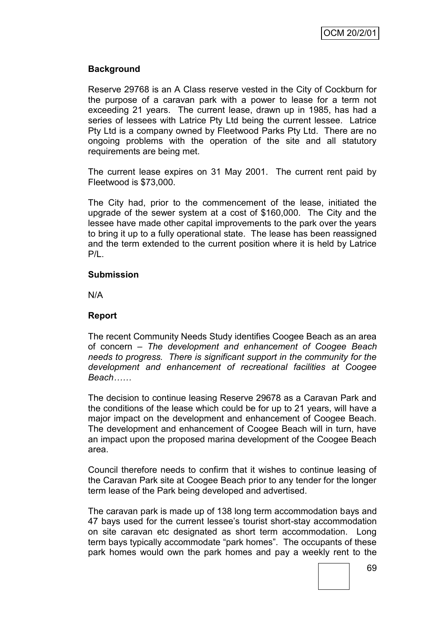## **Background**

Reserve 29768 is an A Class reserve vested in the City of Cockburn for the purpose of a caravan park with a power to lease for a term not exceeding 21 years. The current lease, drawn up in 1985, has had a series of lessees with Latrice Pty Ltd being the current lessee. Latrice Pty Ltd is a company owned by Fleetwood Parks Pty Ltd. There are no ongoing problems with the operation of the site and all statutory requirements are being met.

The current lease expires on 31 May 2001. The current rent paid by Fleetwood is \$73,000.

The City had, prior to the commencement of the lease, initiated the upgrade of the sewer system at a cost of \$160,000. The City and the lessee have made other capital improvements to the park over the years to bring it up to a fully operational state. The lease has been reassigned and the term extended to the current position where it is held by Latrice P/L.

### **Submission**

N/A

### **Report**

The recent Community Needs Study identifies Coogee Beach as an area of concern – *The development and enhancement of Coogee Beach needs to progress. There is significant support in the community for the development and enhancement of recreational facilities at Coogee Beach……*

The decision to continue leasing Reserve 29678 as a Caravan Park and the conditions of the lease which could be for up to 21 years, will have a major impact on the development and enhancement of Coogee Beach. The development and enhancement of Coogee Beach will in turn, have an impact upon the proposed marina development of the Coogee Beach area.

Council therefore needs to confirm that it wishes to continue leasing of the Caravan Park site at Coogee Beach prior to any tender for the longer term lease of the Park being developed and advertised.

The caravan park is made up of 138 long term accommodation bays and 47 bays used for the current lessee"s tourist short-stay accommodation on site caravan etc designated as short term accommodation. Long term bays typically accommodate "park homes". The occupants of these park homes would own the park homes and pay a weekly rent to the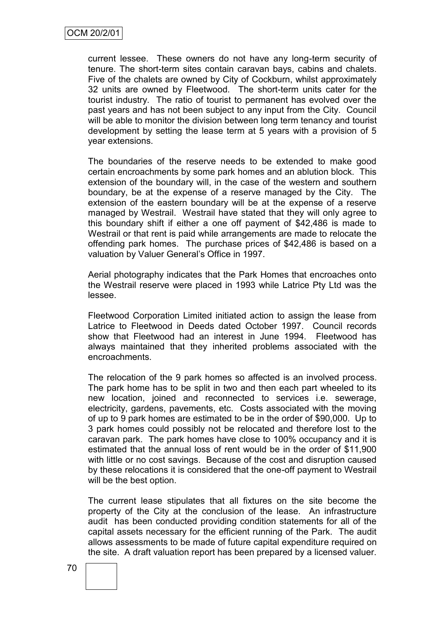current lessee. These owners do not have any long-term security of tenure. The short-term sites contain caravan bays, cabins and chalets. Five of the chalets are owned by City of Cockburn, whilst approximately 32 units are owned by Fleetwood. The short-term units cater for the tourist industry. The ratio of tourist to permanent has evolved over the past years and has not been subject to any input from the City. Council will be able to monitor the division between long term tenancy and tourist development by setting the lease term at 5 years with a provision of 5 year extensions.

The boundaries of the reserve needs to be extended to make good certain encroachments by some park homes and an ablution block. This extension of the boundary will, in the case of the western and southern boundary, be at the expense of a reserve managed by the City. The extension of the eastern boundary will be at the expense of a reserve managed by Westrail. Westrail have stated that they will only agree to this boundary shift if either a one off payment of \$42,486 is made to Westrail or that rent is paid while arrangements are made to relocate the offending park homes. The purchase prices of \$42,486 is based on a valuation by Valuer General"s Office in 1997.

Aerial photography indicates that the Park Homes that encroaches onto the Westrail reserve were placed in 1993 while Latrice Pty Ltd was the lessee.

Fleetwood Corporation Limited initiated action to assign the lease from Latrice to Fleetwood in Deeds dated October 1997. Council records show that Fleetwood had an interest in June 1994. Fleetwood has always maintained that they inherited problems associated with the encroachments.

The relocation of the 9 park homes so affected is an involved process. The park home has to be split in two and then each part wheeled to its new location, joined and reconnected to services i.e. sewerage, electricity, gardens, pavements, etc. Costs associated with the moving of up to 9 park homes are estimated to be in the order of \$90,000. Up to 3 park homes could possibly not be relocated and therefore lost to the caravan park. The park homes have close to 100% occupancy and it is estimated that the annual loss of rent would be in the order of \$11,900 with little or no cost savings. Because of the cost and disruption caused by these relocations it is considered that the one-off payment to Westrail will be the best option.

The current lease stipulates that all fixtures on the site become the property of the City at the conclusion of the lease. An infrastructure audit has been conducted providing condition statements for all of the capital assets necessary for the efficient running of the Park. The audit allows assessments to be made of future capital expenditure required on the site. A draft valuation report has been prepared by a licensed valuer.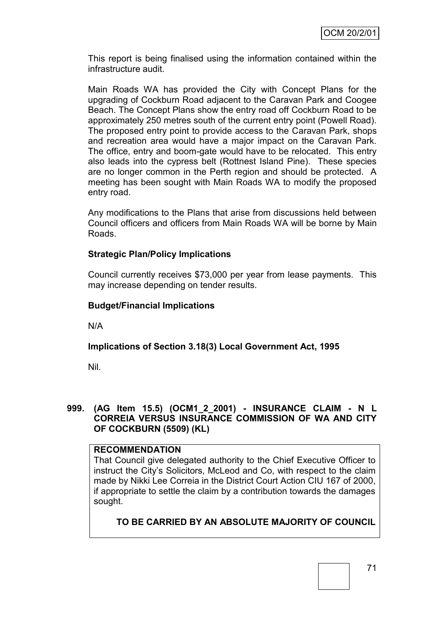This report is being finalised using the information contained within the infrastructure audit.

Main Roads WA has provided the City with Concept Plans for the upgrading of Cockburn Road adjacent to the Caravan Park and Coogee Beach. The Concept Plans show the entry road off Cockburn Road to be approximately 250 metres south of the current entry point (Powell Road). The proposed entry point to provide access to the Caravan Park, shops and recreation area would have a major impact on the Caravan Park. The office, entry and boom-gate would have to be relocated. This entry also leads into the cypress belt (Rottnest Island Pine). These species are no longer common in the Perth region and should be protected. A meeting has been sought with Main Roads WA to modify the proposed entry road.

Any modifications to the Plans that arise from discussions held between Council officers and officers from Main Roads WA will be borne by Main Roads.

## **Strategic Plan/Policy Implications**

Council currently receives \$73,000 per year from lease payments. This may increase depending on tender results.

### **Budget/Financial Implications**

N/A

# **Implications of Section 3.18(3) Local Government Act, 1995**

Nil.

### **999. (AG Item 15.5) (OCM1\_2\_2001) - INSURANCE CLAIM - N L CORREIA VERSUS INSURANCE COMMISSION OF WA AND CITY OF COCKBURN (5509) (KL)**

### **RECOMMENDATION**

That Council give delegated authority to the Chief Executive Officer to instruct the City"s Solicitors, McLeod and Co, with respect to the claim made by Nikki Lee Correia in the District Court Action CIU 167 of 2000, if appropriate to settle the claim by a contribution towards the damages sought.

# **TO BE CARRIED BY AN ABSOLUTE MAJORITY OF COUNCIL**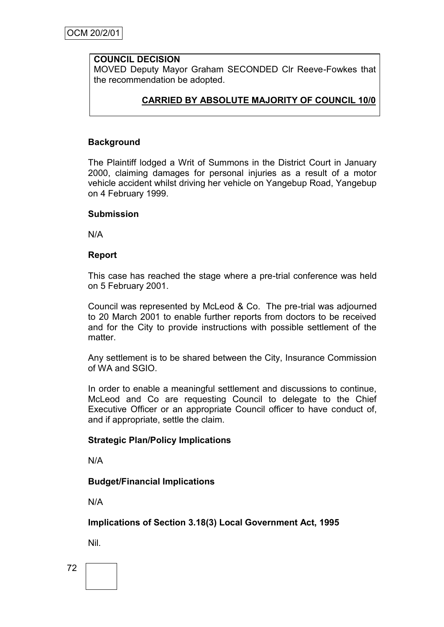# **COUNCIL DECISION**

MOVED Deputy Mayor Graham SECONDED Clr Reeve-Fowkes that the recommendation be adopted.

## **CARRIED BY ABSOLUTE MAJORITY OF COUNCIL 10/0**

### **Background**

The Plaintiff lodged a Writ of Summons in the District Court in January 2000, claiming damages for personal injuries as a result of a motor vehicle accident whilst driving her vehicle on Yangebup Road, Yangebup on 4 February 1999.

#### **Submission**

N/A

#### **Report**

This case has reached the stage where a pre-trial conference was held on 5 February 2001.

Council was represented by McLeod & Co. The pre-trial was adjourned to 20 March 2001 to enable further reports from doctors to be received and for the City to provide instructions with possible settlement of the matter.

Any settlement is to be shared between the City, Insurance Commission of WA and SGIO.

In order to enable a meaningful settlement and discussions to continue, McLeod and Co are requesting Council to delegate to the Chief Executive Officer or an appropriate Council officer to have conduct of, and if appropriate, settle the claim.

### **Strategic Plan/Policy Implications**

N/A

# **Budget/Financial Implications**

N/A

### **Implications of Section 3.18(3) Local Government Act, 1995**

Nil.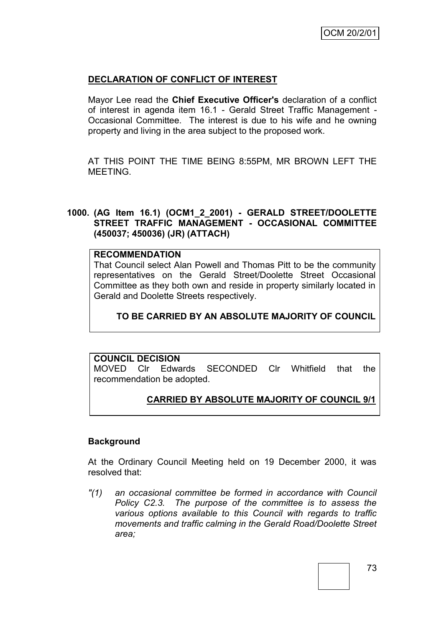## **DECLARATION OF CONFLICT OF INTEREST**

Mayor Lee read the **Chief Executive Officer's** declaration of a conflict of interest in agenda item 16.1 - Gerald Street Traffic Management - Occasional Committee. The interest is due to his wife and he owning property and living in the area subject to the proposed work.

AT THIS POINT THE TIME BEING 8:55PM, MR BROWN LEFT THE MEETING.

### **1000. (AG Item 16.1) (OCM1\_2\_2001) - GERALD STREET/DOOLETTE STREET TRAFFIC MANAGEMENT - OCCASIONAL COMMITTEE (450037; 450036) (JR) (ATTACH)**

## **RECOMMENDATION**

That Council select Alan Powell and Thomas Pitt to be the community representatives on the Gerald Street/Doolette Street Occasional Committee as they both own and reside in property similarly located in Gerald and Doolette Streets respectively.

### **TO BE CARRIED BY AN ABSOLUTE MAJORITY OF COUNCIL**

### **COUNCIL DECISION**

MOVED Clr Edwards SECONDED Clr Whitfield that the recommendation be adopted.

### **CARRIED BY ABSOLUTE MAJORITY OF COUNCIL 9/1**

### **Background**

At the Ordinary Council Meeting held on 19 December 2000, it was resolved that:

*"(1) an occasional committee be formed in accordance with Council Policy C2.3. The purpose of the committee is to assess the various options available to this Council with regards to traffic movements and traffic calming in the Gerald Road/Doolette Street area;*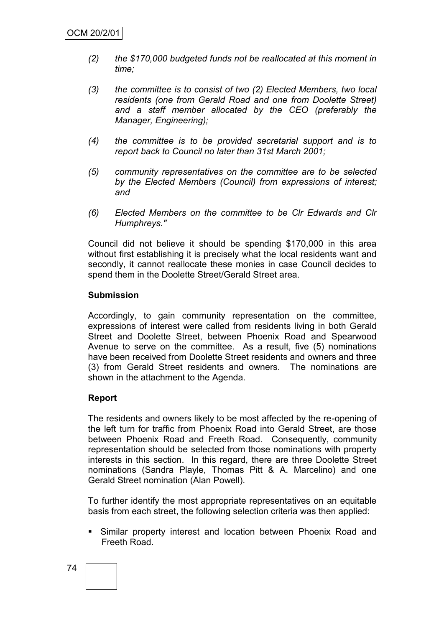- *(2) the \$170,000 budgeted funds not be reallocated at this moment in time;*
- *(3) the committee is to consist of two (2) Elected Members, two local residents (one from Gerald Road and one from Doolette Street) and a staff member allocated by the CEO (preferably the Manager, Engineering);*
- *(4) the committee is to be provided secretarial support and is to report back to Council no later than 31st March 2001;*
- *(5) community representatives on the committee are to be selected by the Elected Members (Council) from expressions of interest; and*
- *(6) Elected Members on the committee to be Clr Edwards and Clr Humphreys."*

Council did not believe it should be spending \$170,000 in this area without first establishing it is precisely what the local residents want and secondly, it cannot reallocate these monies in case Council decides to spend them in the Doolette Street/Gerald Street area.

#### **Submission**

Accordingly, to gain community representation on the committee, expressions of interest were called from residents living in both Gerald Street and Doolette Street, between Phoenix Road and Spearwood Avenue to serve on the committee. As a result, five (5) nominations have been received from Doolette Street residents and owners and three (3) from Gerald Street residents and owners. The nominations are shown in the attachment to the Agenda.

### **Report**

The residents and owners likely to be most affected by the re-opening of the left turn for traffic from Phoenix Road into Gerald Street, are those between Phoenix Road and Freeth Road. Consequently, community representation should be selected from those nominations with property interests in this section. In this regard, there are three Doolette Street nominations (Sandra Playle, Thomas Pitt & A. Marcelino) and one Gerald Street nomination (Alan Powell).

To further identify the most appropriate representatives on an equitable basis from each street, the following selection criteria was then applied:

 Similar property interest and location between Phoenix Road and Freeth Road.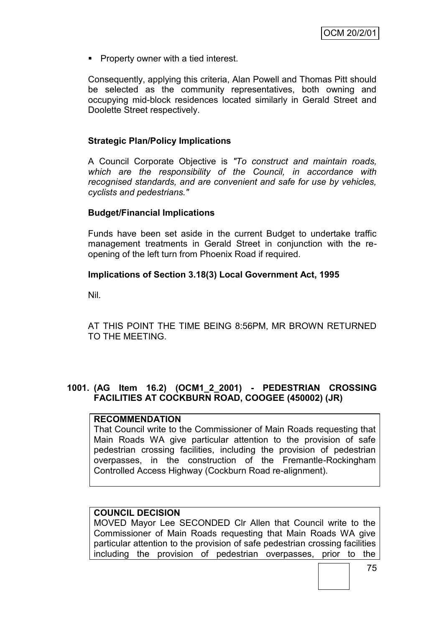**Property owner with a tied interest.** 

Consequently, applying this criteria, Alan Powell and Thomas Pitt should be selected as the community representatives, both owning and occupying mid-block residences located similarly in Gerald Street and Doolette Street respectively.

## **Strategic Plan/Policy Implications**

A Council Corporate Objective is *"To construct and maintain roads, which are the responsibility of the Council, in accordance with recognised standards, and are convenient and safe for use by vehicles, cyclists and pedestrians."*

## **Budget/Financial Implications**

Funds have been set aside in the current Budget to undertake traffic management treatments in Gerald Street in conjunction with the reopening of the left turn from Phoenix Road if required.

### **Implications of Section 3.18(3) Local Government Act, 1995**

Nil.

AT THIS POINT THE TIME BEING 8:56PM, MR BROWN RETURNED TO THE MEETING.

## **1001. (AG Item 16.2) (OCM1\_2\_2001) - PEDESTRIAN CROSSING FACILITIES AT COCKBURN ROAD, COOGEE (450002) (JR)**

### **RECOMMENDATION**

That Council write to the Commissioner of Main Roads requesting that Main Roads WA give particular attention to the provision of safe pedestrian crossing facilities, including the provision of pedestrian overpasses, in the construction of the Fremantle-Rockingham Controlled Access Highway (Cockburn Road re-alignment).

### **COUNCIL DECISION**

MOVED Mayor Lee SECONDED Clr Allen that Council write to the Commissioner of Main Roads requesting that Main Roads WA give particular attention to the provision of safe pedestrian crossing facilities including the provision of pedestrian overpasses, prior to the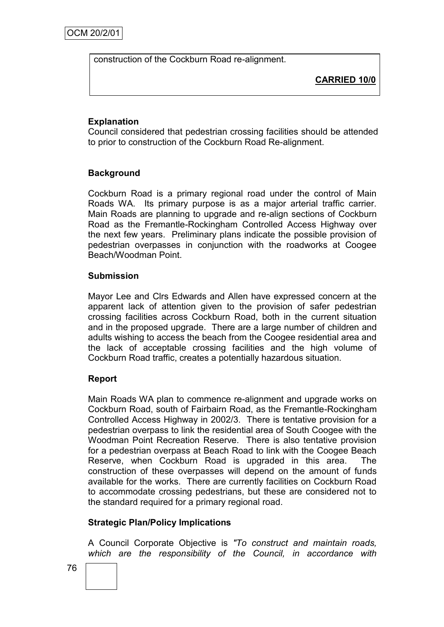construction of the Cockburn Road re-alignment.

**CARRIED 10/0**

## **Explanation**

Council considered that pedestrian crossing facilities should be attended to prior to construction of the Cockburn Road Re-alignment.

# **Background**

Cockburn Road is a primary regional road under the control of Main Roads WA. Its primary purpose is as a major arterial traffic carrier. Main Roads are planning to upgrade and re-align sections of Cockburn Road as the Fremantle-Rockingham Controlled Access Highway over the next few years. Preliminary plans indicate the possible provision of pedestrian overpasses in conjunction with the roadworks at Coogee Beach/Woodman Point.

### **Submission**

Mayor Lee and Clrs Edwards and Allen have expressed concern at the apparent lack of attention given to the provision of safer pedestrian crossing facilities across Cockburn Road, both in the current situation and in the proposed upgrade. There are a large number of children and adults wishing to access the beach from the Coogee residential area and the lack of acceptable crossing facilities and the high volume of Cockburn Road traffic, creates a potentially hazardous situation.

### **Report**

Main Roads WA plan to commence re-alignment and upgrade works on Cockburn Road, south of Fairbairn Road, as the Fremantle-Rockingham Controlled Access Highway in 2002/3. There is tentative provision for a pedestrian overpass to link the residential area of South Coogee with the Woodman Point Recreation Reserve. There is also tentative provision for a pedestrian overpass at Beach Road to link with the Coogee Beach Reserve, when Cockburn Road is upgraded in this area. The construction of these overpasses will depend on the amount of funds available for the works. There are currently facilities on Cockburn Road to accommodate crossing pedestrians, but these are considered not to the standard required for a primary regional road.

### **Strategic Plan/Policy Implications**

A Council Corporate Objective is *"To construct and maintain roads, which are the responsibility of the Council, in accordance with*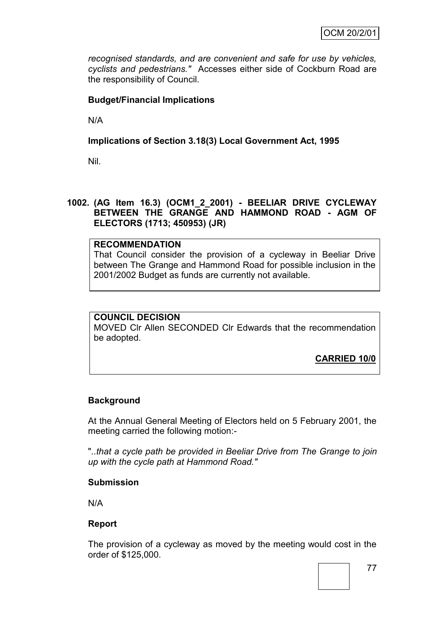*recognised standards, and are convenient and safe for use by vehicles, cyclists and pedestrians."* Accesses either side of Cockburn Road are the responsibility of Council.

## **Budget/Financial Implications**

N/A

### **Implications of Section 3.18(3) Local Government Act, 1995**

Nil.

#### **1002. (AG Item 16.3) (OCM1\_2\_2001) - BEELIAR DRIVE CYCLEWAY BETWEEN THE GRANGE AND HAMMOND ROAD - AGM OF ELECTORS (1713; 450953) (JR)**

#### **RECOMMENDATION**

That Council consider the provision of a cycleway in Beeliar Drive between The Grange and Hammond Road for possible inclusion in the 2001/2002 Budget as funds are currently not available.

#### **COUNCIL DECISION**

MOVED Clr Allen SECONDED Clr Edwards that the recommendation be adopted.

**CARRIED 10/0**

# **Background**

At the Annual General Meeting of Electors held on 5 February 2001, the meeting carried the following motion:-

"*..that a cycle path be provided in Beeliar Drive from The Grange to join up with the cycle path at Hammond Road."*

### **Submission**

N/A

#### **Report**

The provision of a cycleway as moved by the meeting would cost in the order of \$125,000.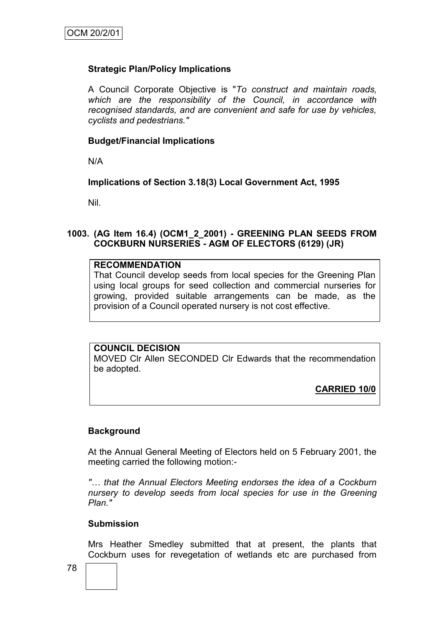## **Strategic Plan/Policy Implications**

A Council Corporate Objective is "*To construct and maintain roads, which are the responsibility of the Council, in accordance with recognised standards, and are convenient and safe for use by vehicles, cyclists and pedestrians."*

### **Budget/Financial Implications**

N/A

### **Implications of Section 3.18(3) Local Government Act, 1995**

Nil.

#### **1003. (AG Item 16.4) (OCM1\_2\_2001) - GREENING PLAN SEEDS FROM COCKBURN NURSERIES - AGM OF ELECTORS (6129) (JR)**

### **RECOMMENDATION**

That Council develop seeds from local species for the Greening Plan using local groups for seed collection and commercial nurseries for growing, provided suitable arrangements can be made, as the provision of a Council operated nursery is not cost effective.

#### **COUNCIL DECISION**

MOVED Clr Allen SECONDED Clr Edwards that the recommendation be adopted.

**CARRIED 10/0**

### **Background**

At the Annual General Meeting of Electors held on 5 February 2001, the meeting carried the following motion:-

*"… that the Annual Electors Meeting endorses the idea of a Cockburn nursery to develop seeds from local species for use in the Greening Plan."*

#### **Submission**

Mrs Heather Smedley submitted that at present, the plants that Cockburn uses for revegetation of wetlands etc are purchased from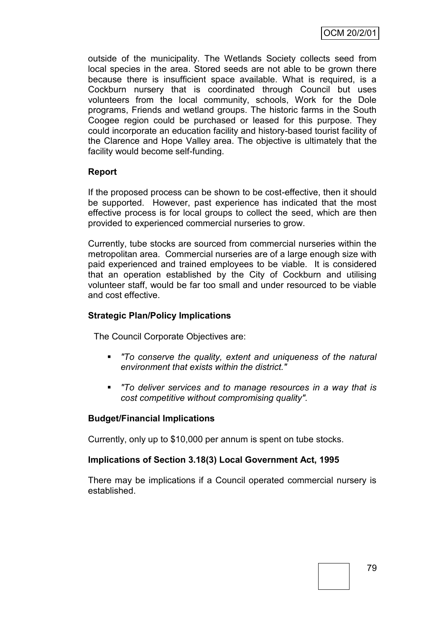outside of the municipality. The Wetlands Society collects seed from local species in the area. Stored seeds are not able to be grown there because there is insufficient space available. What is required, is a Cockburn nursery that is coordinated through Council but uses volunteers from the local community, schools, Work for the Dole programs, Friends and wetland groups. The historic farms in the South Coogee region could be purchased or leased for this purpose. They could incorporate an education facility and history-based tourist facility of the Clarence and Hope Valley area. The objective is ultimately that the facility would become self-funding.

## **Report**

If the proposed process can be shown to be cost-effective, then it should be supported. However, past experience has indicated that the most effective process is for local groups to collect the seed, which are then provided to experienced commercial nurseries to grow.

Currently, tube stocks are sourced from commercial nurseries within the metropolitan area. Commercial nurseries are of a large enough size with paid experienced and trained employees to be viable. It is considered that an operation established by the City of Cockburn and utilising volunteer staff, would be far too small and under resourced to be viable and cost effective.

### **Strategic Plan/Policy Implications**

The Council Corporate Objectives are:

- *"To conserve the quality, extent and uniqueness of the natural environment that exists within the district."*
- *"To deliver services and to manage resources in a way that is cost competitive without compromising quality".*

### **Budget/Financial Implications**

Currently, only up to \$10,000 per annum is spent on tube stocks.

### **Implications of Section 3.18(3) Local Government Act, 1995**

There may be implications if a Council operated commercial nursery is established.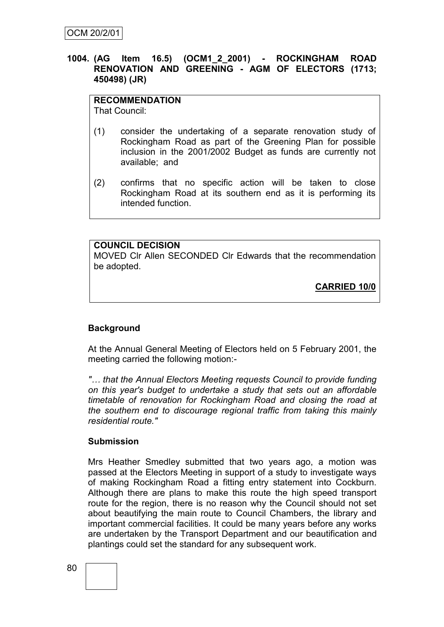#### **1004. (AG Item 16.5) (OCM1\_2\_2001) - ROCKINGHAM ROAD RENOVATION AND GREENING - AGM OF ELECTORS (1713; 450498) (JR)**

### **RECOMMENDATION**

That Council:

- (1) consider the undertaking of a separate renovation study of Rockingham Road as part of the Greening Plan for possible inclusion in the 2001/2002 Budget as funds are currently not available; and
- (2) confirms that no specific action will be taken to close Rockingham Road at its southern end as it is performing its intended function.

# **COUNCIL DECISION** MOVED Clr Allen SECONDED Clr Edwards that the recommendation be adopted.

**CARRIED 10/0**

# **Background**

At the Annual General Meeting of Electors held on 5 February 2001, the meeting carried the following motion:-

*"… that the Annual Electors Meeting requests Council to provide funding on this year's budget to undertake a study that sets out an affordable timetable of renovation for Rockingham Road and closing the road at the southern end to discourage regional traffic from taking this mainly residential route."*

### **Submission**

Mrs Heather Smedley submitted that two years ago, a motion was passed at the Electors Meeting in support of a study to investigate ways of making Rockingham Road a fitting entry statement into Cockburn. Although there are plans to make this route the high speed transport route for the region, there is no reason why the Council should not set about beautifying the main route to Council Chambers, the library and important commercial facilities. It could be many years before any works are undertaken by the Transport Department and our beautification and plantings could set the standard for any subsequent work.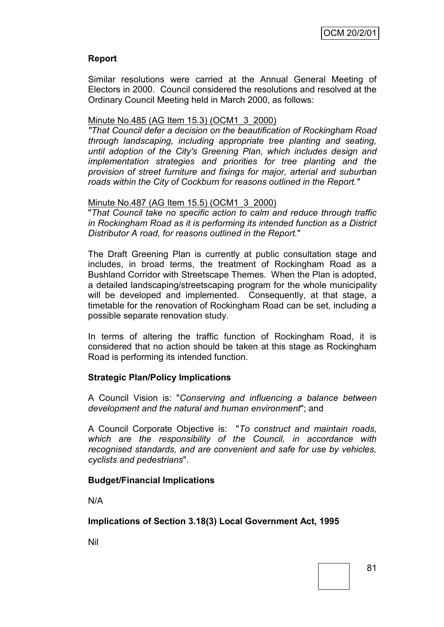## **Report**

Similar resolutions were carried at the Annual General Meeting of Electors in 2000. Council considered the resolutions and resolved at the Ordinary Council Meeting held in March 2000, as follows:

## Minute No.485 (AG Item 15.3) (OCM1\_3\_2000)

*"That Council defer a decision on the beautification of Rockingham Road through landscaping, including appropriate tree planting and seating, until adoption of the City's Greening Plan, which includes design and implementation strategies and priorities for tree planting and the provision of street furniture and fixings for major, arterial and suburban roads within the City of Cockburn for reasons outlined in the Report."*

### Minute No.487 (AG Item 15.5) (OCM1\_3\_2000)

"*That Council take no specific action to calm and reduce through traffic in Rockingham Road as it is performing its intended function as a District Distributor A road, for reasons outlined in the Report.*"

The Draft Greening Plan is currently at public consultation stage and includes, in broad terms, the treatment of Rockingham Road as a Bushland Corridor with Streetscape Themes. When the Plan is adopted, a detailed landscaping/streetscaping program for the whole municipality will be developed and implemented. Consequently, at that stage, a timetable for the renovation of Rockingham Road can be set, including a possible separate renovation study.

In terms of altering the traffic function of Rockingham Road, it is considered that no action should be taken at this stage as Rockingham Road is performing its intended function.

### **Strategic Plan/Policy Implications**

A Council Vision is: "*Conserving and influencing a balance between development and the natural and human environment*"; and

A Council Corporate Objective is: "*To construct and maintain roads, which are the responsibility of the Council, in accordance with recognised standards, and are convenient and safe for use by vehicles, cyclists and pedestrians*".

### **Budget/Financial Implications**

N/A

#### **Implications of Section 3.18(3) Local Government Act, 1995**

Nil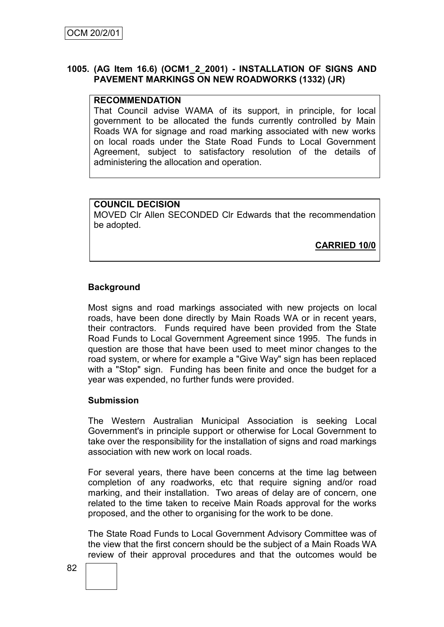## **1005. (AG Item 16.6) (OCM1\_2\_2001) - INSTALLATION OF SIGNS AND PAVEMENT MARKINGS ON NEW ROADWORKS (1332) (JR)**

#### **RECOMMENDATION**

That Council advise WAMA of its support, in principle, for local government to be allocated the funds currently controlled by Main Roads WA for signage and road marking associated with new works on local roads under the State Road Funds to Local Government Agreement, subject to satisfactory resolution of the details of administering the allocation and operation.

### **COUNCIL DECISION**

MOVED Clr Allen SECONDED Clr Edwards that the recommendation be adopted.

**CARRIED 10/0**

## **Background**

Most signs and road markings associated with new projects on local roads, have been done directly by Main Roads WA or in recent years, their contractors. Funds required have been provided from the State Road Funds to Local Government Agreement since 1995. The funds in question are those that have been used to meet minor changes to the road system, or where for example a "Give Way" sign has been replaced with a "Stop" sign. Funding has been finite and once the budget for a year was expended, no further funds were provided.

### **Submission**

The Western Australian Municipal Association is seeking Local Government's in principle support or otherwise for Local Government to take over the responsibility for the installation of signs and road markings association with new work on local roads.

For several years, there have been concerns at the time lag between completion of any roadworks, etc that require signing and/or road marking, and their installation. Two areas of delay are of concern, one related to the time taken to receive Main Roads approval for the works proposed, and the other to organising for the work to be done.

The State Road Funds to Local Government Advisory Committee was of the view that the first concern should be the subject of a Main Roads WA review of their approval procedures and that the outcomes would be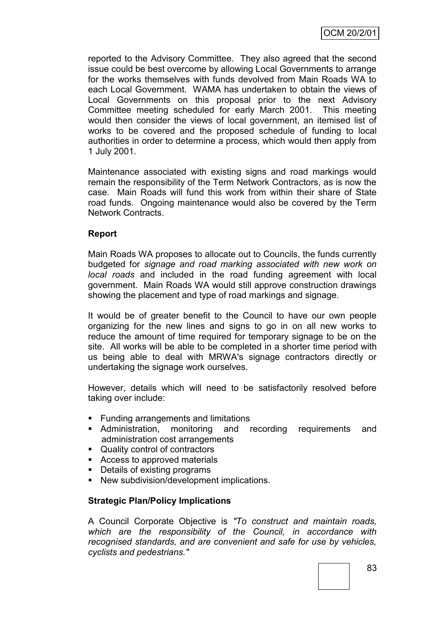reported to the Advisory Committee. They also agreed that the second issue could be best overcome by allowing Local Governments to arrange for the works themselves with funds devolved from Main Roads WA to each Local Government. WAMA has undertaken to obtain the views of Local Governments on this proposal prior to the next Advisory Committee meeting scheduled for early March 2001. This meeting would then consider the views of local government, an itemised list of works to be covered and the proposed schedule of funding to local authorities in order to determine a process, which would then apply from 1 July 2001.

Maintenance associated with existing signs and road markings would remain the responsibility of the Term Network Contractors, as is now the case. Main Roads will fund this work from within their share of State road funds. Ongoing maintenance would also be covered by the Term Network Contracts.

### **Report**

Main Roads WA proposes to allocate out to Councils, the funds currently budgeted for *signage and road marking associated with new work on local roads* and included in the road funding agreement with local government. Main Roads WA would still approve construction drawings showing the placement and type of road markings and signage.

It would be of greater benefit to the Council to have our own people organizing for the new lines and signs to go in on all new works to reduce the amount of time required for temporary signage to be on the site. All works will be able to be completed in a shorter time period with us being able to deal with MRWA's signage contractors directly or undertaking the signage work ourselves.

However, details which will need to be satisfactorily resolved before taking over include:

- **Funding arrangements and limitations**
- Administration, monitoring and recording requirements and administration cost arrangements
- Quality control of contractors
- **Access to approved materials**
- Details of existing programs
- New subdivision/development implications.

### **Strategic Plan/Policy Implications**

A Council Corporate Objective is *"To construct and maintain roads, which are the responsibility of the Council, in accordance with recognised standards, and are convenient and safe for use by vehicles, cyclists and pedestrians."*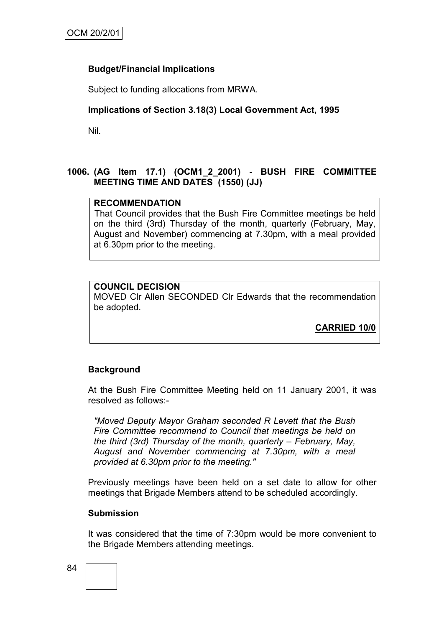## **Budget/Financial Implications**

Subject to funding allocations from MRWA.

### **Implications of Section 3.18(3) Local Government Act, 1995**

Nil.

## **1006. (AG Item 17.1) (OCM1\_2\_2001) - BUSH FIRE COMMITTEE MEETING TIME AND DATES (1550) (JJ)**

#### **RECOMMENDATION**

That Council provides that the Bush Fire Committee meetings be held on the third (3rd) Thursday of the month, quarterly (February, May, August and November) commencing at 7.30pm, with a meal provided at 6.30pm prior to the meeting.

### **COUNCIL DECISION**

MOVED Clr Allen SECONDED Clr Edwards that the recommendation be adopted.

**CARRIED 10/0**

### **Background**

At the Bush Fire Committee Meeting held on 11 January 2001, it was resolved as follows:-

*"Moved Deputy Mayor Graham seconded R Levett that the Bush Fire Committee recommend to Council that meetings be held on the third (3rd) Thursday of the month, quarterly – February, May, August and November commencing at 7.30pm, with a meal provided at 6.30pm prior to the meeting."*

Previously meetings have been held on a set date to allow for other meetings that Brigade Members attend to be scheduled accordingly.

#### **Submission**

It was considered that the time of 7:30pm would be more convenient to the Brigade Members attending meetings.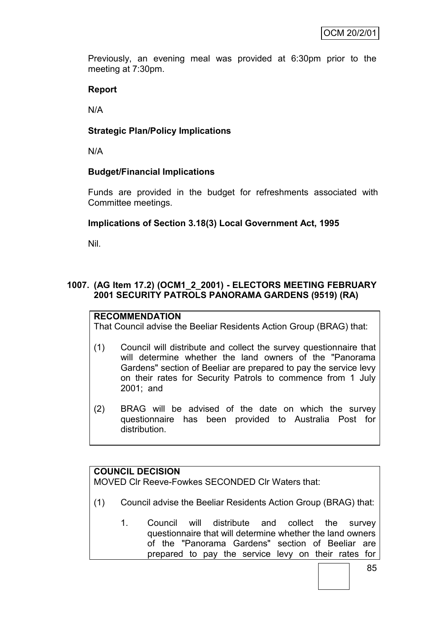Previously, an evening meal was provided at 6:30pm prior to the meeting at 7:30pm.

## **Report**

N/A

# **Strategic Plan/Policy Implications**

N/A

# **Budget/Financial Implications**

Funds are provided in the budget for refreshments associated with Committee meetings.

## **Implications of Section 3.18(3) Local Government Act, 1995**

Nil.

## **1007. (AG Item 17.2) (OCM1\_2\_2001) - ELECTORS MEETING FEBRUARY 2001 SECURITY PATROLS PANORAMA GARDENS (9519) (RA)**

### **RECOMMENDATION**

That Council advise the Beeliar Residents Action Group (BRAG) that:

- (1) Council will distribute and collect the survey questionnaire that will determine whether the land owners of the "Panorama Gardens" section of Beeliar are prepared to pay the service levy on their rates for Security Patrols to commence from 1 July 2001; and
- (2) BRAG will be advised of the date on which the survey questionnaire has been provided to Australia Post for distribution.

# **COUNCIL DECISION**

MOVED Clr Reeve-Fowkes SECONDED Clr Waters that:

- (1) Council advise the Beeliar Residents Action Group (BRAG) that:
	- 1. Council will distribute and collect the survey questionnaire that will determine whether the land owners of the "Panorama Gardens" section of Beeliar are prepared to pay the service levy on their rates for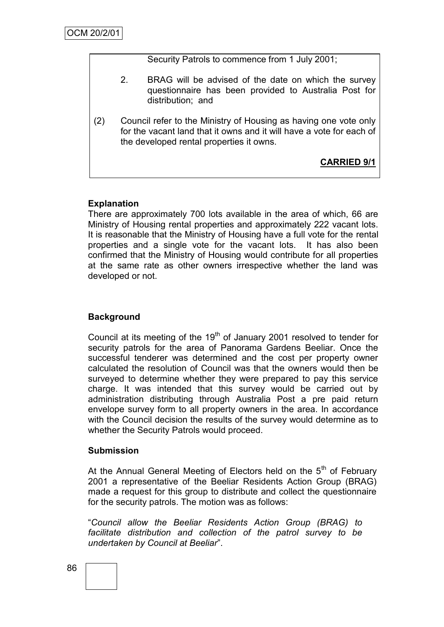Security Patrols to commence from 1 July 2001;

- 2. BRAG will be advised of the date on which the survey questionnaire has been provided to Australia Post for distribution; and
- (2) Council refer to the Ministry of Housing as having one vote only for the vacant land that it owns and it will have a vote for each of the developed rental properties it owns.

# **CARRIED 9/1**

### **Explanation**

There are approximately 700 lots available in the area of which, 66 are Ministry of Housing rental properties and approximately 222 vacant lots. It is reasonable that the Ministry of Housing have a full vote for the rental properties and a single vote for the vacant lots. It has also been confirmed that the Ministry of Housing would contribute for all properties at the same rate as other owners irrespective whether the land was developed or not.

# **Background**

Council at its meeting of the  $19<sup>th</sup>$  of January 2001 resolved to tender for security patrols for the area of Panorama Gardens Beeliar. Once the successful tenderer was determined and the cost per property owner calculated the resolution of Council was that the owners would then be surveyed to determine whether they were prepared to pay this service charge. It was intended that this survey would be carried out by administration distributing through Australia Post a pre paid return envelope survey form to all property owners in the area. In accordance with the Council decision the results of the survey would determine as to whether the Security Patrols would proceed.

### **Submission**

At the Annual General Meeting of Electors held on the  $5<sup>th</sup>$  of February 2001 a representative of the Beeliar Residents Action Group (BRAG) made a request for this group to distribute and collect the questionnaire for the security patrols. The motion was as follows:

"*Council allow the Beeliar Residents Action Group (BRAG) to facilitate distribution and collection of the patrol survey to be undertaken by Council at Beeliar*".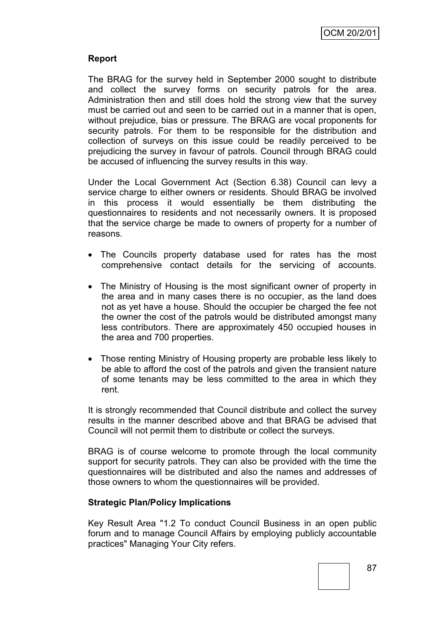## **Report**

The BRAG for the survey held in September 2000 sought to distribute and collect the survey forms on security patrols for the area. Administration then and still does hold the strong view that the survey must be carried out and seen to be carried out in a manner that is open, without prejudice, bias or pressure. The BRAG are vocal proponents for security patrols. For them to be responsible for the distribution and collection of surveys on this issue could be readily perceived to be prejudicing the survey in favour of patrols. Council through BRAG could be accused of influencing the survey results in this way.

Under the Local Government Act (Section 6.38) Council can levy a service charge to either owners or residents. Should BRAG be involved in this process it would essentially be them distributing the questionnaires to residents and not necessarily owners. It is proposed that the service charge be made to owners of property for a number of reasons.

- The Councils property database used for rates has the most comprehensive contact details for the servicing of accounts.
- The Ministry of Housing is the most significant owner of property in the area and in many cases there is no occupier, as the land does not as yet have a house. Should the occupier be charged the fee not the owner the cost of the patrols would be distributed amongst many less contributors. There are approximately 450 occupied houses in the area and 700 properties.
- Those renting Ministry of Housing property are probable less likely to be able to afford the cost of the patrols and given the transient nature of some tenants may be less committed to the area in which they rent.

It is strongly recommended that Council distribute and collect the survey results in the manner described above and that BRAG be advised that Council will not permit them to distribute or collect the surveys.

BRAG is of course welcome to promote through the local community support for security patrols. They can also be provided with the time the questionnaires will be distributed and also the names and addresses of those owners to whom the questionnaires will be provided.

### **Strategic Plan/Policy Implications**

Key Result Area "1.2 To conduct Council Business in an open public forum and to manage Council Affairs by employing publicly accountable practices" Managing Your City refers.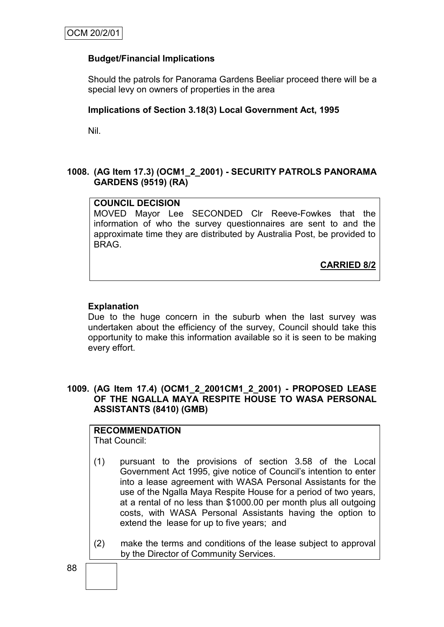## **Budget/Financial Implications**

Should the patrols for Panorama Gardens Beeliar proceed there will be a special levy on owners of properties in the area

### **Implications of Section 3.18(3) Local Government Act, 1995**

Nil.

## **1008. (AG Item 17.3) (OCM1\_2\_2001) - SECURITY PATROLS PANORAMA GARDENS (9519) (RA)**

# **COUNCIL DECISION**

MOVED Mayor Lee SECONDED Clr Reeve-Fowkes that the information of who the survey questionnaires are sent to and the approximate time they are distributed by Australia Post, be provided to BRAG.

**CARRIED 8/2**

## **Explanation**

Due to the huge concern in the suburb when the last survey was undertaken about the efficiency of the survey, Council should take this opportunity to make this information available so it is seen to be making every effort.

### **1009. (AG Item 17.4) (OCM1\_2\_2001CM1\_2\_2001) - PROPOSED LEASE OF THE NGALLA MAYA RESPITE HOUSE TO WASA PERSONAL ASSISTANTS (8410) (GMB)**

#### **RECOMMENDATION** That Council:

(1) pursuant to the provisions of section 3.58 of the Local Government Act 1995, give notice of Council"s intention to enter into a lease agreement with WASA Personal Assistants for the use of the Ngalla Maya Respite House for a period of two years, at a rental of no less than \$1000.00 per month plus all outgoing costs, with WASA Personal Assistants having the option to extend the lease for up to five years; and

(2) make the terms and conditions of the lease subject to approval by the Director of Community Services.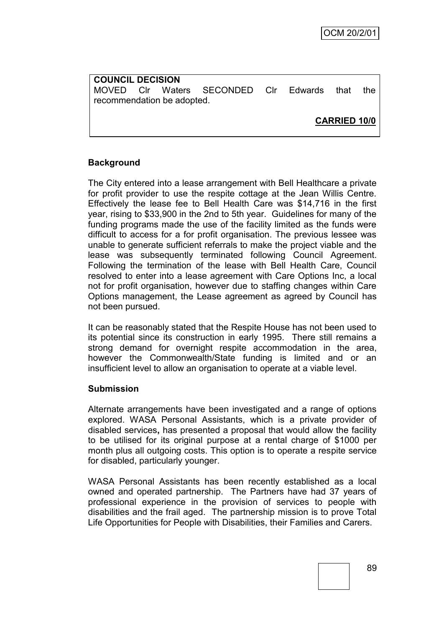**COUNCIL DECISION** MOVED Clr Waters SECONDED Clr Edwards that the recommendation be adopted.

**CARRIED 10/0**

### **Background**

The City entered into a lease arrangement with Bell Healthcare a private for profit provider to use the respite cottage at the Jean Willis Centre. Effectively the lease fee to Bell Health Care was \$14,716 in the first year, rising to \$33,900 in the 2nd to 5th year. Guidelines for many of the funding programs made the use of the facility limited as the funds were difficult to access for a for profit organisation. The previous lessee was unable to generate sufficient referrals to make the project viable and the lease was subsequently terminated following Council Agreement. Following the termination of the lease with Bell Health Care, Council resolved to enter into a lease agreement with Care Options Inc, a local not for profit organisation, however due to staffing changes within Care Options management, the Lease agreement as agreed by Council has not been pursued.

It can be reasonably stated that the Respite House has not been used to its potential since its construction in early 1995. There still remains a strong demand for overnight respite accommodation in the area, however the Commonwealth/State funding is limited and or an insufficient level to allow an organisation to operate at a viable level.

#### **Submission**

Alternate arrangements have been investigated and a range of options explored. WASA Personal Assistants, which is a private provider of disabled services**,** has presented a proposal that would allow the facility to be utilised for its original purpose at a rental charge of \$1000 per month plus all outgoing costs. This option is to operate a respite service for disabled, particularly younger.

WASA Personal Assistants has been recently established as a local owned and operated partnership. The Partners have had 37 years of professional experience in the provision of services to people with disabilities and the frail aged. The partnership mission is to prove Total Life Opportunities for People with Disabilities, their Families and Carers.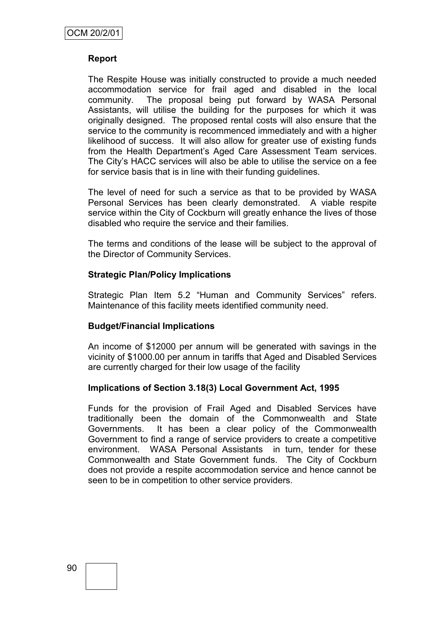### **Report**

The Respite House was initially constructed to provide a much needed accommodation service for frail aged and disabled in the local community. The proposal being put forward by WASA Personal Assistants, will utilise the building for the purposes for which it was originally designed. The proposed rental costs will also ensure that the service to the community is recommenced immediately and with a higher likelihood of success. It will also allow for greater use of existing funds from the Health Department"s Aged Care Assessment Team services. The City"s HACC services will also be able to utilise the service on a fee for service basis that is in line with their funding guidelines.

The level of need for such a service as that to be provided by WASA Personal Services has been clearly demonstrated. A viable respite service within the City of Cockburn will greatly enhance the lives of those disabled who require the service and their families.

The terms and conditions of the lease will be subject to the approval of the Director of Community Services.

#### **Strategic Plan/Policy Implications**

Strategic Plan Item 5.2 "Human and Community Services" refers. Maintenance of this facility meets identified community need.

#### **Budget/Financial Implications**

An income of \$12000 per annum will be generated with savings in the vicinity of \$1000.00 per annum in tariffs that Aged and Disabled Services are currently charged for their low usage of the facility

### **Implications of Section 3.18(3) Local Government Act, 1995**

Funds for the provision of Frail Aged and Disabled Services have traditionally been the domain of the Commonwealth and State Governments. It has been a clear policy of the Commonwealth Government to find a range of service providers to create a competitive environment. WASA Personal Assistants in turn, tender for these Commonwealth and State Government funds. The City of Cockburn does not provide a respite accommodation service and hence cannot be seen to be in competition to other service providers.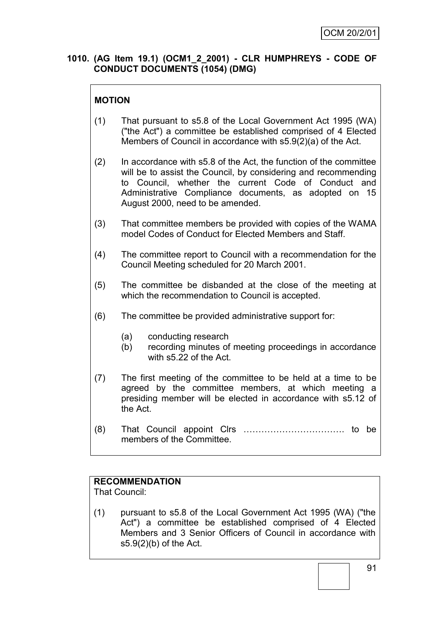## **1010. (AG Item 19.1) (OCM1\_2\_2001) - CLR HUMPHREYS - CODE OF CONDUCT DOCUMENTS (1054) (DMG)**

# **MOTION**

- (1) That pursuant to s5.8 of the Local Government Act 1995 (WA) ("the Act") a committee be established comprised of 4 Elected Members of Council in accordance with s5.9(2)(a) of the Act.
- (2) In accordance with s5.8 of the Act, the function of the committee will be to assist the Council, by considering and recommending to Council, whether the current Code of Conduct and Administrative Compliance documents, as adopted on 15 August 2000, need to be amended.
- (3) That committee members be provided with copies of the WAMA model Codes of Conduct for Elected Members and Staff.
- (4) The committee report to Council with a recommendation for the Council Meeting scheduled for 20 March 2001.
- (5) The committee be disbanded at the close of the meeting at which the recommendation to Council is accepted.
- (6) The committee be provided administrative support for:
	- (a) conducting research
	- (b) recording minutes of meeting proceedings in accordance with s5.22 of the Act.
- (7) The first meeting of the committee to be held at a time to be agreed by the committee members, at which meeting a presiding member will be elected in accordance with s5.12 of the Act.
- (8) That Council appoint Clrs ……………………………. to be members of the Committee.

# **RECOMMENDATION**

That Council:

(1) pursuant to s5.8 of the Local Government Act 1995 (WA) ("the Act") a committee be established comprised of 4 Elected Members and 3 Senior Officers of Council in accordance with s5.9(2)(b) of the Act.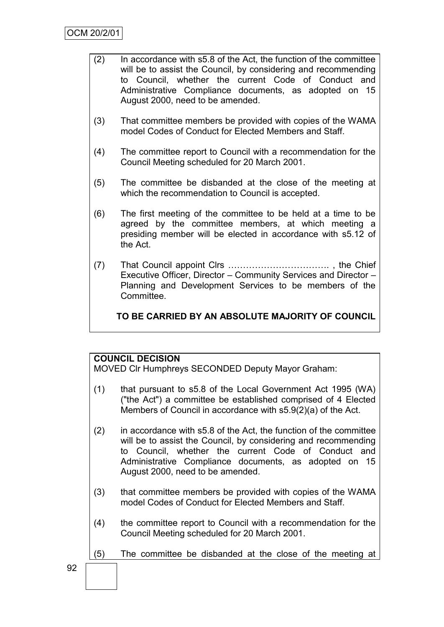- (2) In accordance with s5.8 of the Act, the function of the committee will be to assist the Council, by considering and recommending to Council, whether the current Code of Conduct and Administrative Compliance documents, as adopted on 15 August 2000, need to be amended.
- (3) That committee members be provided with copies of the WAMA model Codes of Conduct for Elected Members and Staff.
- (4) The committee report to Council with a recommendation for the Council Meeting scheduled for 20 March 2001.
- (5) The committee be disbanded at the close of the meeting at which the recommendation to Council is accepted.
- (6) The first meeting of the committee to be held at a time to be agreed by the committee members, at which meeting a presiding member will be elected in accordance with s5.12 of the Act.
- (7) That Council appoint Clrs ……………………………. , the Chief Executive Officer, Director – Community Services and Director – Planning and Development Services to be members of the Committee.

**TO BE CARRIED BY AN ABSOLUTE MAJORITY OF COUNCIL**

## **COUNCIL DECISION**

MOVED Clr Humphreys SECONDED Deputy Mayor Graham:

- (1) that pursuant to s5.8 of the Local Government Act 1995 (WA) ("the Act") a committee be established comprised of 4 Elected Members of Council in accordance with s5.9(2)(a) of the Act.
- (2) in accordance with s5.8 of the Act, the function of the committee will be to assist the Council, by considering and recommending to Council, whether the current Code of Conduct and Administrative Compliance documents, as adopted on 15 August 2000, need to be amended.
- (3) that committee members be provided with copies of the WAMA model Codes of Conduct for Elected Members and Staff.
- (4) the committee report to Council with a recommendation for the Council Meeting scheduled for 20 March 2001.
- (5) The committee be disbanded at the close of the meeting at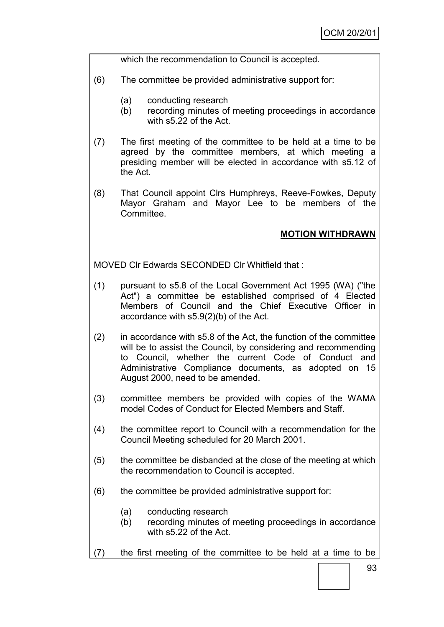which the recommendation to Council is accepted.

- (6) The committee be provided administrative support for:
	- (a) conducting research
	- (b) recording minutes of meeting proceedings in accordance with s5.22 of the Act.
- (7) The first meeting of the committee to be held at a time to be agreed by the committee members, at which meeting a presiding member will be elected in accordance with s5.12 of the Act.
- (8) That Council appoint Clrs Humphreys, Reeve-Fowkes, Deputy Mayor Graham and Mayor Lee to be members of the **Committee.**

# **MOTION WITHDRAWN**

MOVED Clr Edwards SECONDED Clr Whitfield that :

- (1) pursuant to s5.8 of the Local Government Act 1995 (WA) ("the Act") a committee be established comprised of 4 Elected Members of Council and the Chief Executive Officer in accordance with s5.9(2)(b) of the Act.
- (2) in accordance with s5.8 of the Act, the function of the committee will be to assist the Council, by considering and recommending to Council, whether the current Code of Conduct and Administrative Compliance documents, as adopted on 15 August 2000, need to be amended.
- (3) committee members be provided with copies of the WAMA model Codes of Conduct for Elected Members and Staff.
- (4) the committee report to Council with a recommendation for the Council Meeting scheduled for 20 March 2001.
- (5) the committee be disbanded at the close of the meeting at which the recommendation to Council is accepted.
- (6) the committee be provided administrative support for:
	- (a) conducting research
	- (b) recording minutes of meeting proceedings in accordance with s5.22 of the Act.
- (7) the first meeting of the committee to be held at a time to be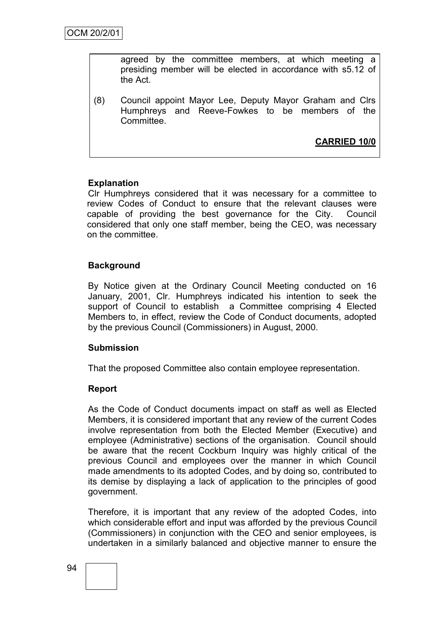agreed by the committee members, at which meeting a presiding member will be elected in accordance with s5.12 of the Act.

(8) Council appoint Mayor Lee, Deputy Mayor Graham and Clrs Humphreys and Reeve-Fowkes to be members of the Committee.

**CARRIED 10/0**

## **Explanation**

Clr Humphreys considered that it was necessary for a committee to review Codes of Conduct to ensure that the relevant clauses were capable of providing the best governance for the City. Council considered that only one staff member, being the CEO, was necessary on the committee.

### **Background**

By Notice given at the Ordinary Council Meeting conducted on 16 January, 2001, Clr. Humphreys indicated his intention to seek the support of Council to establish a Committee comprising 4 Elected Members to, in effect, review the Code of Conduct documents, adopted by the previous Council (Commissioners) in August, 2000.

### **Submission**

That the proposed Committee also contain employee representation.

### **Report**

As the Code of Conduct documents impact on staff as well as Elected Members, it is considered important that any review of the current Codes involve representation from both the Elected Member (Executive) and employee (Administrative) sections of the organisation. Council should be aware that the recent Cockburn Inquiry was highly critical of the previous Council and employees over the manner in which Council made amendments to its adopted Codes, and by doing so, contributed to its demise by displaying a lack of application to the principles of good government.

Therefore, it is important that any review of the adopted Codes, into which considerable effort and input was afforded by the previous Council (Commissioners) in conjunction with the CEO and senior employees, is undertaken in a similarly balanced and objective manner to ensure the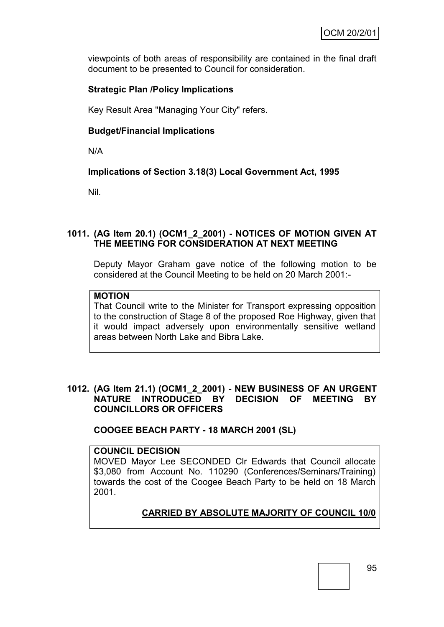viewpoints of both areas of responsibility are contained in the final draft document to be presented to Council for consideration.

# **Strategic Plan /Policy Implications**

Key Result Area "Managing Your City" refers.

## **Budget/Financial Implications**

N/A

# **Implications of Section 3.18(3) Local Government Act, 1995**

Nil.

### **1011. (AG Item 20.1) (OCM1\_2\_2001) - NOTICES OF MOTION GIVEN AT THE MEETING FOR CONSIDERATION AT NEXT MEETING**

Deputy Mayor Graham gave notice of the following motion to be considered at the Council Meeting to be held on 20 March 2001:-

#### **MOTION**

That Council write to the Minister for Transport expressing opposition to the construction of Stage 8 of the proposed Roe Highway, given that it would impact adversely upon environmentally sensitive wetland areas between North Lake and Bibra Lake.

## **1012. (AG Item 21.1) (OCM1\_2\_2001) - NEW BUSINESS OF AN URGENT NATURE INTRODUCED BY DECISION OF MEETING BY COUNCILLORS OR OFFICERS**

**COOGEE BEACH PARTY - 18 MARCH 2001 (SL)**

### **COUNCIL DECISION**

MOVED Mayor Lee SECONDED Clr Edwards that Council allocate \$3,080 from Account No. 110290 (Conferences/Seminars/Training) towards the cost of the Coogee Beach Party to be held on 18 March 2001.

# **CARRIED BY ABSOLUTE MAJORITY OF COUNCIL 10/0**